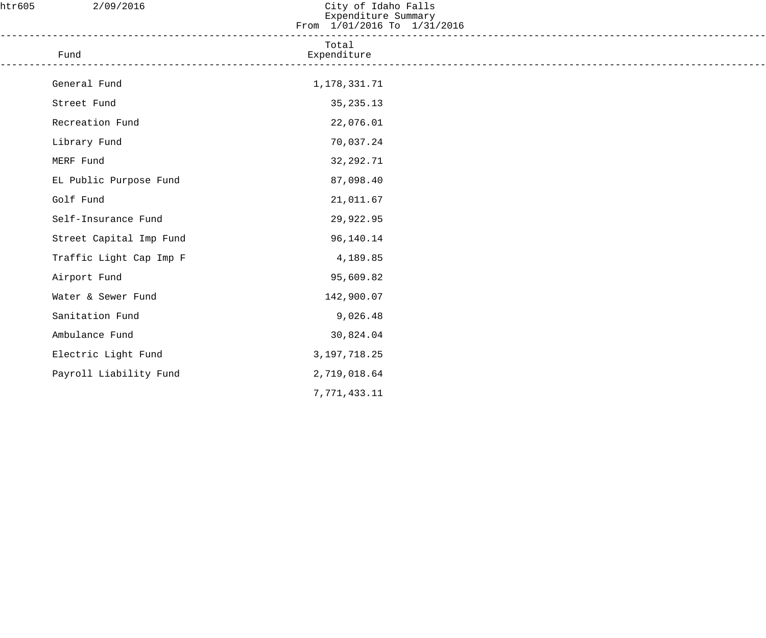| htr605 | 2/09/2016                                  | City of Idaho Falls<br>Expenditure Summary<br>From 1/01/2016 To 1/31/2016 |  |
|--------|--------------------------------------------|---------------------------------------------------------------------------|--|
|        | Fund<br>__________________________________ | Total<br>Expenditure                                                      |  |
|        | General Fund                               | 1,178,331.71                                                              |  |
|        | Street Fund                                | 35, 235. 13                                                               |  |
|        | Recreation Fund                            | 22,076.01                                                                 |  |
|        | Library Fund                               | 70,037.24                                                                 |  |
|        | MERF Fund                                  | 32, 292. 71                                                               |  |
|        | EL Public Purpose Fund                     | 87,098.40                                                                 |  |
|        | Golf Fund                                  | 21,011.67                                                                 |  |
|        | Self-Insurance Fund                        | 29,922.95                                                                 |  |
|        | Street Capital Imp Fund                    | 96,140.14                                                                 |  |
|        | Traffic Light Cap Imp F                    | 4,189.85                                                                  |  |
|        | Airport Fund                               | 95,609.82                                                                 |  |
|        | Water & Sewer Fund                         | 142,900.07                                                                |  |
|        | Sanitation Fund                            | 9,026.48                                                                  |  |
|        | Ambulance Fund                             | 30,824.04                                                                 |  |
|        | Electric Light Fund                        | 3, 197, 718.25                                                            |  |
|        | Payroll Liability Fund                     | 2,719,018.64                                                              |  |
|        |                                            | 7,771,433.11                                                              |  |
|        |                                            |                                                                           |  |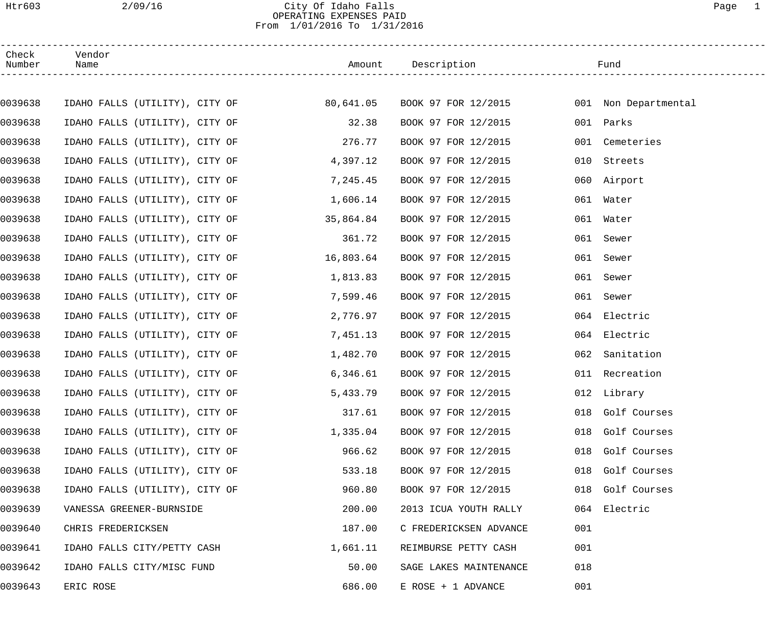### Htr603 2/09/16 City Of Idaho Falls Page 1 OPERATING EXPENSES PAID From 1/01/2016 To 1/31/2016

| Check<br>Number | Vendor<br>Name                 |           | Amount Description            |     | Fund                 |  |
|-----------------|--------------------------------|-----------|-------------------------------|-----|----------------------|--|
|                 |                                |           |                               |     |                      |  |
| 0039638         | IDAHO FALLS (UTILITY), CITY OF |           | 80,641.05 BOOK 97 FOR 12/2015 |     | 001 Non Departmental |  |
| 0039638         | IDAHO FALLS (UTILITY), CITY OF | 32.38     | BOOK 97 FOR 12/2015           |     | 001 Parks            |  |
| 0039638         | IDAHO FALLS (UTILITY), CITY OF | 276.77    | BOOK 97 FOR 12/2015           | 001 | Cemeteries           |  |
| 0039638         | IDAHO FALLS (UTILITY), CITY OF | 4,397.12  | BOOK 97 FOR 12/2015           | 010 | Streets              |  |
| 0039638         | IDAHO FALLS (UTILITY), CITY OF | 7,245.45  | BOOK 97 FOR 12/2015           |     | 060 Airport          |  |
| 0039638         | IDAHO FALLS (UTILITY), CITY OF | 1,606.14  | BOOK 97 FOR 12/2015           | 061 | Water                |  |
| 0039638         | IDAHO FALLS (UTILITY), CITY OF | 35,864.84 | BOOK 97 FOR 12/2015           |     | 061 Water            |  |
| 0039638         | IDAHO FALLS (UTILITY), CITY OF | 361.72    | BOOK 97 FOR 12/2015           |     | 061 Sewer            |  |
| 0039638         | IDAHO FALLS (UTILITY), CITY OF | 16,803.64 | BOOK 97 FOR 12/2015           | 061 | Sewer                |  |
| 0039638         | IDAHO FALLS (UTILITY), CITY OF | 1,813.83  | BOOK 97 FOR 12/2015           | 061 | Sewer                |  |
| 0039638         | IDAHO FALLS (UTILITY), CITY OF | 7,599.46  | BOOK 97 FOR 12/2015           | 061 | Sewer                |  |
| 0039638         | IDAHO FALLS (UTILITY), CITY OF | 2,776.97  | BOOK 97 FOR 12/2015           |     | 064 Electric         |  |
| 0039638         | IDAHO FALLS (UTILITY), CITY OF | 7,451.13  | BOOK 97 FOR 12/2015           |     | 064 Electric         |  |
| 0039638         | IDAHO FALLS (UTILITY), CITY OF | 1,482.70  | BOOK 97 FOR 12/2015           | 062 | Sanitation           |  |
| 0039638         | IDAHO FALLS (UTILITY), CITY OF | 6,346.61  | BOOK 97 FOR 12/2015           |     | 011 Recreation       |  |
| 0039638         | IDAHO FALLS (UTILITY), CITY OF | 5,433.79  | BOOK 97 FOR 12/2015           |     | 012 Library          |  |
| 0039638         | IDAHO FALLS (UTILITY), CITY OF | 317.61    | BOOK 97 FOR 12/2015           |     | 018 Golf Courses     |  |
| 0039638         | IDAHO FALLS (UTILITY), CITY OF | 1,335.04  | BOOK 97 FOR 12/2015           |     | 018 Golf Courses     |  |
| 0039638         | IDAHO FALLS (UTILITY), CITY OF | 966.62    | BOOK 97 FOR 12/2015           |     | 018 Golf Courses     |  |
| 0039638         | IDAHO FALLS (UTILITY), CITY OF | 533.18    | BOOK 97 FOR 12/2015           |     | 018 Golf Courses     |  |
| 0039638         | IDAHO FALLS (UTILITY), CITY OF | 960.80    | BOOK 97 FOR 12/2015           |     | 018 Golf Courses     |  |
| 0039639         | VANESSA GREENER-BURNSIDE       | 200.00    | 2013 ICUA YOUTH RALLY         |     | 064 Electric         |  |
| 0039640         | CHRIS FREDERICKSEN             | 187.00    | C FREDERICKSEN ADVANCE        | 001 |                      |  |
| 0039641         | IDAHO FALLS CITY/PETTY CASH    | 1,661.11  | REIMBURSE PETTY CASH          | 001 |                      |  |
| 0039642         | IDAHO FALLS CITY/MISC FUND     | 50.00     | SAGE LAKES MAINTENANCE        | 018 |                      |  |
| 0039643         | ERIC ROSE                      | 686.00    | $E$ ROSE + 1 ADVANCE          | 001 |                      |  |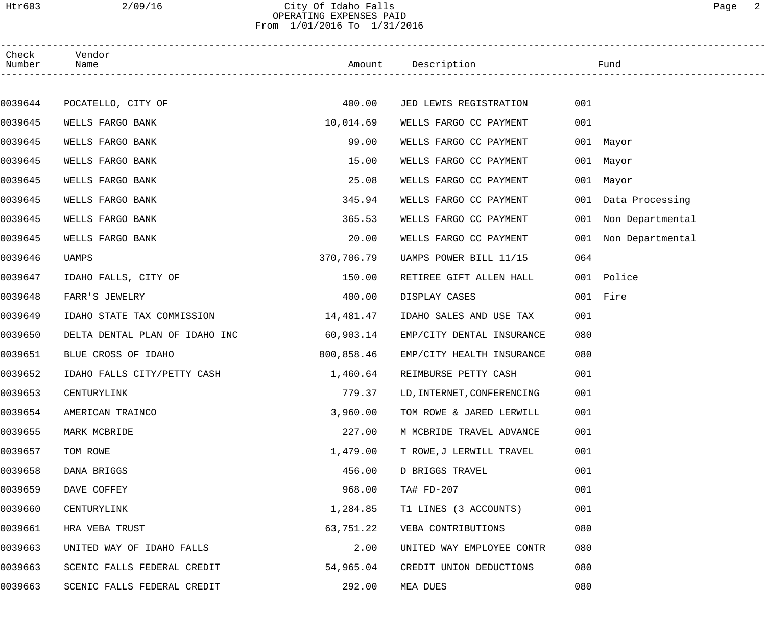## Htr603 2/09/16 City Of Idaho Falls Page 2 OPERATING EXPENSES PAID From 1/01/2016 To 1/31/2016

| Check<br>Number | Vendor<br>Name                 |            | Amount Description         |     | Fund                 |
|-----------------|--------------------------------|------------|----------------------------|-----|----------------------|
|                 |                                |            |                            |     |                      |
| 0039644         | POCATELLO, CITY OF             | 400.00     | JED LEWIS REGISTRATION     | 001 |                      |
| 0039645         | WELLS FARGO BANK               | 10,014.69  | WELLS FARGO CC PAYMENT     | 001 |                      |
| 0039645         | WELLS FARGO BANK               | 99.00      | WELLS FARGO CC PAYMENT     |     | 001 Mayor            |
| 0039645         | WELLS FARGO BANK               | 15.00      | WELLS FARGO CC PAYMENT     |     | 001 Mayor            |
| 0039645         | WELLS FARGO BANK               | 25.08      | WELLS FARGO CC PAYMENT     |     | 001 Mayor            |
| 0039645         | WELLS FARGO BANK               | 345.94     | WELLS FARGO CC PAYMENT     |     | 001 Data Processing  |
| 0039645         | WELLS FARGO BANK               | 365.53     | WELLS FARGO CC PAYMENT     |     | 001 Non Departmental |
| 0039645         | WELLS FARGO BANK               | 20.00      | WELLS FARGO CC PAYMENT     |     | 001 Non Departmental |
| 0039646         | UAMPS                          | 370,706.79 | UAMPS POWER BILL 11/15     | 064 |                      |
| 0039647         | IDAHO FALLS, CITY OF           | 150.00     | RETIREE GIFT ALLEN HALL    |     | 001 Police           |
| 0039648         | FARR'S JEWELRY                 | 400.00     | DISPLAY CASES              |     | 001 Fire             |
| 0039649         | IDAHO STATE TAX COMMISSION     | 14,481.47  | IDAHO SALES AND USE TAX    | 001 |                      |
| 0039650         | DELTA DENTAL PLAN OF IDAHO INC | 60,903.14  | EMP/CITY DENTAL INSURANCE  | 080 |                      |
| 0039651         | BLUE CROSS OF IDAHO            | 800,858.46 | EMP/CITY HEALTH INSURANCE  | 080 |                      |
| 0039652         | IDAHO FALLS CITY/PETTY CASH    | 1,460.64   | REIMBURSE PETTY CASH       | 001 |                      |
| 0039653         | CENTURYLINK                    | 779.37     | LD, INTERNET, CONFERENCING | 001 |                      |
| 0039654         | AMERICAN TRAINCO               | 3,960.00   | TOM ROWE & JARED LERWILL   | 001 |                      |
| 0039655         | MARK MCBRIDE                   | 227.00     | M MCBRIDE TRAVEL ADVANCE   | 001 |                      |
| 0039657         | TOM ROWE                       | 1,479.00   | T ROWE, J LERWILL TRAVEL   | 001 |                      |
| 0039658         | DANA BRIGGS                    | 456.00     | D BRIGGS TRAVEL            | 001 |                      |
| 0039659         | DAVE COFFEY                    | 968.00     | TA# FD-207                 | 001 |                      |
| 0039660         | CENTURYLINK                    | 1,284.85   | T1 LINES (3 ACCOUNTS)      | 001 |                      |
| 0039661         | HRA VEBA TRUST                 | 63,751.22  | VEBA CONTRIBUTIONS         | 080 |                      |
| 0039663         | UNITED WAY OF IDAHO FALLS      | 2.00       | UNITED WAY EMPLOYEE CONTR  | 080 |                      |
| 0039663         | SCENIC FALLS FEDERAL CREDIT    | 54,965.04  | CREDIT UNION DEDUCTIONS    | 080 |                      |
| 0039663         | SCENIC FALLS FEDERAL CREDIT    | 292.00     | MEA DUES                   | 080 |                      |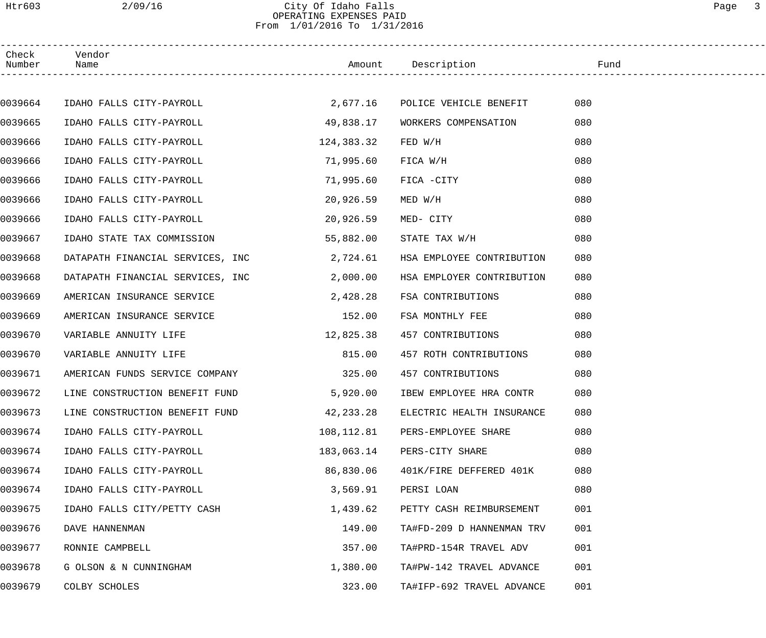## Htr603 2/09/16 City Of Idaho Falls Page 3 OPERATING EXPENSES PAID From 1/01/2016 To 1/31/2016

| Check<br>Number | Vendor<br>Name                   |            | Amount Description                   | Fund |  |
|-----------------|----------------------------------|------------|--------------------------------------|------|--|
|                 |                                  |            |                                      |      |  |
| 0039664         | IDAHO FALLS CITY-PAYROLL         | 2,677.16   | POLICE VEHICLE BENEFIT               | 080  |  |
| 0039665         | IDAHO FALLS CITY-PAYROLL         | 49,838.17  | WORKERS COMPENSATION                 | 080  |  |
| 0039666         | IDAHO FALLS CITY-PAYROLL         | 124,383.32 | FED W/H                              | 080  |  |
| 0039666         | IDAHO FALLS CITY-PAYROLL         | 71,995.60  | FICA W/H                             | 080  |  |
| 0039666         | IDAHO FALLS CITY-PAYROLL         | 71,995.60  | FICA -CITY                           | 080  |  |
| 0039666         | IDAHO FALLS CITY-PAYROLL         | 20,926.59  | MED W/H                              | 080  |  |
| 0039666         | IDAHO FALLS CITY-PAYROLL         | 20,926.59  | MED- CITY                            | 080  |  |
| 0039667         | IDAHO STATE TAX COMMISSION       | 55,882.00  | STATE TAX W/H                        | 080  |  |
| 0039668         | DATAPATH FINANCIAL SERVICES, INC | 2,724.61   | HSA EMPLOYEE CONTRIBUTION            | 080  |  |
| 0039668         | DATAPATH FINANCIAL SERVICES, INC | 2,000.00   | HSA EMPLOYER CONTRIBUTION            | 080  |  |
| 0039669         | AMERICAN INSURANCE SERVICE       | 2,428.28   | FSA CONTRIBUTIONS                    | 080  |  |
| 0039669         | AMERICAN INSURANCE SERVICE       | 152.00     | FSA MONTHLY FEE                      | 080  |  |
| 0039670         | VARIABLE ANNUITY LIFE            | 12,825.38  | 457 CONTRIBUTIONS                    | 080  |  |
| 0039670         | VARIABLE ANNUITY LIFE            | 815.00     | 457 ROTH CONTRIBUTIONS               | 080  |  |
| 0039671         | AMERICAN FUNDS SERVICE COMPANY   | 325.00     | 457 CONTRIBUTIONS                    | 080  |  |
| 0039672         | LINE CONSTRUCTION BENEFIT FUND   | 5,920.00   | IBEW EMPLOYEE HRA CONTR              | 080  |  |
| 0039673         | LINE CONSTRUCTION BENEFIT FUND   |            | 42, 233.28 ELECTRIC HEALTH INSURANCE | 080  |  |
| 0039674         | IDAHO FALLS CITY-PAYROLL         | 108,112.81 | PERS-EMPLOYEE SHARE                  | 080  |  |
| 0039674         | IDAHO FALLS CITY-PAYROLL         | 183,063.14 | PERS-CITY SHARE                      | 080  |  |
| 0039674         | IDAHO FALLS CITY-PAYROLL         | 86,830.06  | 401K/FIRE DEFFERED 401K              | 080  |  |
| 0039674         | IDAHO FALLS CITY-PAYROLL         | 3,569.91   | PERSI LOAN                           | 080  |  |
| 0039675         | IDAHO FALLS CITY/PETTY CASH      | 1,439.62   | PETTY CASH REIMBURSEMENT             | 001  |  |
| 0039676         | DAVE HANNENMAN                   | 149.00     | TA#FD-209 D HANNENMAN TRV            | 001  |  |
| 0039677         | RONNIE CAMPBELL                  | 357.00     | TA#PRD-154R TRAVEL ADV               | 001  |  |
| 0039678         | G OLSON & N CUNNINGHAM           | 1,380.00   | TA#PW-142 TRAVEL ADVANCE             | 001  |  |
| 0039679         | COLBY SCHOLES                    | 323.00     | TA#IFP-692 TRAVEL ADVANCE            | 001  |  |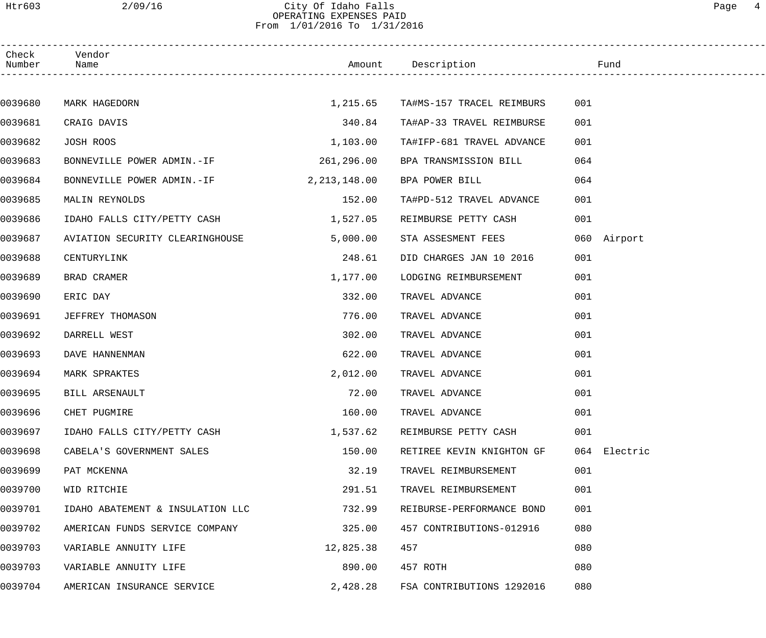### Htr603 2/09/16 City Of Idaho Falls Page 4 OPERATING EXPENSES PAID From 1/01/2016 To 1/31/2016

| Check<br>Number | Vendor<br>Name                   |              | Amount Description        | <u>and the state of the state of the state of the state of the state of the state of the state of the state of th</u> |  |
|-----------------|----------------------------------|--------------|---------------------------|-----------------------------------------------------------------------------------------------------------------------|--|
|                 |                                  |              |                           |                                                                                                                       |  |
| 0039680         | MARK HAGEDORN                    | 1,215.65     | TA#MS-157 TRACEL REIMBURS | 001                                                                                                                   |  |
| 0039681         | CRAIG DAVIS                      | 340.84       | TA#AP-33 TRAVEL REIMBURSE | 001                                                                                                                   |  |
| 0039682         | JOSH ROOS                        | 1,103.00     | TA#IFP-681 TRAVEL ADVANCE | 001                                                                                                                   |  |
| 0039683         | BONNEVILLE POWER ADMIN.-IF       | 261,296.00   | BPA TRANSMISSION BILL     | 064                                                                                                                   |  |
| 0039684         | BONNEVILLE POWER ADMIN.-IF       | 2,213,148.00 | BPA POWER BILL            | 064                                                                                                                   |  |
| 0039685         | MALIN REYNOLDS                   | 152.00       | TA#PD-512 TRAVEL ADVANCE  | 001                                                                                                                   |  |
| 0039686         | IDAHO FALLS CITY/PETTY CASH      | 1,527.05     | REIMBURSE PETTY CASH      | 001                                                                                                                   |  |
| 0039687         | AVIATION SECURITY CLEARINGHOUSE  | 5,000.00     | STA ASSESMENT FEES        | 060 Airport                                                                                                           |  |
| 0039688         | CENTURYLINK                      | 248.61       | DID CHARGES JAN 10 2016   | 001                                                                                                                   |  |
| 0039689         | BRAD CRAMER                      | 1,177.00     | LODGING REIMBURSEMENT     | 001                                                                                                                   |  |
| 0039690         | ERIC DAY                         | 332.00       | TRAVEL ADVANCE            | 001                                                                                                                   |  |
| 0039691         | JEFFREY THOMASON                 | 776.00       | TRAVEL ADVANCE            | 001                                                                                                                   |  |
| 0039692         | DARRELL WEST                     | 302.00       | TRAVEL ADVANCE            | 001                                                                                                                   |  |
| 0039693         | DAVE HANNENMAN                   | 622.00       | TRAVEL ADVANCE            | 001                                                                                                                   |  |
| 0039694         | MARK SPRAKTES                    | 2,012.00     | TRAVEL ADVANCE            | 001                                                                                                                   |  |
| 0039695         | BILL ARSENAULT                   | 72.00        | TRAVEL ADVANCE            | 001                                                                                                                   |  |
| 0039696         | CHET PUGMIRE                     | 160.00       | TRAVEL ADVANCE            | 001                                                                                                                   |  |
| 0039697         | IDAHO FALLS CITY/PETTY CASH      | 1,537.62     | REIMBURSE PETTY CASH      | 001                                                                                                                   |  |
| 0039698         | CABELA'S GOVERNMENT SALES        | 150.00       | RETIREE KEVIN KNIGHTON GF | 064 Electric                                                                                                          |  |
| 0039699         | PAT MCKENNA                      | 32.19        | TRAVEL REIMBURSEMENT      | 001                                                                                                                   |  |
| 0039700         | WID RITCHIE                      | 291.51       | TRAVEL REIMBURSEMENT      | 001                                                                                                                   |  |
| 0039701         | IDAHO ABATEMENT & INSULATION LLC | 732.99       | REIBURSE-PERFORMANCE BOND | 001                                                                                                                   |  |
| 0039702         | AMERICAN FUNDS SERVICE COMPANY   | 325.00       | 457 CONTRIBUTIONS-012916  | 080                                                                                                                   |  |
| 0039703         | VARIABLE ANNUITY LIFE            | 12,825.38    | 457                       | 080                                                                                                                   |  |
| 0039703         | VARIABLE ANNUITY LIFE            | 890.00       | 457 ROTH                  | 080                                                                                                                   |  |
| 0039704         | AMERICAN INSURANCE SERVICE       | 2,428.28     | FSA CONTRIBUTIONS 1292016 | 080                                                                                                                   |  |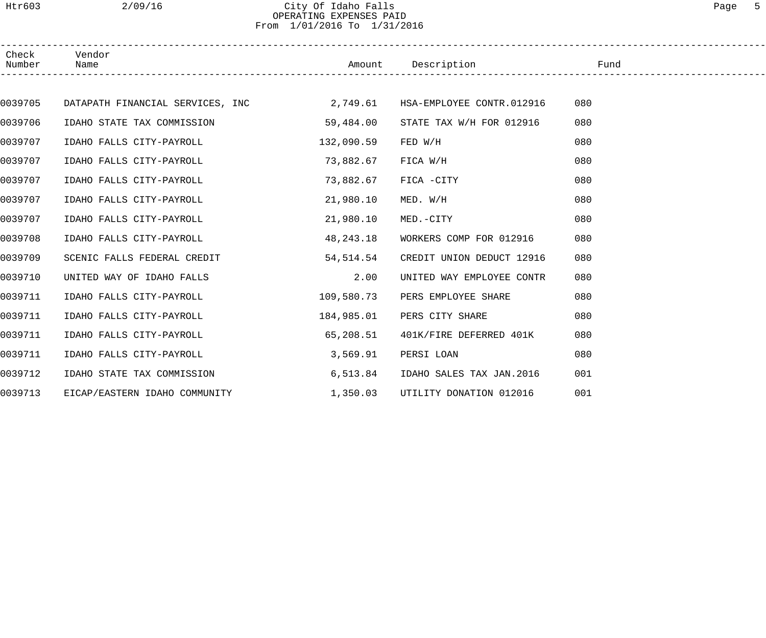## Htr603 2/09/16 City Of Idaho Falls Page 5 OPERATING EXPENSES PAID From 1/01/2016 To 1/31/2016

| Check<br>Number | Vendor<br>Name                                                         |            | Amount Description        | in the state of the state of the state of the state of the state of the state of the state of the state of the |  |
|-----------------|------------------------------------------------------------------------|------------|---------------------------|----------------------------------------------------------------------------------------------------------------|--|
|                 |                                                                        |            |                           |                                                                                                                |  |
| 0039705         | DATAPATH FINANCIAL SERVICES, INC<br>2,749.61 HSA-EMPLOYEE CONTR.012916 |            |                           | 080                                                                                                            |  |
| 0039706         | IDAHO STATE TAX COMMISSION                                             | 59,484.00  | STATE TAX W/H FOR 012916  | 080                                                                                                            |  |
| 0039707         | IDAHO FALLS CITY-PAYROLL                                               | 132,090.59 | FED W/H                   | 080                                                                                                            |  |
| 0039707         | IDAHO FALLS CITY-PAYROLL                                               | 73,882.67  | FICA W/H                  | 080                                                                                                            |  |
| 0039707         | IDAHO FALLS CITY-PAYROLL                                               | 73,882.67  | FICA -CITY                | 080                                                                                                            |  |
| 0039707         | IDAHO FALLS CITY-PAYROLL                                               | 21,980.10  | MED. W/H                  | 080                                                                                                            |  |
| 0039707         | IDAHO FALLS CITY-PAYROLL                                               | 21,980.10  | MED.-CITY                 | 080                                                                                                            |  |
| 0039708         | IDAHO FALLS CITY-PAYROLL                                               | 48,243.18  | WORKERS COMP FOR 012916   | 080                                                                                                            |  |
| 0039709         | SCENIC FALLS FEDERAL CREDIT                                            | 54,514.54  | CREDIT UNION DEDUCT 12916 | 080                                                                                                            |  |
| 0039710         | UNITED WAY OF IDAHO FALLS                                              | 2.00       | UNITED WAY EMPLOYEE CONTR | 080                                                                                                            |  |
| 0039711         | IDAHO FALLS CITY-PAYROLL                                               | 109,580.73 | PERS EMPLOYEE SHARE       | 080                                                                                                            |  |
| 0039711         | IDAHO FALLS CITY-PAYROLL                                               | 184,985.01 | PERS CITY SHARE           | 080                                                                                                            |  |
| 0039711         | IDAHO FALLS CITY-PAYROLL                                               | 65,208.51  | 401K/FIRE DEFERRED 401K   | 080                                                                                                            |  |
| 0039711         | IDAHO FALLS CITY-PAYROLL                                               | 3,569.91   | PERSI LOAN                | 080                                                                                                            |  |
| 0039712         | IDAHO STATE TAX COMMISSION                                             | 6,513.84   | IDAHO SALES TAX JAN.2016  | 001                                                                                                            |  |
| 0039713         | EICAP/EASTERN IDAHO COMMUNITY                                          | 1,350.03   | UTILITY DONATION 012016   | 001                                                                                                            |  |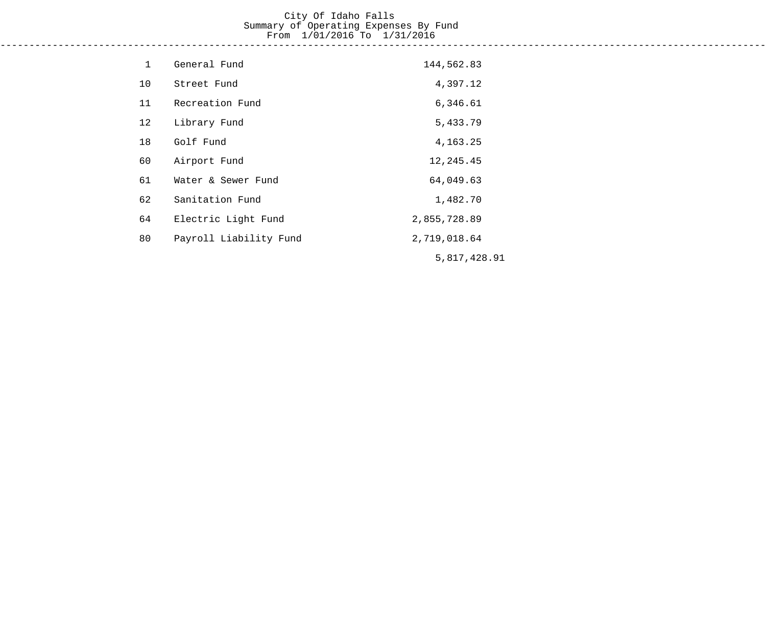# City Of Idaho Falls Summary of Operating Expenses By Fund From 1/01/2016 To 1/31/2016

------------------------------------------------------------------------------------------------------------------------------------

| $\mathbf{1}$ | General Fund           | 144,562.83   |
|--------------|------------------------|--------------|
| 10           | Street Fund            | 4,397.12     |
| 11           | Recreation Fund        | 6,346.61     |
| 12           | Library Fund           | 5,433.79     |
| 18           | Golf Fund              | 4, 163. 25   |
| 60           | Airport Fund           | 12, 245.45   |
| 61           | Water & Sewer Fund     | 64,049.63    |
| 62           | Sanitation Fund        | 1,482.70     |
| 64           | Electric Light Fund    | 2,855,728.89 |
| 80           | Payroll Liability Fund | 2,719,018.64 |
|              |                        | 5,817,428.91 |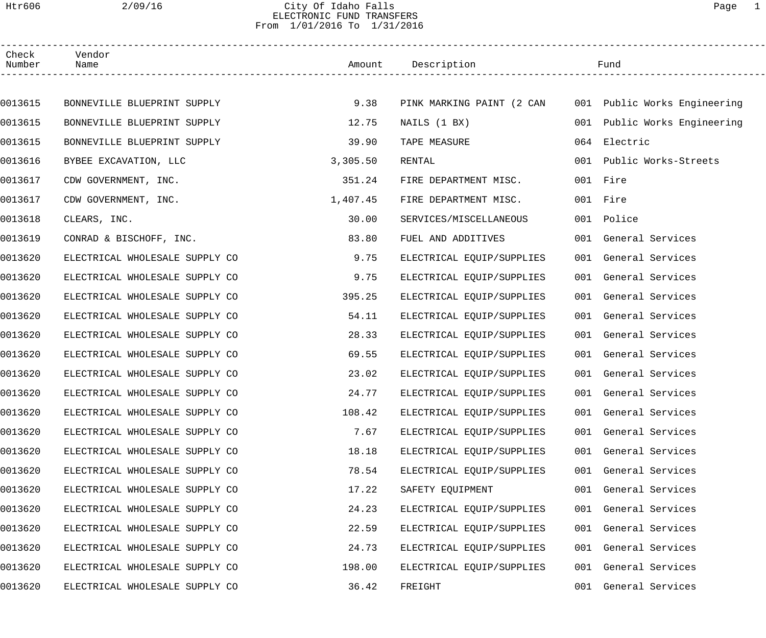### Htr606 2/09/16 City Of Idaho Falls Page 1 ELECTRONIC FUND TRANSFERS From 1/01/2016 To 1/31/2016

| Check<br>Number | Vendor<br>Name                 |          | Amount Description        |     | Fund                         |  |
|-----------------|--------------------------------|----------|---------------------------|-----|------------------------------|--|
|                 |                                |          |                           |     |                              |  |
| 0013615         | BONNEVILLE BLUEPRINT SUPPLY    | 9.38     | PINK MARKING PAINT (2 CAN |     | 001 Public Works Engineering |  |
| 0013615         | BONNEVILLE BLUEPRINT SUPPLY    | 12.75    | NAILS (1 BX)              |     | 001 Public Works Engineering |  |
| 0013615         | BONNEVILLE BLUEPRINT SUPPLY    | 39.90    | TAPE MEASURE              | 064 | Electric                     |  |
| 0013616         | BYBEE EXCAVATION, LLC          | 3,305.50 | RENTAL                    |     | 001 Public Works-Streets     |  |
| 0013617         | CDW GOVERNMENT, INC.           | 351.24   | FIRE DEPARTMENT MISC.     |     | 001 Fire                     |  |
| 0013617         | CDW GOVERNMENT, INC.           | 1,407.45 | FIRE DEPARTMENT MISC.     |     | 001 Fire                     |  |
| 0013618         | CLEARS, INC.                   | 30.00    | SERVICES/MISCELLANEOUS    |     | 001 Police                   |  |
| 0013619         | CONRAD & BISCHOFF, INC.        | 83.80    | FUEL AND ADDITIVES        |     | 001 General Services         |  |
| 0013620         | ELECTRICAL WHOLESALE SUPPLY CO | 9.75     | ELECTRICAL EQUIP/SUPPLIES |     | 001 General Services         |  |
| 0013620         | ELECTRICAL WHOLESALE SUPPLY CO | 9.75     | ELECTRICAL EQUIP/SUPPLIES |     | 001 General Services         |  |
| 0013620         | ELECTRICAL WHOLESALE SUPPLY CO | 395.25   | ELECTRICAL EQUIP/SUPPLIES |     | 001 General Services         |  |
| 0013620         | ELECTRICAL WHOLESALE SUPPLY CO | 54.11    | ELECTRICAL EQUIP/SUPPLIES |     | 001 General Services         |  |
| 0013620         | ELECTRICAL WHOLESALE SUPPLY CO | 28.33    | ELECTRICAL EQUIP/SUPPLIES |     | 001 General Services         |  |
| 0013620         | ELECTRICAL WHOLESALE SUPPLY CO | 69.55    | ELECTRICAL EQUIP/SUPPLIES |     | 001 General Services         |  |
| 0013620         | ELECTRICAL WHOLESALE SUPPLY CO | 23.02    | ELECTRICAL EQUIP/SUPPLIES |     | 001 General Services         |  |
| 0013620         | ELECTRICAL WHOLESALE SUPPLY CO | 24.77    | ELECTRICAL EQUIP/SUPPLIES |     | 001 General Services         |  |
| 0013620         | ELECTRICAL WHOLESALE SUPPLY CO | 108.42   | ELECTRICAL EQUIP/SUPPLIES |     | 001 General Services         |  |
| 0013620         | ELECTRICAL WHOLESALE SUPPLY CO | 7.67     | ELECTRICAL EQUIP/SUPPLIES |     | 001 General Services         |  |
| 0013620         | ELECTRICAL WHOLESALE SUPPLY CO | 18.18    | ELECTRICAL EQUIP/SUPPLIES |     | 001 General Services         |  |
| 0013620         | ELECTRICAL WHOLESALE SUPPLY CO | 78.54    | ELECTRICAL EQUIP/SUPPLIES |     | 001 General Services         |  |
| 0013620         | ELECTRICAL WHOLESALE SUPPLY CO | 17.22    | SAFETY EQUIPMENT          |     | 001 General Services         |  |
| 0013620         | ELECTRICAL WHOLESALE SUPPLY CO | 24.23    | ELECTRICAL EQUIP/SUPPLIES |     | 001 General Services         |  |
| 0013620         | ELECTRICAL WHOLESALE SUPPLY CO | 22.59    | ELECTRICAL EQUIP/SUPPLIES |     | 001 General Services         |  |
| 0013620         | ELECTRICAL WHOLESALE SUPPLY CO | 24.73    | ELECTRICAL EQUIP/SUPPLIES |     | 001 General Services         |  |
| 0013620         | ELECTRICAL WHOLESALE SUPPLY CO | 198.00   | ELECTRICAL EQUIP/SUPPLIES |     | 001 General Services         |  |
| 0013620         | ELECTRICAL WHOLESALE SUPPLY CO | 36.42    | FREIGHT                   |     | 001 General Services         |  |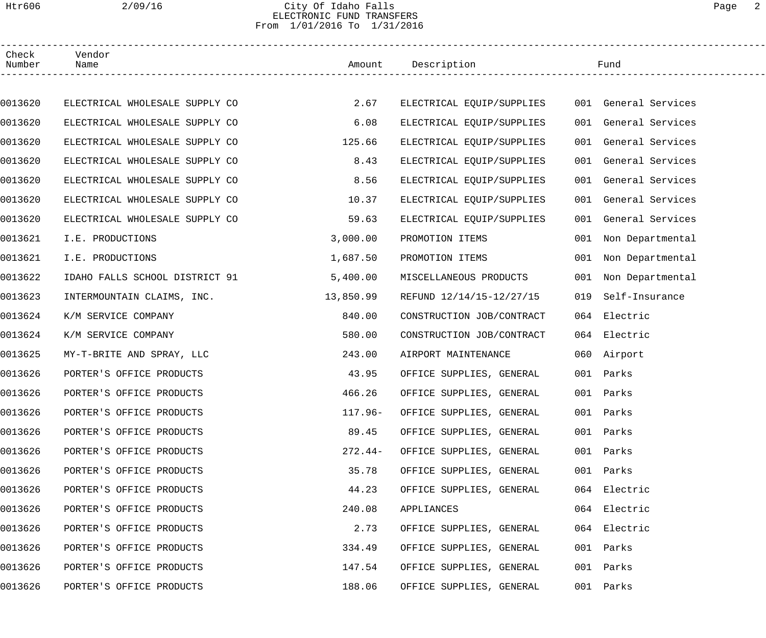## Htr606 2/09/16 City Of Idaho Falls Page 2 ELECTRONIC FUND TRANSFERS From 1/01/2016 To 1/31/2016

| Check<br>Number | Vendor<br>Name                 |           | Amount Description                             |     | Fund                 |  |
|-----------------|--------------------------------|-----------|------------------------------------------------|-----|----------------------|--|
|                 |                                |           |                                                |     |                      |  |
| 0013620         | ELECTRICAL WHOLESALE SUPPLY CO | 2.67      | ELECTRICAL EQUIP/SUPPLIES 001 General Services |     |                      |  |
| 0013620         | ELECTRICAL WHOLESALE SUPPLY CO | 6.08      | ELECTRICAL EQUIP/SUPPLIES                      |     | 001 General Services |  |
| 0013620         | ELECTRICAL WHOLESALE SUPPLY CO | 125.66    | ELECTRICAL EQUIP/SUPPLIES                      |     | 001 General Services |  |
| 0013620         | ELECTRICAL WHOLESALE SUPPLY CO | 8.43      | ELECTRICAL EQUIP/SUPPLIES                      |     | 001 General Services |  |
| 0013620         | ELECTRICAL WHOLESALE SUPPLY CO | 8.56      | ELECTRICAL EQUIP/SUPPLIES                      |     | 001 General Services |  |
| 0013620         | ELECTRICAL WHOLESALE SUPPLY CO | 10.37     | ELECTRICAL EQUIP/SUPPLIES                      |     | 001 General Services |  |
| 0013620         | ELECTRICAL WHOLESALE SUPPLY CO | 59.63     | ELECTRICAL EQUIP/SUPPLIES                      |     | 001 General Services |  |
| 0013621         | I.E. PRODUCTIONS               | 3,000.00  | PROMOTION ITEMS                                |     | 001 Non Departmental |  |
| 0013621         | I.E. PRODUCTIONS               | 1,687.50  | PROMOTION ITEMS                                |     | 001 Non Departmental |  |
| 0013622         | IDAHO FALLS SCHOOL DISTRICT 91 | 5,400.00  | MISCELLANEOUS PRODUCTS                         |     | 001 Non Departmental |  |
| 0013623         | INTERMOUNTAIN CLAIMS, INC.     | 13,850.99 | REFUND 12/14/15-12/27/15                       | 019 | Self-Insurance       |  |
| 0013624         | K/M SERVICE COMPANY            | 840.00    | CONSTRUCTION JOB/CONTRACT                      |     | 064 Electric         |  |
| 0013624         | K/M SERVICE COMPANY            | 580.00    | CONSTRUCTION JOB/CONTRACT                      |     | 064 Electric         |  |
| 0013625         | MY-T-BRITE AND SPRAY, LLC      | 243.00    | AIRPORT MAINTENANCE                            |     | 060 Airport          |  |
| 0013626         | PORTER'S OFFICE PRODUCTS       | 43.95     | OFFICE SUPPLIES, GENERAL                       |     | 001 Parks            |  |
| 0013626         | PORTER'S OFFICE PRODUCTS       | 466.26    | OFFICE SUPPLIES, GENERAL                       |     | 001 Parks            |  |
| 0013626         | PORTER'S OFFICE PRODUCTS       | 117.96-   | OFFICE SUPPLIES, GENERAL                       |     | 001 Parks            |  |
| 0013626         | PORTER'S OFFICE PRODUCTS       | 89.45     | OFFICE SUPPLIES, GENERAL                       |     | 001 Parks            |  |
| 0013626         | PORTER'S OFFICE PRODUCTS       | $272.44-$ | OFFICE SUPPLIES, GENERAL                       |     | 001 Parks            |  |
| 0013626         | PORTER'S OFFICE PRODUCTS       | 35.78     | OFFICE SUPPLIES, GENERAL                       |     | 001 Parks            |  |
| 0013626         | PORTER'S OFFICE PRODUCTS       | 44.23     | OFFICE SUPPLIES, GENERAL                       |     | 064 Electric         |  |
| 0013626         | PORTER'S OFFICE PRODUCTS       | 240.08    | APPLIANCES                                     |     | 064 Electric         |  |
| 0013626         | PORTER'S OFFICE PRODUCTS       | 2.73      | OFFICE SUPPLIES, GENERAL                       |     | 064 Electric         |  |
| 0013626         | PORTER'S OFFICE PRODUCTS       | 334.49    | OFFICE SUPPLIES, GENERAL                       |     | 001 Parks            |  |
| 0013626         | PORTER'S OFFICE PRODUCTS       | 147.54    | OFFICE SUPPLIES, GENERAL                       |     | 001 Parks            |  |
| 0013626         | PORTER'S OFFICE PRODUCTS       | 188.06    | OFFICE SUPPLIES, GENERAL                       |     | 001 Parks            |  |
|                 |                                |           |                                                |     |                      |  |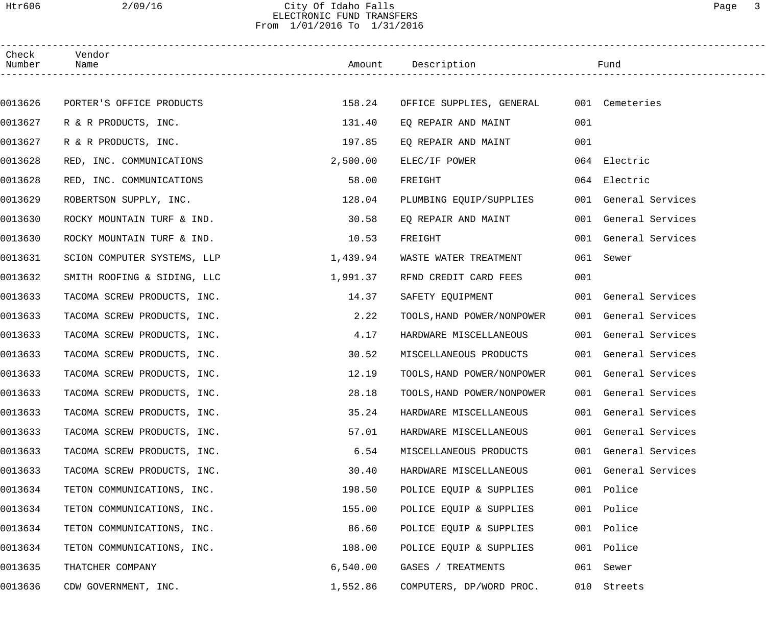## Htr606 2/09/16 City Of Idaho Falls Page 3 ELECTRONIC FUND TRANSFERS From 1/01/2016 To 1/31/2016

| Check<br>Number | Vendor<br>Name              |          | Amount Description                      |     | Fund                 |
|-----------------|-----------------------------|----------|-----------------------------------------|-----|----------------------|
|                 |                             |          |                                         |     |                      |
| 0013626         | PORTER'S OFFICE PRODUCTS    | 158.24   | OFFICE SUPPLIES, GENERAL 001 Cemeteries |     |                      |
| 0013627         | R & R PRODUCTS, INC.        | 131.40   | EO REPAIR AND MAINT                     | 001 |                      |
| 0013627         | R & R PRODUCTS, INC.        | 197.85   | EO REPAIR AND MAINT                     | 001 |                      |
| 0013628         | RED, INC. COMMUNICATIONS    | 2,500.00 | ELEC/IF POWER                           |     | 064 Electric         |
| 0013628         | RED, INC. COMMUNICATIONS    | 58.00    | FREIGHT                                 |     | 064 Electric         |
| 0013629         | ROBERTSON SUPPLY, INC.      | 128.04   | PLUMBING EQUIP/SUPPLIES                 |     | 001 General Services |
| 0013630         | ROCKY MOUNTAIN TURF & IND.  | 30.58    | EQ REPAIR AND MAINT                     |     | 001 General Services |
| 0013630         | ROCKY MOUNTAIN TURF & IND.  | 10.53    | FREIGHT                                 |     | 001 General Services |
| 0013631         | SCION COMPUTER SYSTEMS, LLP | 1,439.94 | WASTE WATER TREATMENT                   |     | 061 Sewer            |
| 0013632         | SMITH ROOFING & SIDING, LLC | 1,991.37 | RFND CREDIT CARD FEES                   | 001 |                      |
| 0013633         | TACOMA SCREW PRODUCTS, INC. | 14.37    | SAFETY EQUIPMENT                        |     | 001 General Services |
| 0013633         | TACOMA SCREW PRODUCTS, INC. | 2.22     | TOOLS, HAND POWER/NONPOWER              |     | 001 General Services |
| 0013633         | TACOMA SCREW PRODUCTS, INC. | 4.17     | HARDWARE MISCELLANEOUS                  |     | 001 General Services |
| 0013633         | TACOMA SCREW PRODUCTS, INC. | 30.52    | MISCELLANEOUS PRODUCTS                  |     | 001 General Services |
| 0013633         | TACOMA SCREW PRODUCTS, INC. | 12.19    | TOOLS, HAND POWER/NONPOWER              |     | 001 General Services |
| 0013633         | TACOMA SCREW PRODUCTS, INC. | 28.18    | TOOLS, HAND POWER/NONPOWER              |     | 001 General Services |
| 0013633         | TACOMA SCREW PRODUCTS, INC. | 35.24    | HARDWARE MISCELLANEOUS                  |     | 001 General Services |
| 0013633         | TACOMA SCREW PRODUCTS, INC. | 57.01    | HARDWARE MISCELLANEOUS                  |     | 001 General Services |
| 0013633         | TACOMA SCREW PRODUCTS, INC. | 6.54     | MISCELLANEOUS PRODUCTS                  |     | 001 General Services |
| 0013633         | TACOMA SCREW PRODUCTS, INC. | 30.40    | HARDWARE MISCELLANEOUS                  |     | 001 General Services |
| 0013634         | TETON COMMUNICATIONS, INC.  | 198.50   | POLICE EQUIP & SUPPLIES                 |     | 001 Police           |
| 0013634         | TETON COMMUNICATIONS, INC.  | 155.00   | POLICE EQUIP & SUPPLIES                 | 001 | Police               |
| 0013634         | TETON COMMUNICATIONS, INC.  | 86.60    | POLICE EQUIP & SUPPLIES                 |     | 001 Police           |
| 0013634         | TETON COMMUNICATIONS, INC.  | 108.00   | POLICE EQUIP & SUPPLIES                 |     | 001 Police           |
| 0013635         | THATCHER COMPANY            | 6,540.00 | GASES / TREATMENTS                      |     | 061 Sewer            |
| 0013636         | CDW GOVERNMENT, INC.        | 1,552.86 | COMPUTERS, DP/WORD PROC.                |     | 010 Streets          |
|                 |                             |          |                                         |     |                      |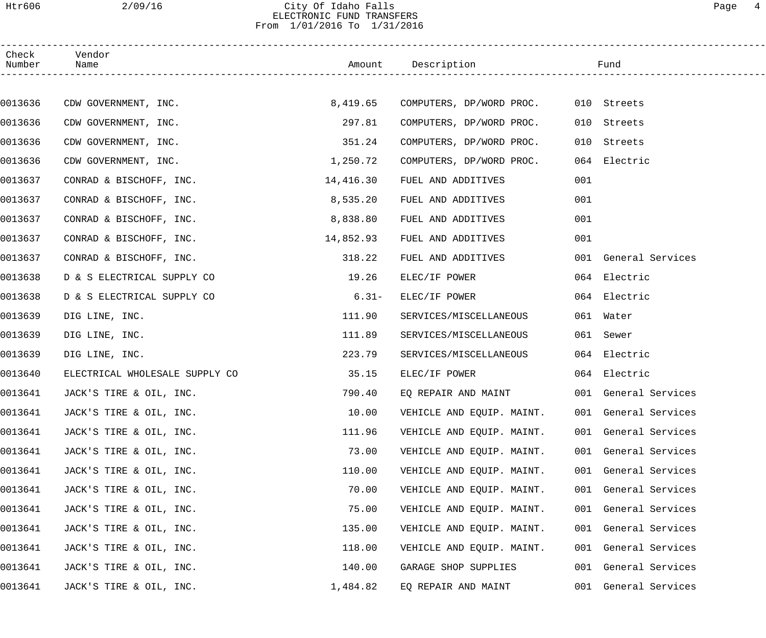## Htr606 2/09/16 City Of Idaho Falls Page 4 ELECTRONIC FUND TRANSFERS From 1/01/2016 To 1/31/2016

| Check<br>Number | Vendor<br>Name                 |           | Amount Description        |     | Fund                 |
|-----------------|--------------------------------|-----------|---------------------------|-----|----------------------|
|                 |                                |           |                           |     |                      |
| 0013636         | CDW GOVERNMENT, INC.           | 8,419.65  | COMPUTERS, DP/WORD PROC.  |     | 010 Streets          |
| 0013636         | CDW GOVERNMENT, INC.           | 297.81    | COMPUTERS, DP/WORD PROC.  | 010 | Streets              |
| 0013636         | CDW GOVERNMENT, INC.           | 351.24    | COMPUTERS, DP/WORD PROC.  | 010 | Streets              |
| 0013636         | CDW GOVERNMENT, INC.           | 1,250.72  | COMPUTERS, DP/WORD PROC.  |     | 064 Electric         |
| 0013637         | CONRAD & BISCHOFF, INC.        | 14,416.30 | FUEL AND ADDITIVES        | 001 |                      |
| 0013637         | CONRAD & BISCHOFF, INC.        | 8,535.20  | FUEL AND ADDITIVES        | 001 |                      |
| 0013637         | CONRAD & BISCHOFF, INC.        | 8,838.80  | FUEL AND ADDITIVES        | 001 |                      |
| 0013637         | CONRAD & BISCHOFF, INC.        | 14,852.93 | FUEL AND ADDITIVES        | 001 |                      |
| 0013637         | CONRAD & BISCHOFF, INC.        | 318.22    | FUEL AND ADDITIVES        |     | 001 General Services |
| 0013638         | D & S ELECTRICAL SUPPLY CO     | 19.26     | ELEC/IF POWER             |     | 064 Electric         |
| 0013638         | D & S ELECTRICAL SUPPLY CO     | $6.31-$   | ELEC/IF POWER             |     | 064 Electric         |
| 0013639         | DIG LINE, INC.                 | 111.90    | SERVICES/MISCELLANEOUS    |     | 061 Water            |
| 0013639         | DIG LINE, INC.                 | 111.89    | SERVICES/MISCELLANEOUS    |     | 061 Sewer            |
| 0013639         | DIG LINE, INC.                 | 223.79    | SERVICES/MISCELLANEOUS    |     | 064 Electric         |
| 0013640         | ELECTRICAL WHOLESALE SUPPLY CO | 35.15     | ELEC/IF POWER             |     | 064 Electric         |
| 0013641         | JACK'S TIRE & OIL, INC.        | 790.40    | EQ REPAIR AND MAINT       |     | 001 General Services |
| 0013641         | JACK'S TIRE & OIL, INC.        | 10.00     | VEHICLE AND EQUIP. MAINT. |     | 001 General Services |
| 0013641         | JACK'S TIRE & OIL, INC.        | 111.96    | VEHICLE AND EQUIP. MAINT. |     | 001 General Services |
| 0013641         | JACK'S TIRE & OIL, INC.        | 73.00     | VEHICLE AND EQUIP. MAINT. |     | 001 General Services |
| 0013641         | JACK'S TIRE & OIL, INC.        | 110.00    | VEHICLE AND EQUIP. MAINT. |     | 001 General Services |
| 0013641         | JACK'S TIRE & OIL, INC.        | 70.00     | VEHICLE AND EQUIP. MAINT. |     | 001 General Services |
| 0013641         | JACK'S TIRE & OIL, INC.        | 75.00     | VEHICLE AND EQUIP. MAINT. |     | 001 General Services |
| 0013641         | JACK'S TIRE & OIL, INC.        | 135.00    | VEHICLE AND EQUIP. MAINT. |     | 001 General Services |
| 0013641         | JACK'S TIRE & OIL, INC.        | 118.00    | VEHICLE AND EQUIP. MAINT. |     | 001 General Services |
| 0013641         | JACK'S TIRE & OIL, INC.        | 140.00    | GARAGE SHOP SUPPLIES      |     | 001 General Services |
| 0013641         | JACK'S TIRE & OIL, INC.        | 1,484.82  | EQ REPAIR AND MAINT       |     | 001 General Services |
|                 |                                |           |                           |     |                      |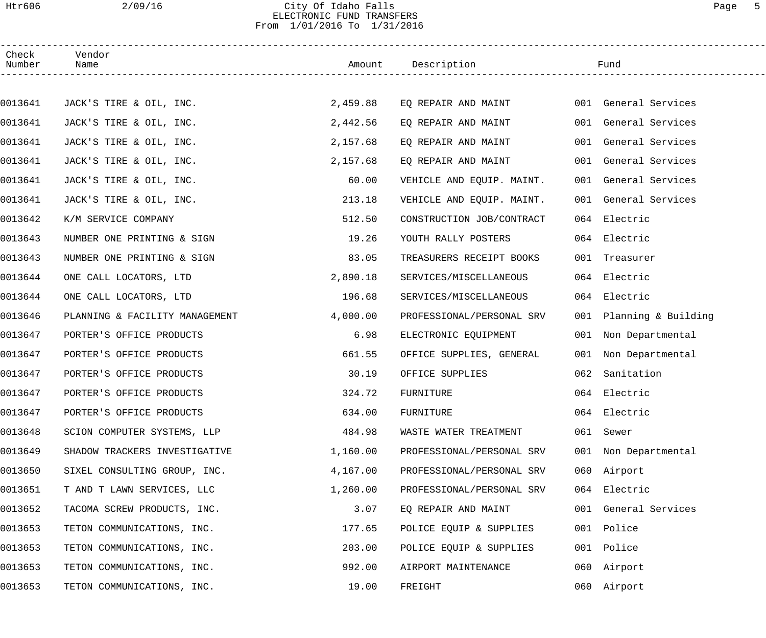#### Htr606 2/09/16 City Of Idaho Falls Page 5 ELECTRONIC FUND TRANSFERS From 1/01/2016 To 1/31/2016

| Check<br>Number | Vendor<br>Name                 |          | Amount Description        |     | Fund                    |
|-----------------|--------------------------------|----------|---------------------------|-----|-------------------------|
|                 |                                |          |                           |     |                         |
| 0013641         | JACK'S TIRE & OIL, INC.        | 2,459.88 | EQ REPAIR AND MAINT       |     | 001 General Services    |
| 0013641         | JACK'S TIRE & OIL, INC.        | 2,442.56 | EQ REPAIR AND MAINT       |     | 001 General Services    |
| 0013641         | JACK'S TIRE & OIL, INC.        | 2,157.68 | EQ REPAIR AND MAINT       |     | 001 General Services    |
| 0013641         | JACK'S TIRE & OIL, INC.        | 2,157.68 | EQ REPAIR AND MAINT       |     | 001 General Services    |
| 0013641         | JACK'S TIRE & OIL, INC.        | 60.00    | VEHICLE AND EQUIP. MAINT. |     | 001 General Services    |
| 0013641         | JACK'S TIRE & OIL, INC.        | 213.18   | VEHICLE AND EQUIP. MAINT. |     | 001 General Services    |
| 0013642         | K/M SERVICE COMPANY            | 512.50   | CONSTRUCTION JOB/CONTRACT |     | 064 Electric            |
| 0013643         | NUMBER ONE PRINTING & SIGN     | 19.26    | YOUTH RALLY POSTERS       |     | 064 Electric            |
| 0013643         | NUMBER ONE PRINTING & SIGN     | 83.05    | TREASURERS RECEIPT BOOKS  |     | 001 Treasurer           |
| 0013644         | ONE CALL LOCATORS, LTD         | 2,890.18 | SERVICES/MISCELLANEOUS    |     | 064 Electric            |
| 0013644         | ONE CALL LOCATORS, LTD         | 196.68   | SERVICES/MISCELLANEOUS    |     | 064 Electric            |
| 0013646         | PLANNING & FACILITY MANAGEMENT | 4,000.00 | PROFESSIONAL/PERSONAL SRV |     | 001 Planning & Building |
| 0013647         | PORTER'S OFFICE PRODUCTS       | 6.98     | ELECTRONIC EQUIPMENT      |     | 001 Non Departmental    |
| 0013647         | PORTER'S OFFICE PRODUCTS       | 661.55   | OFFICE SUPPLIES, GENERAL  |     | 001 Non Departmental    |
| 0013647         | PORTER'S OFFICE PRODUCTS       | 30.19    | OFFICE SUPPLIES           | 062 | Sanitation              |
| 0013647         | PORTER'S OFFICE PRODUCTS       | 324.72   | FURNITURE                 |     | 064 Electric            |
| 0013647         | PORTER'S OFFICE PRODUCTS       | 634.00   | FURNITURE                 |     | 064 Electric            |
| 0013648         | SCION COMPUTER SYSTEMS, LLP    | 484.98   | WASTE WATER TREATMENT     |     | 061 Sewer               |
| 0013649         | SHADOW TRACKERS INVESTIGATIVE  | 1,160.00 | PROFESSIONAL/PERSONAL SRV |     | 001 Non Departmental    |
| 0013650         | SIXEL CONSULTING GROUP, INC.   | 4,167.00 | PROFESSIONAL/PERSONAL SRV |     | 060 Airport             |
| 0013651         | T AND T LAWN SERVICES, LLC     | 1,260.00 | PROFESSIONAL/PERSONAL SRV |     | 064 Electric            |
| 0013652         | TACOMA SCREW PRODUCTS, INC.    | 3.07     | EQ REPAIR AND MAINT       |     | 001 General Services    |
| 0013653         | TETON COMMUNICATIONS, INC.     | 177.65   | POLICE EQUIP & SUPPLIES   |     | 001 Police              |
| 0013653         | TETON COMMUNICATIONS, INC.     | 203.00   | POLICE EQUIP & SUPPLIES   |     | 001 Police              |
| 0013653         | TETON COMMUNICATIONS, INC.     | 992.00   | AIRPORT MAINTENANCE       |     | 060 Airport             |
| 0013653         | TETON COMMUNICATIONS, INC.     | 19.00    | FREIGHT                   |     | 060 Airport             |
|                 |                                |          |                           |     |                         |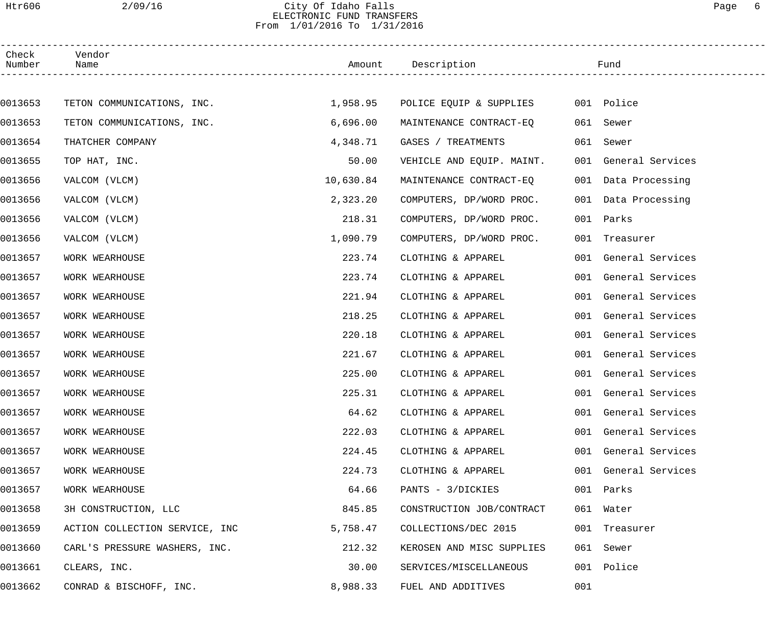### Htr606 2/09/16 City Of Idaho Falls Page 6 ELECTRONIC FUND TRANSFERS From 1/01/2016 To 1/31/2016

| Check<br>Number | Vendor<br>Name                 |           | Amount Description        |     | Fund                 |  |
|-----------------|--------------------------------|-----------|---------------------------|-----|----------------------|--|
|                 |                                |           |                           |     |                      |  |
| 0013653         | TETON COMMUNICATIONS, INC.     | 1,958.95  | POLICE EQUIP & SUPPLIES   |     | 001 Police           |  |
| 0013653         | TETON COMMUNICATIONS, INC.     | 6,696.00  | MAINTENANCE CONTRACT-EO   |     | 061 Sewer            |  |
| 0013654         | THATCHER COMPANY               | 4,348.71  | GASES / TREATMENTS        | 061 | Sewer                |  |
| 0013655         | TOP HAT, INC.                  | 50.00     | VEHICLE AND EQUIP. MAINT. |     | 001 General Services |  |
| 0013656         | VALCOM (VLCM)                  | 10,630.84 | MAINTENANCE CONTRACT-EQ   |     | 001 Data Processing  |  |
| 0013656         | VALCOM (VLCM)                  | 2,323.20  | COMPUTERS, DP/WORD PROC.  |     | 001 Data Processing  |  |
| 0013656         | VALCOM (VLCM)                  | 218.31    | COMPUTERS, DP/WORD PROC.  |     | 001 Parks            |  |
| 0013656         | VALCOM (VLCM)                  | 1,090.79  | COMPUTERS, DP/WORD PROC.  |     | 001 Treasurer        |  |
| 0013657         | WORK WEARHOUSE                 | 223.74    | CLOTHING & APPAREL        |     | 001 General Services |  |
| 0013657         | WORK WEARHOUSE                 | 223.74    | CLOTHING & APPAREL        |     | 001 General Services |  |
| 0013657         | WORK WEARHOUSE                 | 221.94    | CLOTHING & APPAREL        |     | 001 General Services |  |
| 0013657         | WORK WEARHOUSE                 | 218.25    | CLOTHING & APPAREL        |     | 001 General Services |  |
| 0013657         | WORK WEARHOUSE                 | 220.18    | CLOTHING & APPAREL        |     | 001 General Services |  |
| 0013657         | WORK WEARHOUSE                 | 221.67    | CLOTHING & APPAREL        |     | 001 General Services |  |
| 0013657         | WORK WEARHOUSE                 | 225.00    | CLOTHING & APPAREL        |     | 001 General Services |  |
| 0013657         | WORK WEARHOUSE                 | 225.31    | CLOTHING & APPAREL        |     | 001 General Services |  |
| 0013657         | WORK WEARHOUSE                 | 64.62     | CLOTHING & APPAREL        |     | 001 General Services |  |
| 0013657         | WORK WEARHOUSE                 | 222.03    | CLOTHING & APPAREL        |     | 001 General Services |  |
| 0013657         | WORK WEARHOUSE                 | 224.45    | CLOTHING & APPAREL        |     | 001 General Services |  |
| 0013657         | WORK WEARHOUSE                 | 224.73    | CLOTHING & APPAREL        |     | 001 General Services |  |
| 0013657         | WORK WEARHOUSE                 | 64.66     | PANTS - 3/DICKIES         |     | 001 Parks            |  |
| 0013658         | 3H CONSTRUCTION, LLC           | 845.85    | CONSTRUCTION JOB/CONTRACT |     | 061 Water            |  |
| 0013659         | ACTION COLLECTION SERVICE, INC | 5,758.47  | COLLECTIONS/DEC 2015      |     | 001 Treasurer        |  |
| 0013660         | CARL'S PRESSURE WASHERS, INC.  | 212.32    | KEROSEN AND MISC SUPPLIES |     | 061 Sewer            |  |
| 0013661         | CLEARS, INC.                   | 30.00     | SERVICES/MISCELLANEOUS    | 001 | Police               |  |
| 0013662         | CONRAD & BISCHOFF, INC.        | 8,988.33  | FUEL AND ADDITIVES        | 001 |                      |  |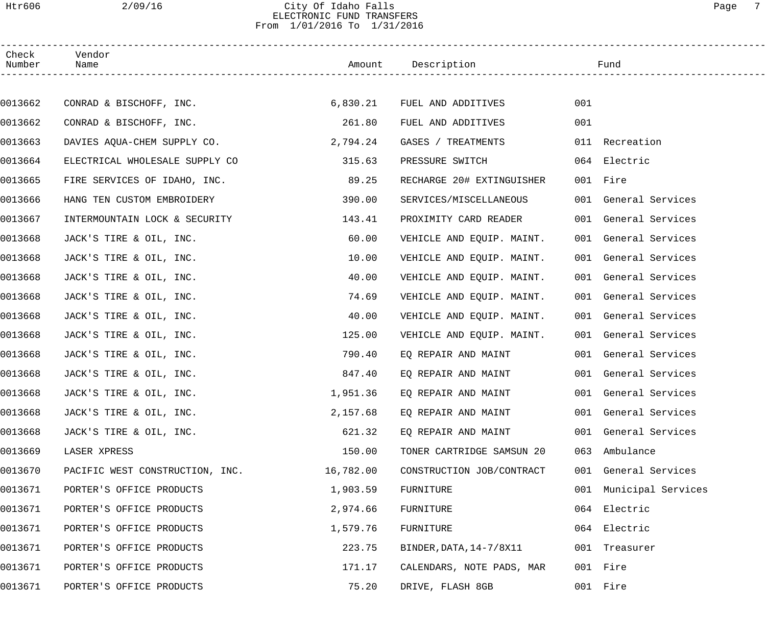## Htr606 2/09/16 City Of Idaho Falls Page 7 ELECTRONIC FUND TRANSFERS From 1/01/2016 To 1/31/2016

| Check<br>Number | Vendor<br>Name                  |           | Amount Description        |     | Fund                   |  |
|-----------------|---------------------------------|-----------|---------------------------|-----|------------------------|--|
|                 |                                 |           |                           |     |                        |  |
| 0013662         | CONRAD & BISCHOFF, INC.         | 6,830.21  | FUEL AND ADDITIVES        | 001 |                        |  |
| 0013662         | CONRAD & BISCHOFF, INC.         | 261.80    | FUEL AND ADDITIVES        | 001 |                        |  |
| 0013663         | DAVIES AQUA-CHEM SUPPLY CO.     | 2,794.24  | GASES / TREATMENTS        |     | 011 Recreation         |  |
| 0013664         | ELECTRICAL WHOLESALE SUPPLY CO  | 315.63    | PRESSURE SWITCH           |     | 064 Electric           |  |
| 0013665         | FIRE SERVICES OF IDAHO, INC.    | 89.25     | RECHARGE 20# EXTINGUISHER |     | 001 Fire               |  |
| 0013666         | HANG TEN CUSTOM EMBROIDERY      | 390.00    | SERVICES/MISCELLANEOUS    |     | 001 General Services   |  |
| 0013667         | INTERMOUNTAIN LOCK & SECURITY   | 143.41    | PROXIMITY CARD READER     |     | 001 General Services   |  |
| 0013668         | JACK'S TIRE & OIL, INC.         | 60.00     | VEHICLE AND EQUIP. MAINT. |     | 001 General Services   |  |
| 0013668         | JACK'S TIRE & OIL, INC.         | 10.00     | VEHICLE AND EQUIP. MAINT. |     | 001 General Services   |  |
| 0013668         | JACK'S TIRE & OIL, INC.         | 40.00     | VEHICLE AND EQUIP. MAINT. |     | 001 General Services   |  |
| 0013668         | JACK'S TIRE & OIL, INC.         | 74.69     | VEHICLE AND EQUIP. MAINT. |     | 001 General Services   |  |
| 0013668         | JACK'S TIRE & OIL, INC.         | 40.00     | VEHICLE AND EQUIP. MAINT. |     | 001 General Services   |  |
| 0013668         | JACK'S TIRE & OIL, INC.         | 125.00    | VEHICLE AND EQUIP. MAINT. |     | 001 General Services   |  |
| 0013668         | JACK'S TIRE & OIL, INC.         | 790.40    | EQ REPAIR AND MAINT       |     | 001 General Services   |  |
| 0013668         | JACK'S TIRE & OIL, INC.         | 847.40    | EQ REPAIR AND MAINT       |     | 001 General Services   |  |
| 0013668         | JACK'S TIRE & OIL, INC.         | 1,951.36  | EQ REPAIR AND MAINT       |     | 001 General Services   |  |
| 0013668         | JACK'S TIRE & OIL, INC.         | 2,157.68  | EQ REPAIR AND MAINT       |     | 001 General Services   |  |
| 0013668         | JACK'S TIRE & OIL, INC.         | 621.32    | EQ REPAIR AND MAINT       |     | 001 General Services   |  |
| 0013669         | LASER XPRESS                    | 150.00    | TONER CARTRIDGE SAMSUN 20 |     | 063 Ambulance          |  |
| 0013670         | PACIFIC WEST CONSTRUCTION, INC. | 16,782.00 | CONSTRUCTION JOB/CONTRACT |     | 001 General Services   |  |
| 0013671         | PORTER'S OFFICE PRODUCTS        | 1,903.59  | FURNITURE                 |     | 001 Municipal Services |  |
| 0013671         | PORTER'S OFFICE PRODUCTS        | 2,974.66  | FURNITURE                 | 064 | Electric               |  |
| 0013671         | PORTER'S OFFICE PRODUCTS        | 1,579.76  | FURNITURE                 |     | 064 Electric           |  |
| 0013671         | PORTER'S OFFICE PRODUCTS        | 223.75    | BINDER, DATA, 14-7/8X11   |     | 001 Treasurer          |  |
| 0013671         | PORTER'S OFFICE PRODUCTS        | 171.17    | CALENDARS, NOTE PADS, MAR |     | 001 Fire               |  |
| 0013671         | PORTER'S OFFICE PRODUCTS        | 75.20     | DRIVE, FLASH 8GB          |     | 001 Fire               |  |
|                 |                                 |           |                           |     |                        |  |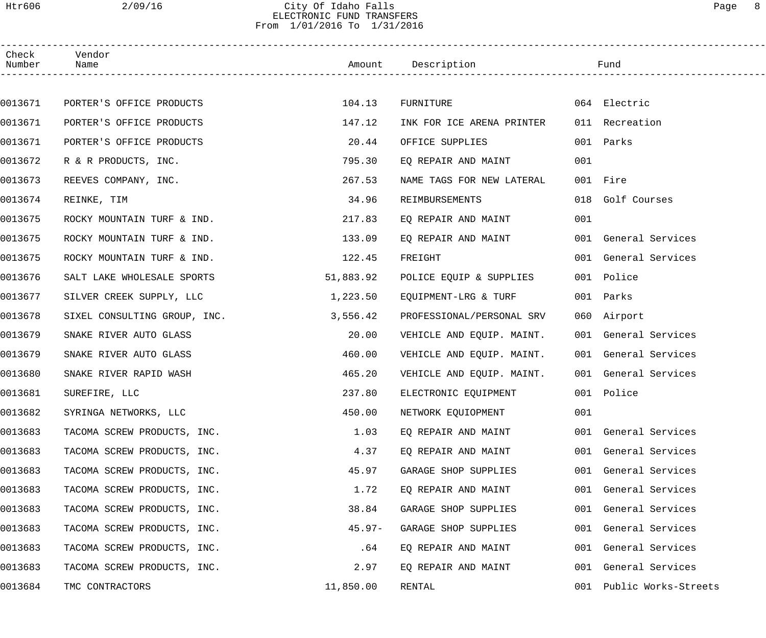# Htr606 2/09/16 City Of Idaho Falls Page 8 ELECTRONIC FUND TRANSFERS From 1/01/2016 To 1/31/2016

| Check<br>Number | Vendor<br>Name               |           | Amount Description        |     | Fund                 |  |
|-----------------|------------------------------|-----------|---------------------------|-----|----------------------|--|
|                 |                              |           |                           |     |                      |  |
| 0013671         | PORTER'S OFFICE PRODUCTS     | 104.13    | FURNITURE                 |     | 064 Electric         |  |
| 0013671         | PORTER'S OFFICE PRODUCTS     | 147.12    | INK FOR ICE ARENA PRINTER |     | 011 Recreation       |  |
| 0013671         | PORTER'S OFFICE PRODUCTS     | 20.44     | OFFICE SUPPLIES           |     | 001 Parks            |  |
| 0013672         | R & R PRODUCTS, INC.         | 795.30    | EQ REPAIR AND MAINT       | 001 |                      |  |
| 0013673         | REEVES COMPANY, INC.         | 267.53    | NAME TAGS FOR NEW LATERAL |     | 001 Fire             |  |
| 0013674         | REINKE, TIM                  | 34.96     | REIMBURSEMENTS            |     | 018 Golf Courses     |  |
| 0013675         | ROCKY MOUNTAIN TURF & IND.   | 217.83    | EQ REPAIR AND MAINT       | 001 |                      |  |
| 0013675         | ROCKY MOUNTAIN TURF & IND.   | 133.09    | EO REPAIR AND MAINT       |     | 001 General Services |  |
| 0013675         | ROCKY MOUNTAIN TURF & IND.   | 122.45    | FREIGHT                   |     | 001 General Services |  |
| 0013676         | SALT LAKE WHOLESALE SPORTS   | 51,883.92 | POLICE EQUIP & SUPPLIES   |     | 001 Police           |  |
| 0013677         | SILVER CREEK SUPPLY, LLC     | 1,223.50  | EQUIPMENT-LRG & TURF      |     | 001 Parks            |  |
| 0013678         | SIXEL CONSULTING GROUP, INC. | 3,556.42  | PROFESSIONAL/PERSONAL SRV |     | 060 Airport          |  |
| 0013679         | SNAKE RIVER AUTO GLASS       | 20.00     | VEHICLE AND EQUIP. MAINT. |     | 001 General Services |  |
| 0013679         | SNAKE RIVER AUTO GLASS       | 460.00    | VEHICLE AND EQUIP. MAINT. |     | 001 General Services |  |
| 0013680         | SNAKE RIVER RAPID WASH       | 465.20    | VEHICLE AND EQUIP. MAINT. |     | 001 General Services |  |
| 0013681         | SUREFIRE, LLC                | 237.80    | ELECTRONIC EQUIPMENT      |     | 001 Police           |  |
| 0013682         | SYRINGA NETWORKS, LLC        | 450.00    | NETWORK EQUIOPMENT        | 001 |                      |  |
| 0013683         | TACOMA SCREW PRODUCTS, INC.  | 1.03      | EO REPAIR AND MAINT       |     | 001 General Services |  |
| 0013683         | TACOMA SCREW PRODUCTS, INC.  | 4.37      | EQ REPAIR AND MAINT       |     | 001 General Services |  |
| 0013683         | TACOMA SCREW PRODUCTS, INC.  | 45.97     | GARAGE SHOP SUPPLIES      |     | 001 General Services |  |
| 0013683         | TACOMA SCREW PRODUCTS, INC.  | 1.72      | EQ REPAIR AND MAINT       |     | 001 General Services |  |
| 0013683         | TACOMA SCREW PRODUCTS, INC.  | 38.84     | GARAGE SHOP SUPPLIES      |     | 001 General Services |  |
| 0013683         | TACOMA SCREW PRODUCTS, INC.  | $45.97 -$ | GARAGE SHOP SUPPLIES      |     | 001 General Services |  |
| 0013683         | TACOMA SCREW PRODUCTS, INC.  | .64       | EQ REPAIR AND MAINT       |     | 001 General Services |  |
| 0013683         | TACOMA SCREW PRODUCTS, INC.  | 2.97      | EQ REPAIR AND MAINT       |     | 001 General Services |  |
| 0013684         | TMC CONTRACTORS              | 11,850.00 | RENTAL                    | 001 | Public Works-Streets |  |
|                 |                              |           |                           |     |                      |  |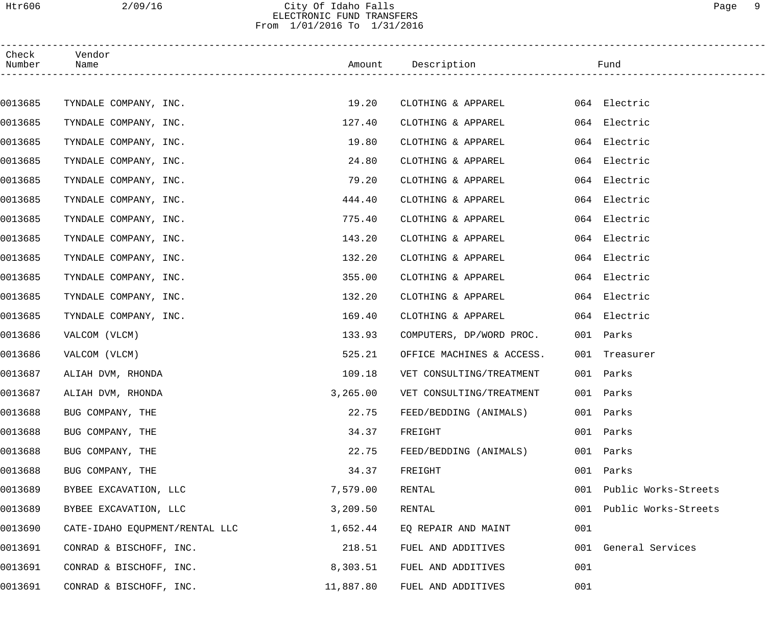## Htr606 2/09/16 City Of Idaho Falls Page 9 ELECTRONIC FUND TRANSFERS From 1/01/2016 To 1/31/2016

| Check<br>Number | Vendor<br>Name                 |           | Amount Description            | Fund                 |
|-----------------|--------------------------------|-----------|-------------------------------|----------------------|
|                 |                                |           |                               |                      |
| 0013685         | TYNDALE COMPANY, INC.          | 19.20     | CLOTHING & APPAREL            | 064 Electric         |
| 0013685         | TYNDALE COMPANY, INC.          | 127.40    | CLOTHING & APPAREL            | 064 Electric         |
| 0013685         | TYNDALE COMPANY, INC.          | 19.80     | CLOTHING & APPAREL            | 064 Electric         |
| 0013685         | TYNDALE COMPANY, INC.          | 24.80     | CLOTHING & APPAREL            | 064 Electric         |
| 0013685         | TYNDALE COMPANY, INC.          | 79.20     | CLOTHING & APPAREL            | 064 Electric         |
| 0013685         | TYNDALE COMPANY, INC.          | 444.40    | CLOTHING & APPAREL            | 064 Electric         |
| 0013685         | TYNDALE COMPANY, INC.          | 775.40    | CLOTHING & APPAREL            | 064 Electric         |
| 0013685         | TYNDALE COMPANY, INC.          | 143.20    | CLOTHING & APPAREL            | 064 Electric         |
| 0013685         | TYNDALE COMPANY, INC.          | 132.20    | CLOTHING & APPAREL            | 064 Electric         |
| 0013685         | TYNDALE COMPANY, INC.          | 355.00    | CLOTHING & APPAREL            | 064 Electric         |
| 0013685         | TYNDALE COMPANY, INC.          | 132.20    | CLOTHING & APPAREL            | 064 Electric         |
| 0013685         | TYNDALE COMPANY, INC.          | 169.40    | CLOTHING & APPAREL            | 064 Electric         |
| 0013686         | VALCOM (VLCM)                  | 133.93    | COMPUTERS, DP/WORD PROC.      | 001 Parks            |
| 0013686         | VALCOM (VLCM)                  | 525.21    | OFFICE MACHINES & ACCESS.     | 001 Treasurer        |
| 0013687         | ALIAH DVM, RHONDA              | 109.18    | VET CONSULTING/TREATMENT      | 001 Parks            |
| 0013687         | ALIAH DVM, RHONDA              | 3,265.00  | VET CONSULTING/TREATMENT      | 001 Parks            |
| 0013688         | BUG COMPANY, THE               | 22.75     | FEED/BEDDING (ANIMALS)        | 001 Parks            |
| 0013688         | BUG COMPANY, THE               | 34.37     | 001<br>FREIGHT                | Parks                |
| 0013688         | BUG COMPANY, THE               | 22.75     | FEED/BEDDING (ANIMALS)<br>001 | Parks                |
| 0013688         | BUG COMPANY, THE               | 34.37     | 001<br>FREIGHT                | Parks                |
| 0013689         | BYBEE EXCAVATION, LLC          | 7,579.00  | RENTAL<br>001                 | Public Works-Streets |
| 0013689         | BYBEE EXCAVATION, LLC          | 3,209.50  | RENTAL<br>001                 | Public Works-Streets |
| 0013690         | CATE-IDAHO EQUPMENT/RENTAL LLC | 1,652.44  | 001<br>EQ REPAIR AND MAINT    |                      |
| 0013691         | CONRAD & BISCHOFF, INC.        | 218.51    | FUEL AND ADDITIVES            | 001 General Services |
| 0013691         | CONRAD & BISCHOFF, INC.        | 8,303.51  | 001<br>FUEL AND ADDITIVES     |                      |
| 0013691         | CONRAD & BISCHOFF, INC.        | 11,887.80 | 001<br>FUEL AND ADDITIVES     |                      |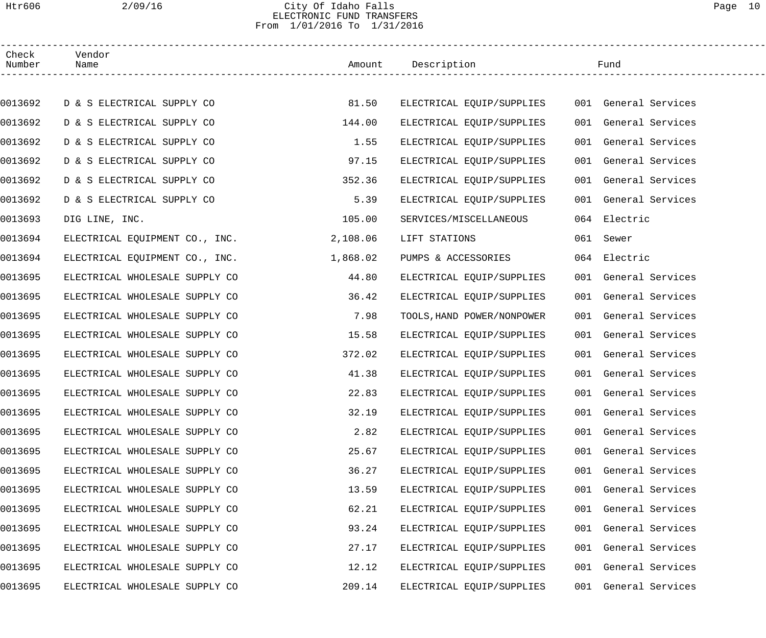## Htr606 2/09/16 City Of Idaho Falls Page 10 ELECTRONIC FUND TRANSFERS From 1/01/2016 To 1/31/2016

| Check<br>Number | Vendor<br>Name                 |          | Amount Description         | Fund         |                      |  |
|-----------------|--------------------------------|----------|----------------------------|--------------|----------------------|--|
|                 |                                |          |                            |              |                      |  |
| 0013692         | D & S ELECTRICAL SUPPLY CO     | 81.50    | ELECTRICAL EQUIP/SUPPLIES  |              | 001 General Services |  |
| 0013692         | D & S ELECTRICAL SUPPLY CO     | 144.00   | ELECTRICAL EQUIP/SUPPLIES  |              | 001 General Services |  |
| 0013692         | D & S ELECTRICAL SUPPLY CO     | 1.55     | ELECTRICAL EQUIP/SUPPLIES  |              | 001 General Services |  |
| 0013692         | D & S ELECTRICAL SUPPLY CO     | 97.15    | ELECTRICAL EQUIP/SUPPLIES  |              | 001 General Services |  |
| 0013692         | D & S ELECTRICAL SUPPLY CO     | 352.36   | ELECTRICAL EQUIP/SUPPLIES  |              | 001 General Services |  |
| 0013692         | D & S ELECTRICAL SUPPLY CO     | 5.39     | ELECTRICAL EQUIP/SUPPLIES  |              | 001 General Services |  |
| 0013693         | DIG LINE, INC.                 | 105.00   | SERVICES/MISCELLANEOUS     | 064 Electric |                      |  |
| 0013694         | ELECTRICAL EQUIPMENT CO., INC. | 2,108.06 | LIFT STATIONS              | 061 Sewer    |                      |  |
| 0013694         | ELECTRICAL EQUIPMENT CO., INC. | 1,868.02 | PUMPS & ACCESSORIES        | 064 Electric |                      |  |
| 0013695         | ELECTRICAL WHOLESALE SUPPLY CO | 44.80    | ELECTRICAL EQUIP/SUPPLIES  |              | 001 General Services |  |
| 0013695         | ELECTRICAL WHOLESALE SUPPLY CO | 36.42    | ELECTRICAL EQUIP/SUPPLIES  |              | 001 General Services |  |
| 0013695         | ELECTRICAL WHOLESALE SUPPLY CO | 7.98     | TOOLS, HAND POWER/NONPOWER |              | 001 General Services |  |
| 0013695         | ELECTRICAL WHOLESALE SUPPLY CO | 15.58    | ELECTRICAL EQUIP/SUPPLIES  |              | 001 General Services |  |
| 0013695         | ELECTRICAL WHOLESALE SUPPLY CO | 372.02   | ELECTRICAL EQUIP/SUPPLIES  |              | 001 General Services |  |
| 0013695         | ELECTRICAL WHOLESALE SUPPLY CO | 41.38    | ELECTRICAL EQUIP/SUPPLIES  |              | 001 General Services |  |
| 0013695         | ELECTRICAL WHOLESALE SUPPLY CO | 22.83    | ELECTRICAL EQUIP/SUPPLIES  |              | 001 General Services |  |
| 0013695         | ELECTRICAL WHOLESALE SUPPLY CO | 32.19    | ELECTRICAL EQUIP/SUPPLIES  |              | 001 General Services |  |
| 0013695         | ELECTRICAL WHOLESALE SUPPLY CO | 2.82     | ELECTRICAL EQUIP/SUPPLIES  |              | 001 General Services |  |
| 0013695         | ELECTRICAL WHOLESALE SUPPLY CO | 25.67    | ELECTRICAL EQUIP/SUPPLIES  |              | 001 General Services |  |
| 0013695         | ELECTRICAL WHOLESALE SUPPLY CO | 36.27    | ELECTRICAL EQUIP/SUPPLIES  |              | 001 General Services |  |
| 0013695         | ELECTRICAL WHOLESALE SUPPLY CO | 13.59    | ELECTRICAL EQUIP/SUPPLIES  |              | 001 General Services |  |
| 0013695         | ELECTRICAL WHOLESALE SUPPLY CO | 62.21    | ELECTRICAL EQUIP/SUPPLIES  |              | 001 General Services |  |
| 0013695         | ELECTRICAL WHOLESALE SUPPLY CO | 93.24    | ELECTRICAL EQUIP/SUPPLIES  |              | 001 General Services |  |
| 0013695         | ELECTRICAL WHOLESALE SUPPLY CO | 27.17    | ELECTRICAL EQUIP/SUPPLIES  |              | 001 General Services |  |
| 0013695         | ELECTRICAL WHOLESALE SUPPLY CO | 12.12    | ELECTRICAL EQUIP/SUPPLIES  |              | 001 General Services |  |
| 0013695         | ELECTRICAL WHOLESALE SUPPLY CO | 209.14   | ELECTRICAL EQUIP/SUPPLIES  |              | 001 General Services |  |
|                 |                                |          |                            |              |                      |  |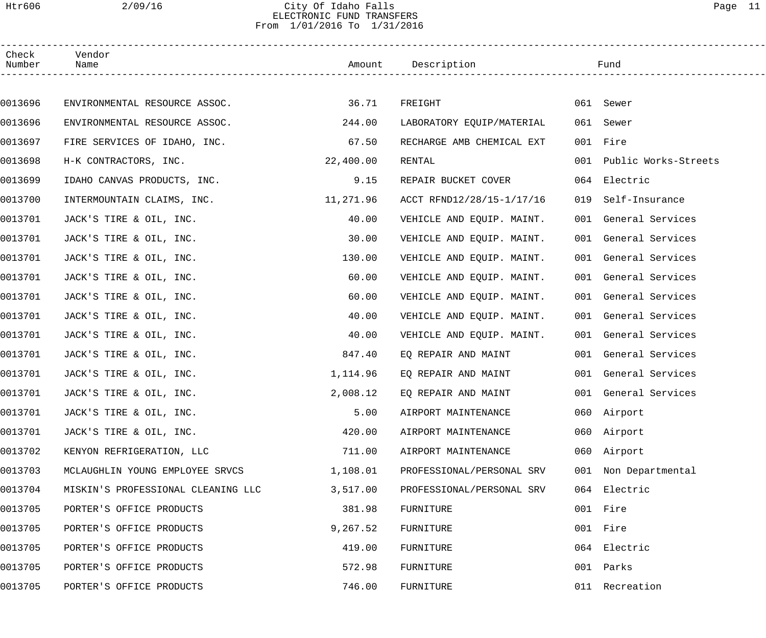## Htr606 2/09/16 City Of Idaho Falls Page 11 ELECTRONIC FUND TRANSFERS From 1/01/2016 To 1/31/2016

| Check<br>Number | Vendor<br>Name                     |           | Amount Description        |     | Fund                     |  |
|-----------------|------------------------------------|-----------|---------------------------|-----|--------------------------|--|
|                 |                                    |           |                           |     |                          |  |
| 0013696         | ENVIRONMENTAL RESOURCE ASSOC.      | 36.71     | FREIGHT                   |     | 061 Sewer                |  |
| 0013696         | ENVIRONMENTAL RESOURCE ASSOC.      | 244.00    | LABORATORY EQUIP/MATERIAL |     | 061 Sewer                |  |
| 0013697         | FIRE SERVICES OF IDAHO, INC.       | 67.50     | RECHARGE AMB CHEMICAL EXT |     | 001 Fire                 |  |
| 0013698         | H-K CONTRACTORS, INC.              | 22,400.00 | RENTAL                    |     | 001 Public Works-Streets |  |
| 0013699         | IDAHO CANVAS PRODUCTS, INC.        | 9.15      | REPAIR BUCKET COVER       |     | 064 Electric             |  |
| 0013700         | INTERMOUNTAIN CLAIMS, INC.         | 11,271.96 | ACCT RFND12/28/15-1/17/16 | 019 | Self-Insurance           |  |
| 0013701         | JACK'S TIRE & OIL, INC.            | 40.00     | VEHICLE AND EQUIP. MAINT. |     | 001 General Services     |  |
| 0013701         | JACK'S TIRE & OIL, INC.            | 30.00     | VEHICLE AND EQUIP. MAINT. |     | 001 General Services     |  |
| 0013701         | JACK'S TIRE & OIL, INC.            | 130.00    | VEHICLE AND EQUIP. MAINT. |     | 001 General Services     |  |
| 0013701         | JACK'S TIRE & OIL, INC.            | 60.00     | VEHICLE AND EQUIP. MAINT. |     | 001 General Services     |  |
| 0013701         | JACK'S TIRE & OIL, INC.            | 60.00     | VEHICLE AND EQUIP. MAINT. |     | 001 General Services     |  |
| 0013701         | JACK'S TIRE & OIL, INC.            | 40.00     | VEHICLE AND EQUIP. MAINT. |     | 001 General Services     |  |
| 0013701         | JACK'S TIRE & OIL, INC.            | 40.00     | VEHICLE AND EQUIP. MAINT. |     | 001 General Services     |  |
| 0013701         | JACK'S TIRE & OIL, INC.            | 847.40    | EO REPAIR AND MAINT       |     | 001 General Services     |  |
| 0013701         | JACK'S TIRE & OIL, INC.            | 1,114.96  | EQ REPAIR AND MAINT       |     | 001 General Services     |  |
| 0013701         | JACK'S TIRE & OIL, INC.            | 2,008.12  | EO REPAIR AND MAINT       |     | 001 General Services     |  |
| 0013701         | JACK'S TIRE & OIL, INC.            | 5.00      | AIRPORT MAINTENANCE       |     | 060 Airport              |  |
| 0013701         | JACK'S TIRE & OIL, INC.            | 420.00    | AIRPORT MAINTENANCE       |     | 060 Airport              |  |
| 0013702         | KENYON REFRIGERATION, LLC          | 711.00    | AIRPORT MAINTENANCE       |     | 060 Airport              |  |
| 0013703         | MCLAUGHLIN YOUNG EMPLOYEE SRVCS    | 1,108.01  | PROFESSIONAL/PERSONAL SRV |     | 001 Non Departmental     |  |
| 0013704         | MISKIN'S PROFESSIONAL CLEANING LLC | 3,517.00  | PROFESSIONAL/PERSONAL SRV |     | 064 Electric             |  |
| 0013705         | PORTER'S OFFICE PRODUCTS           | 381.98    | FURNITURE                 |     | 001 Fire                 |  |
| 0013705         | PORTER'S OFFICE PRODUCTS           | 9,267.52  | FURNITURE                 |     | 001 Fire                 |  |
| 0013705         | PORTER'S OFFICE PRODUCTS           | 419.00    | FURNITURE                 |     | 064 Electric             |  |
| 0013705         | PORTER'S OFFICE PRODUCTS           | 572.98    | FURNITURE                 | 001 | Parks                    |  |
| 0013705         | PORTER'S OFFICE PRODUCTS           | 746.00    | FURNITURE                 |     | 011 Recreation           |  |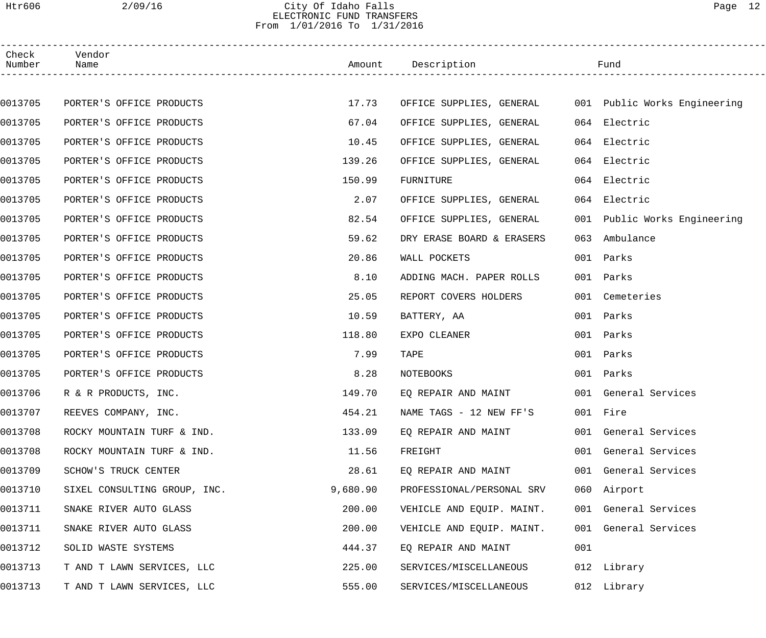## Htr606 2/09/16 City Of Idaho Falls Page 12 ELECTRONIC FUND TRANSFERS From 1/01/2016 To 1/31/2016

| Check<br>Number | Vendor<br>Name               |          | Amount Description                                    |     | Fund                         |  |
|-----------------|------------------------------|----------|-------------------------------------------------------|-----|------------------------------|--|
|                 |                              |          |                                                       |     |                              |  |
| 0013705         | PORTER'S OFFICE PRODUCTS     | 17.73    | OFFICE SUPPLIES, GENERAL 001 Public Works Engineering |     |                              |  |
| 0013705         | PORTER'S OFFICE PRODUCTS     | 67.04    | OFFICE SUPPLIES, GENERAL                              |     | 064 Electric                 |  |
| 0013705         | PORTER'S OFFICE PRODUCTS     | 10.45    | OFFICE SUPPLIES, GENERAL                              |     | 064 Electric                 |  |
| 0013705         | PORTER'S OFFICE PRODUCTS     | 139.26   | OFFICE SUPPLIES, GENERAL                              |     | 064 Electric                 |  |
| 0013705         | PORTER'S OFFICE PRODUCTS     | 150.99   | FURNITURE                                             |     | 064 Electric                 |  |
| 0013705         | PORTER'S OFFICE PRODUCTS     | 2.07     | OFFICE SUPPLIES, GENERAL                              |     | 064 Electric                 |  |
| 0013705         | PORTER'S OFFICE PRODUCTS     | 82.54    | OFFICE SUPPLIES, GENERAL                              |     | 001 Public Works Engineering |  |
| 0013705         | PORTER'S OFFICE PRODUCTS     | 59.62    | DRY ERASE BOARD & ERASERS                             | 063 | Ambulance                    |  |
| 0013705         | PORTER'S OFFICE PRODUCTS     | 20.86    | WALL POCKETS                                          |     | 001 Parks                    |  |
| 0013705         | PORTER'S OFFICE PRODUCTS     | 8.10     | ADDING MACH. PAPER ROLLS                              |     | 001 Parks                    |  |
| 0013705         | PORTER'S OFFICE PRODUCTS     | 25.05    | REPORT COVERS HOLDERS                                 |     | 001 Cemeteries               |  |
| 0013705         | PORTER'S OFFICE PRODUCTS     | 10.59    | BATTERY, AA                                           |     | 001 Parks                    |  |
| 0013705         | PORTER'S OFFICE PRODUCTS     | 118.80   | EXPO CLEANER                                          |     | 001 Parks                    |  |
| 0013705         | PORTER'S OFFICE PRODUCTS     | 7.99     | <b>TAPE</b>                                           |     | 001 Parks                    |  |
| 0013705         | PORTER'S OFFICE PRODUCTS     | 8.28     | NOTEBOOKS                                             |     | 001 Parks                    |  |
| 0013706         | R & R PRODUCTS, INC.         | 149.70   | EQ REPAIR AND MAINT                                   |     | 001 General Services         |  |
| 0013707         | REEVES COMPANY, INC.         | 454.21   | NAME TAGS - 12 NEW FF'S                               |     | 001 Fire                     |  |
| 0013708         | ROCKY MOUNTAIN TURF & IND.   | 133.09   | EQ REPAIR AND MAINT                                   |     | 001 General Services         |  |
| 0013708         | ROCKY MOUNTAIN TURF & IND.   | 11.56    | FREIGHT                                               |     | 001 General Services         |  |
| 0013709         | SCHOW'S TRUCK CENTER         | 28.61    | EO REPAIR AND MAINT                                   |     | 001 General Services         |  |
| 0013710         | SIXEL CONSULTING GROUP, INC. | 9,680.90 | PROFESSIONAL/PERSONAL SRV                             |     | 060 Airport                  |  |
| 0013711         | SNAKE RIVER AUTO GLASS       | 200.00   | VEHICLE AND EQUIP. MAINT.                             |     | 001 General Services         |  |
| 0013711         | SNAKE RIVER AUTO GLASS       | 200.00   | VEHICLE AND EQUIP. MAINT.                             |     | 001 General Services         |  |
| 0013712         | SOLID WASTE SYSTEMS          | 444.37   | EQ REPAIR AND MAINT                                   | 001 |                              |  |
| 0013713         | T AND T LAWN SERVICES, LLC   | 225.00   | SERVICES/MISCELLANEOUS                                |     | 012 Library                  |  |
| 0013713         | T AND T LAWN SERVICES, LLC   | 555.00   | SERVICES/MISCELLANEOUS                                |     | 012 Library                  |  |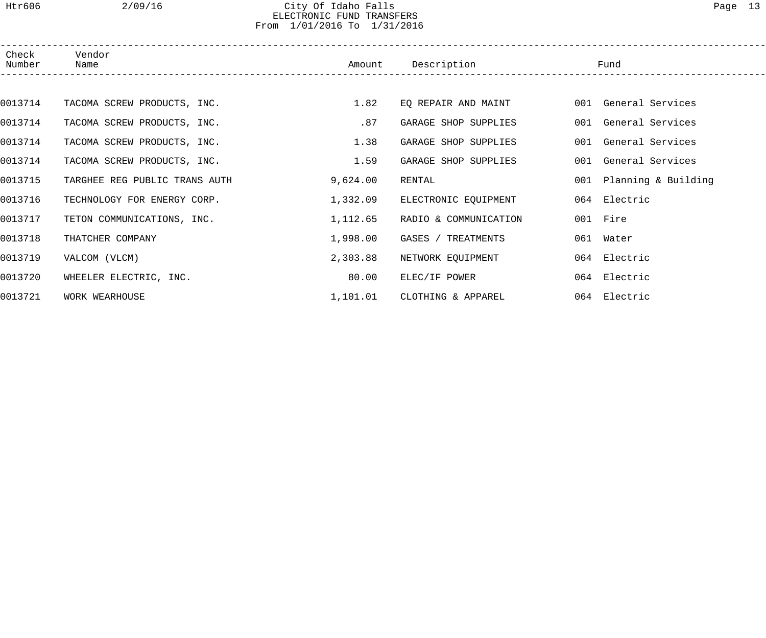## Htr606 2/09/16 City Of Idaho Falls Page 13 ELECTRONIC FUND TRANSFERS From 1/01/2016 To 1/31/2016

| Check<br>Number | Vendor<br>Name                | Amount   | Description<br>_____________________________ | Fund                    |
|-----------------|-------------------------------|----------|----------------------------------------------|-------------------------|
|                 |                               |          |                                              |                         |
| 0013714         | TACOMA SCREW PRODUCTS, INC.   | 1.82     | EQ REPAIR AND MAINT                          | 001 General Services    |
| 0013714         | TACOMA SCREW PRODUCTS, INC.   | .87      | GARAGE SHOP SUPPLIES                         | 001 General Services    |
| 0013714         | TACOMA SCREW PRODUCTS, INC.   | 1.38     | GARAGE SHOP SUPPLIES                         | 001 General Services    |
| 0013714         | TACOMA SCREW PRODUCTS, INC.   | 1.59     | GARAGE SHOP SUPPLIES                         | 001 General Services    |
| 0013715         | TARGHEE REG PUBLIC TRANS AUTH | 9,624.00 | RENTAL                                       | 001 Planning & Building |
| 0013716         | TECHNOLOGY FOR ENERGY CORP.   | 1,332.09 | ELECTRONIC EQUIPMENT                         | 064 Electric            |
| 0013717         | TETON COMMUNICATIONS, INC.    | 1,112.65 | RADIO & COMMUNICATION                        | 001 Fire                |
| 0013718         | THATCHER COMPANY              | 1,998.00 | GASES / TREATMENTS                           | 061 Water               |
| 0013719         | VALCOM (VLCM)                 | 2,303.88 | NETWORK EQUIPMENT                            | 064 Electric            |
| 0013720         | WHEELER ELECTRIC, INC.        | 80.00    | ELEC/IF POWER                                | 064 Electric            |
| 0013721         | WORK WEARHOUSE                | 1,101.01 | CLOTHING & APPAREL                           | 064 Electric            |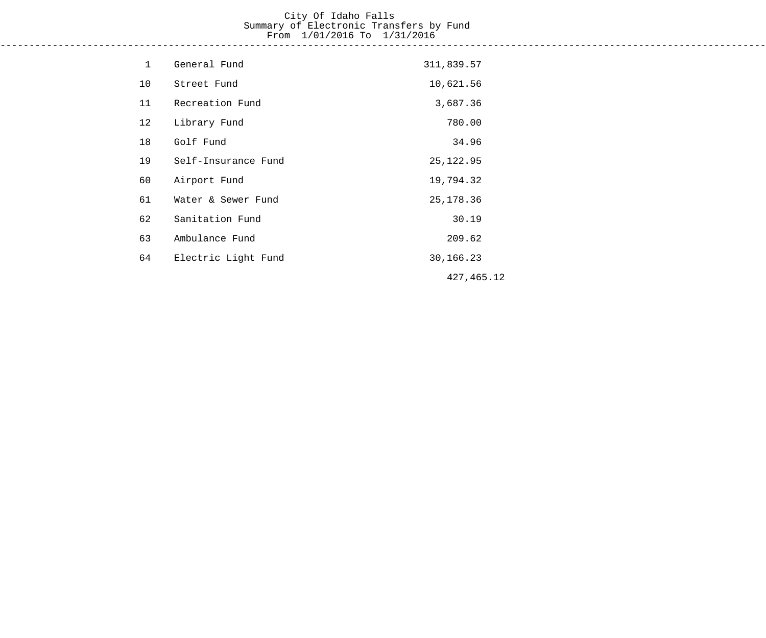# City Of Idaho Falls Summary of Electronic Transfers by Fund From 1/01/2016 To 1/31/2016

------------------------------------------------------------------------------------------------------------------------------------

| $\mathbf{1}$ | General Fund        | 311,839.57  |  |
|--------------|---------------------|-------------|--|
| 10           | Street Fund         | 10,621.56   |  |
| 11           | Recreation Fund     | 3,687.36    |  |
| 12           | Library Fund        | 780.00      |  |
| 18           | Golf Fund           | 34.96       |  |
| 19           | Self-Insurance Fund | 25, 122.95  |  |
| 60           | Airport Fund        | 19,794.32   |  |
| 61           | Water & Sewer Fund  | 25, 178. 36 |  |
| 62           | Sanitation Fund     | 30.19       |  |
| 63           | Ambulance Fund      | 209.62      |  |
| 64           | Electric Light Fund | 30,166.23   |  |
|              |                     | 427, 465.12 |  |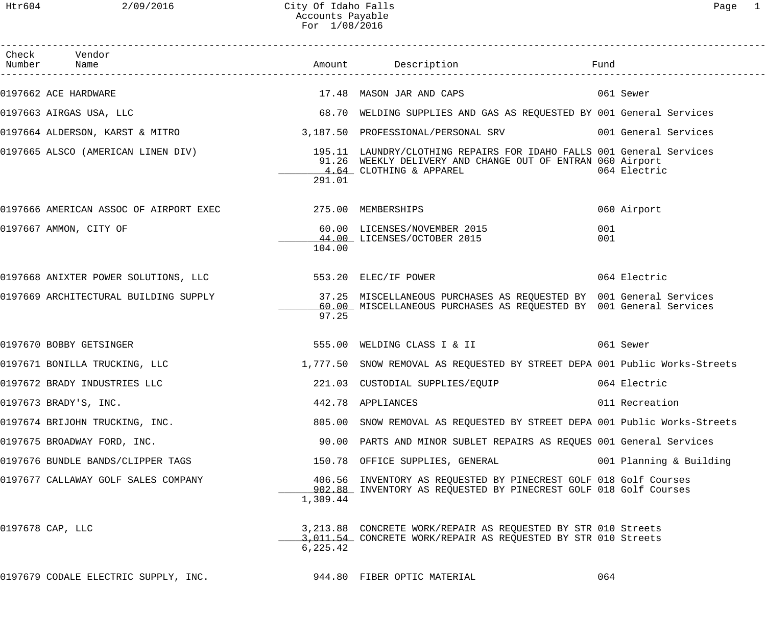| Check Vendor<br>Number Name                                          |           |                                                                                                                                                                                |                         |
|----------------------------------------------------------------------|-----------|--------------------------------------------------------------------------------------------------------------------------------------------------------------------------------|-------------------------|
| 0197662 ACE HARDWARE                                                 |           | 17.48 MASON JAR AND CAPS                                                                                                                                                       | 061 Sewer               |
| 0197663 AIRGAS USA, LLC                                              |           | 68.70 WELDING SUPPLIES AND GAS AS REQUESTED BY 001 General Services                                                                                                            |                         |
|                                                                      |           | 0197664 ALDERSON, KARST & MITRO 3,187.50 PROFESSIONAL/PERSONAL SRV 001 General Services                                                                                        |                         |
|                                                                      | 291.01    | 91.26 WEEKLY DELIVERY AND CHANGE OUT OF ENTRAN 060 Airport<br>4.64 CLOTHING & APPAREL                                                                                          | 064 Electric            |
| 0197666 AMERICAN ASSOC OF AIRPORT EXEC 275.00 MEMBERSHIPS            |           |                                                                                                                                                                                | 060 Airport             |
| 0197667 AMMON, CITY OF                                               | 104.00    | 60.00 LICENSES/NOVEMBER 2015<br>44.00 LICENSES/OCTOBER 2015                                                                                                                    | 001<br>001              |
|                                                                      |           |                                                                                                                                                                                | 064 Electric            |
|                                                                      | 97.25     | 0197669 ARCHITECTURAL BUILDING SUPPLY 37.25 MISCELLANEOUS PURCHASES AS REQUESTED BY 001 General Services<br>60.00 MISCELLANEOUS PURCHASES AS REQUESTED BY 001 General Services |                         |
| 0197670 BOBBY GETSINGER                                              |           | 555.00 WELDING CLASS I & II                                                                                                                                                    | 061 Sewer               |
| 0197671 BONILLA TRUCKING, LLC                                        |           | 1,777.50 SNOW REMOVAL AS REQUESTED BY STREET DEPA 001 Public Works-Streets                                                                                                     |                         |
| 0197672 BRADY INDUSTRIES LLC                                         |           | 221.03 CUSTODIAL SUPPLIES/EQUIP                                                                                                                                                | 064 Electric            |
| 0197673 BRADY'S, INC.                                                |           | 442.78 APPLIANCES                                                                                                                                                              | 011 Recreation          |
| 0197674 BRIJOHN TRUCKING, INC.                                       |           | 805.00 SNOW REMOVAL AS REQUESTED BY STREET DEPA 001 Public Works-Streets                                                                                                       |                         |
| 0197675 BROADWAY FORD, INC.                                          |           | 90.00 PARTS AND MINOR SUBLET REPAIRS AS REQUES 001 General Services                                                                                                            |                         |
| 0197676 BUNDLE BANDS/CLIPPER TAGS                                    |           | 150.78 OFFICE SUPPLIES, GENERAL                                                                                                                                                | 001 Planning & Building |
| 0197677 CALLAWAY GOLF SALES COMPANY                                  | 1,309.44  | 406.56 INVENTORY AS REQUESTED BY PINECREST GOLF 018 Golf Courses<br>902.88 INVENTORY AS REQUESTED BY PINECREST GOLF 018 Golf Courses                                           |                         |
| 0197678 CAP, LLC                                                     | 6, 225.42 | 3,213.88 CONCRETE WORK/REPAIR AS REQUESTED BY STR 010 Streets<br>3,011.54 CONCRETE WORK/REPAIR AS REQUESTED BY STR 010 Streets                                                 |                         |
| $0197679$ CODALE ELECTRIC SUPPLY, INC. $944.80$ FIBER OPTIC MATERIAL |           |                                                                                                                                                                                | 064                     |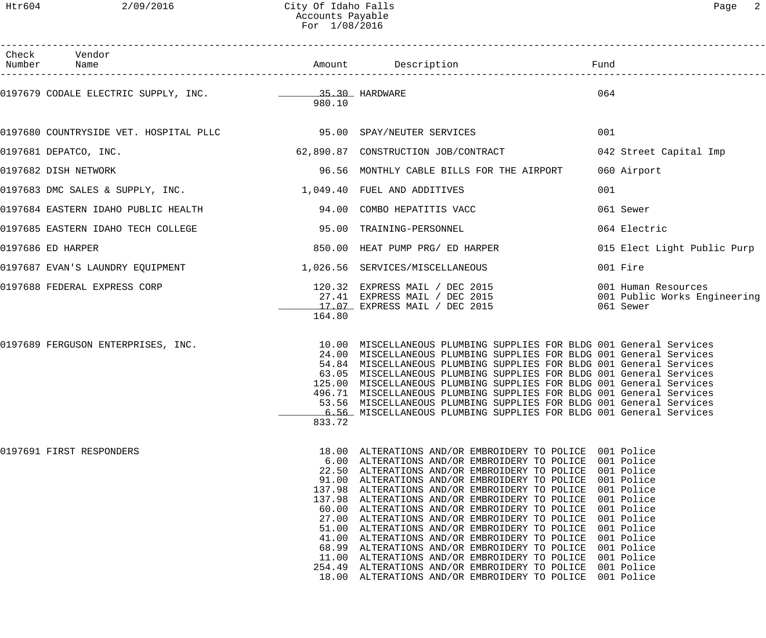| Check Vendor<br>Number Name                                          |        | Amount Description                                                                                                                                                                                                                                                                                                                                                                                                                                                                                                                                                                                                                                                                                                                                                                                                                                                     | Fund                                                             |
|----------------------------------------------------------------------|--------|------------------------------------------------------------------------------------------------------------------------------------------------------------------------------------------------------------------------------------------------------------------------------------------------------------------------------------------------------------------------------------------------------------------------------------------------------------------------------------------------------------------------------------------------------------------------------------------------------------------------------------------------------------------------------------------------------------------------------------------------------------------------------------------------------------------------------------------------------------------------|------------------------------------------------------------------|
| 0197679 CODALE ELECTRIC SUPPLY, INC.                                 | 980.10 |                                                                                                                                                                                                                                                                                                                                                                                                                                                                                                                                                                                                                                                                                                                                                                                                                                                                        | 064                                                              |
| 0197680 COUNTRYSIDE VET. HOSPITAL PLLC 6 89 100 SPAY/NEUTER SERVICES |        |                                                                                                                                                                                                                                                                                                                                                                                                                                                                                                                                                                                                                                                                                                                                                                                                                                                                        | 001                                                              |
| 0197681 DEPATCO, INC.                                                |        | 62,890.87 CONSTRUCTION JOB/CONTRACT                                                                                                                                                                                                                                                                                                                                                                                                                                                                                                                                                                                                                                                                                                                                                                                                                                    | 042 Street Capital Imp                                           |
| 0197682 DISH NETWORK                                                 |        | 96.56 MONTHLY CABLE BILLS FOR THE AIRPORT                                                                                                                                                                                                                                                                                                                                                                                                                                                                                                                                                                                                                                                                                                                                                                                                                              | 060 Airport                                                      |
| 0197683 DMC SALES & SUPPLY, INC. 1,049.40 FUEL AND ADDITIVES         |        |                                                                                                                                                                                                                                                                                                                                                                                                                                                                                                                                                                                                                                                                                                                                                                                                                                                                        | 001                                                              |
| 0197684 EASTERN IDAHO PUBLIC HEALTH                                  |        | 94.00 COMBO HEPATITIS VACC                                                                                                                                                                                                                                                                                                                                                                                                                                                                                                                                                                                                                                                                                                                                                                                                                                             | 061 Sewer                                                        |
| 0197685 EASTERN IDAHO TECH COLLEGE                                   |        | 95.00 TRAINING-PERSONNEL                                                                                                                                                                                                                                                                                                                                                                                                                                                                                                                                                                                                                                                                                                                                                                                                                                               | 064 Electric                                                     |
| 0197686 ED HARPER                                                    |        | 850.00 HEAT PUMP PRG/ ED HARPER                                                                                                                                                                                                                                                                                                                                                                                                                                                                                                                                                                                                                                                                                                                                                                                                                                        | 015 Elect Light Public Purp                                      |
|                                                                      |        |                                                                                                                                                                                                                                                                                                                                                                                                                                                                                                                                                                                                                                                                                                                                                                                                                                                                        | 001 Fire                                                         |
| 0197688 FEDERAL EXPRESS CORP                                         | 164.80 | 120.32 EXPRESS MAIL / DEC 2015<br>27.41 EXPRESS MAIL / DEC 2015<br>17.07 EXPRESS MAIL / DEC 2015                                                                                                                                                                                                                                                                                                                                                                                                                                                                                                                                                                                                                                                                                                                                                                       | 001 Human Resources<br>001 Public Works Engineering<br>061 Sewer |
| 0197689 FERGUSON ENTERPRISES, INC.                                   | 833.72 | 10.00 MISCELLANEOUS PLUMBING SUPPLIES FOR BLDG 001 General Services<br>24.00 MISCELLANEOUS PLUMBING SUPPLIES FOR BLDG 001 General Services<br>54.84 MISCELLANEOUS PLUMBING SUPPLIES FOR BLDG 001 General Services<br>63.05 MISCELLANEOUS PLUMBING SUPPLIES FOR BLDG 001 General Services<br>125.00 MISCELLANEOUS PLUMBING SUPPLIES FOR BLDG 001 General Services<br>496.71 MISCELLANEOUS PLUMBING SUPPLIES FOR BLDG 001 General Services<br>53.56 MISCELLANEOUS PLUMBING SUPPLIES FOR BLDG 001 General Services<br>6.56 MISCELLANEOUS PLUMBING SUPPLIES FOR BLDG 001 General Services                                                                                                                                                                                                                                                                                  |                                                                  |
| 0197691 FIRST RESPONDERS                                             |        | 18.00 ALTERATIONS AND/OR EMBROIDERY TO POLICE 001 Police<br>6.00 ALTERATIONS AND/OR EMBROIDERY TO POLICE 001 Police<br>22.50 ALTERATIONS AND/OR EMBROIDERY TO POLICE 001 Police<br>91.00 ALTERATIONS AND/OR EMBROIDERY TO POLICE 001 Police<br>137.98 ALTERATIONS AND/OR EMBROIDERY TO POLICE 001 Police<br>137.98 ALTERATIONS AND/OR EMBROIDERY TO POLICE 001 Police<br>60.00 ALTERATIONS AND/OR EMBROIDERY TO POLICE 001 Police<br>27.00 ALTERATIONS AND/OR EMBROIDERY TO POLICE 001 Police<br>51.00 ALTERATIONS AND/OR EMBROIDERY TO POLICE 001 Police<br>41.00 ALTERATIONS AND/OR EMBROIDERY TO POLICE 001 Police<br>68.99 ALTERATIONS AND/OR EMBROIDERY TO POLICE 001 Police<br>11.00 ALTERATIONS AND/OR EMBROIDERY TO POLICE 001 Police<br>254.49 ALTERATIONS AND/OR EMBROIDERY TO POLICE 001 Police<br>18.00 ALTERATIONS AND/OR EMBROIDERY TO POLICE 001 Police |                                                                  |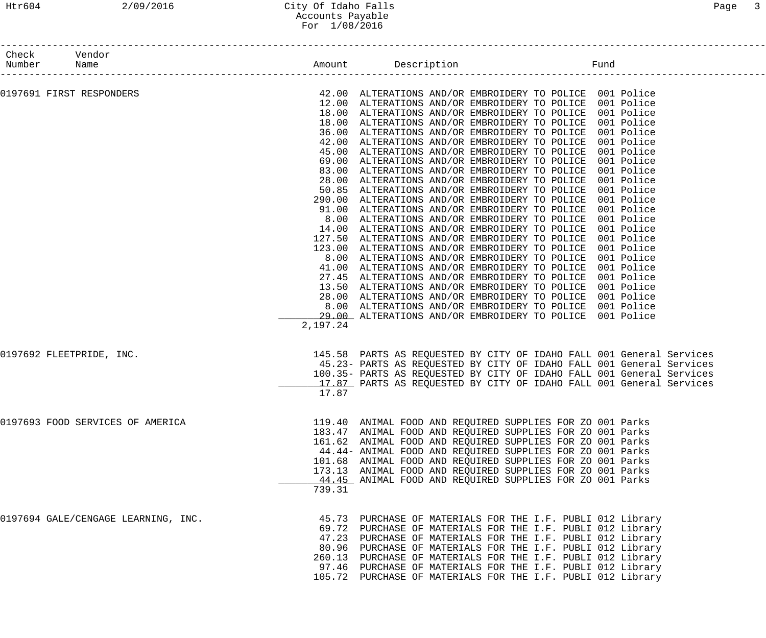| Check                    | Vendor                              |          |                                                                       |  |  |
|--------------------------|-------------------------------------|----------|-----------------------------------------------------------------------|--|--|
| Number                   | Name                                |          |                                                                       |  |  |
|                          |                                     |          |                                                                       |  |  |
| 0197691 FIRST RESPONDERS |                                     |          | 42.00 ALTERATIONS AND/OR EMBROIDERY TO POLICE 001 Police              |  |  |
|                          |                                     |          | 12.00 ALTERATIONS AND/OR EMBROIDERY TO POLICE 001 Police              |  |  |
|                          |                                     |          | 18.00 ALTERATIONS AND/OR EMBROIDERY TO POLICE 001 Police              |  |  |
|                          |                                     |          | 18.00 ALTERATIONS AND/OR EMBROIDERY TO POLICE 001 Police              |  |  |
|                          |                                     |          | 36.00 ALTERATIONS AND/OR EMBROIDERY TO POLICE 001 Police              |  |  |
|                          |                                     |          | 42.00 ALTERATIONS AND/OR EMBROIDERY TO POLICE 001 Police              |  |  |
|                          |                                     |          | 45.00 ALTERATIONS AND/OR EMBROIDERY TO POLICE 001 Police              |  |  |
|                          |                                     |          | 69.00 ALTERATIONS AND/OR EMBROIDERY TO POLICE 001 Police              |  |  |
|                          |                                     |          | 83.00 ALTERATIONS AND/OR EMBROIDERY TO POLICE 001 Police              |  |  |
|                          |                                     |          | 28.00 ALTERATIONS AND/OR EMBROIDERY TO POLICE 001 Police              |  |  |
|                          |                                     |          | 50.85 ALTERATIONS AND/OR EMBROIDERY TO POLICE 001 Police              |  |  |
|                          |                                     |          | 290.00 ALTERATIONS AND/OR EMBROIDERY TO POLICE 001 Police             |  |  |
|                          |                                     |          | 91.00 ALTERATIONS AND/OR EMBROIDERY TO POLICE 001 Police              |  |  |
|                          |                                     |          | 8.00 ALTERATIONS AND/OR EMBROIDERY TO POLICE 001 Police               |  |  |
|                          |                                     |          |                                                                       |  |  |
|                          |                                     |          | 14.00 ALTERATIONS AND/OR EMBROIDERY TO POLICE 001 Police              |  |  |
|                          |                                     |          | 127.50 ALTERATIONS AND/OR EMBROIDERY TO POLICE 001 Police             |  |  |
|                          |                                     |          | 123.00 ALTERATIONS AND/OR EMBROIDERY TO POLICE 001 Police             |  |  |
|                          |                                     |          | 8.00 ALTERATIONS AND/OR EMBROIDERY TO POLICE 001 Police               |  |  |
|                          |                                     |          | 41.00 ALTERATIONS AND/OR EMBROIDERY TO POLICE 001 Police              |  |  |
|                          |                                     |          | 27.45 ALTERATIONS AND/OR EMBROIDERY TO POLICE 001 Police              |  |  |
|                          |                                     |          | 13.50 ALTERATIONS AND/OR EMBROIDERY TO POLICE 001 Police              |  |  |
|                          |                                     |          | 28.00 ALTERATIONS AND/OR EMBROIDERY TO POLICE 001 Police              |  |  |
|                          |                                     |          | 8.00 ALTERATIONS AND/OR EMBROIDERY TO POLICE 001 Police               |  |  |
|                          |                                     |          | 29.00 ALTERATIONS AND/OR EMBROIDERY TO POLICE 001 Police              |  |  |
|                          |                                     | 2,197.24 |                                                                       |  |  |
|                          |                                     |          |                                                                       |  |  |
| 0197692 FLEETPRIDE, INC. |                                     |          | 145.58 PARTS AS REQUESTED BY CITY OF IDAHO FALL 001 General Services  |  |  |
|                          |                                     |          | 45.23- PARTS AS REQUESTED BY CITY OF IDAHO FALL 001 General Services  |  |  |
|                          |                                     |          | 100.35- PARTS AS REQUESTED BY CITY OF IDAHO FALL 001 General Services |  |  |
|                          |                                     |          | 17.87 PARTS AS REQUESTED BY CITY OF IDAHO FALL 001 General Services   |  |  |
|                          |                                     | 17.87    |                                                                       |  |  |
|                          | 0197693 FOOD SERVICES OF AMERICA    |          |                                                                       |  |  |
|                          |                                     |          | 119.40 ANIMAL FOOD AND REQUIRED SUPPLIES FOR ZO 001 Parks             |  |  |
|                          |                                     |          | 183.47 ANIMAL FOOD AND REQUIRED SUPPLIES FOR ZO 001 Parks             |  |  |
|                          |                                     |          | 161.62 ANIMAL FOOD AND REQUIRED SUPPLIES FOR ZO 001 Parks             |  |  |
|                          |                                     |          | 44.44- ANIMAL FOOD AND REQUIRED SUPPLIES FOR ZO 001 Parks             |  |  |
|                          |                                     |          | 101.68 ANIMAL FOOD AND REQUIRED SUPPLIES FOR ZO 001 Parks             |  |  |
|                          |                                     |          | 173.13 ANIMAL FOOD AND REQUIRED SUPPLIES FOR ZO 001 Parks             |  |  |
|                          |                                     |          | 44.45 ANIMAL FOOD AND REQUIRED SUPPLIES FOR ZO 001 Parks              |  |  |
|                          |                                     | 739.31   |                                                                       |  |  |
|                          | 0197694 GALE/CENGAGE LEARNING, INC. |          | 45.73 PURCHASE OF MATERIALS FOR THE I.F. PUBLI 012 Library            |  |  |
|                          |                                     |          | 69.72 PURCHASE OF MATERIALS FOR THE I.F. PUBLI 012 Library            |  |  |
|                          |                                     |          | 47.23 PURCHASE OF MATERIALS FOR THE I.F. PUBLI 012 Library            |  |  |
|                          |                                     |          |                                                                       |  |  |
|                          |                                     |          | 80.96 PURCHASE OF MATERIALS FOR THE I.F. PUBLI 012 Library            |  |  |
|                          |                                     |          | 260.13 PURCHASE OF MATERIALS FOR THE I.F. PUBLI 012 Library           |  |  |
|                          |                                     |          | 97.46 PURCHASE OF MATERIALS FOR THE I.F. PUBLI 012 Library            |  |  |
|                          |                                     |          | 105.72 PURCHASE OF MATERIALS FOR THE I.F. PUBLI 012 Library           |  |  |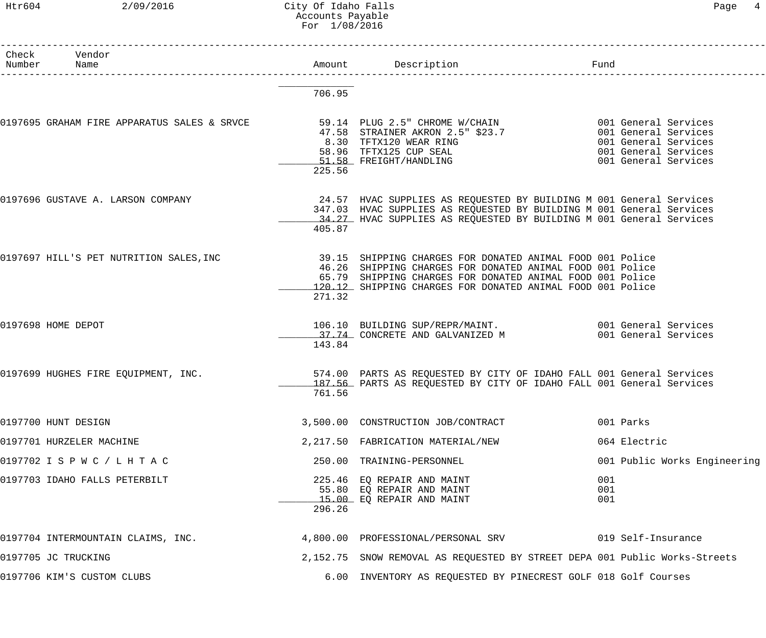#### Htr604 2/09/2016 City Of Idaho Falls Page 4 Accounts Payable For 1/08/2016

| Check | Vendor<br>Number Name                       |        | Amount Description                                                                                                                           | Fund |                              |
|-------|---------------------------------------------|--------|----------------------------------------------------------------------------------------------------------------------------------------------|------|------------------------------|
|       |                                             |        | _________________________________                                                                                                            |      |                              |
|       |                                             | 706.95 |                                                                                                                                              |      |                              |
|       | 0197695 GRAHAM FIRE APPARATUS SALES & SRVCE |        | 59.14 PLUG 2.5" CHROME W/CHAIN 6001 General Services                                                                                         |      |                              |
|       |                                             |        | 47.58 STRAINER AKRON 2.5" \$23.7 001 General Services                                                                                        |      |                              |
|       |                                             |        | 9.30 TFTX120 WEAR RING<br>58.96 TFTX125 CUP SEAL 001 General Services<br>51.58 FREIGHT/HANDLING 001 General Services                         |      |                              |
|       |                                             |        |                                                                                                                                              |      |                              |
|       |                                             | 225.56 |                                                                                                                                              |      |                              |
|       | 0197696 GUSTAVE A. LARSON COMPANY           |        | 24.57 HVAC SUPPLIES AS REQUESTED BY BUILDING M 001 General Services                                                                          |      |                              |
|       |                                             |        | 347.03 HVAC SUPPLIES AS REQUESTED BY BUILDING M 001 General Services<br>34.27 HVAC SUPPLIES AS REQUESTED BY BUILDING M 001 General Services  |      |                              |
|       |                                             | 405.87 |                                                                                                                                              |      |                              |
|       | 0197697 HILL'S PET NUTRITION SALES, INC     |        | 39.15 SHIPPING CHARGES FOR DONATED ANIMAL FOOD 001 Police                                                                                    |      |                              |
|       |                                             |        | 46.26 SHIPPING CHARGES FOR DONATED ANIMAL FOOD 001 Police                                                                                    |      |                              |
|       |                                             |        | 65.79 SHIPPING CHARGES FOR DONATED ANIMAL FOOD 001 Police<br>120.12 SHIPPING CHARGES FOR DONATED ANIMAL FOOD 001 Police                      |      |                              |
|       |                                             | 271.32 |                                                                                                                                              |      |                              |
|       | 0197698 HOME DEPOT                          |        | 106.10 BUILDING SUP/REPR/MAINT. 6001 General Services                                                                                        |      |                              |
|       |                                             |        |                                                                                                                                              |      |                              |
|       |                                             | 143.84 |                                                                                                                                              |      |                              |
|       | 0197699 HUGHES FIRE EQUIPMENT, INC.         |        | 574.00 PARTS AS REQUESTED BY CITY OF IDAHO FALL 001 General Services<br>187.56 PARTS AS REQUESTED BY CITY OF IDAHO FALL 001 General Services |      |                              |
|       |                                             | 761.56 |                                                                                                                                              |      |                              |
|       | 0197700 HUNT DESIGN                         |        | 3,500.00 CONSTRUCTION JOB/CONTRACT                                                                                                           |      | 001 Parks                    |
|       | 0197701 HURZELER MACHINE                    |        | 2, 217.50 FABRICATION MATERIAL/NEW                                                                                                           |      | 064 Electric                 |
|       | 0197702 I S P W C / L H T A C               |        | 250.00 TRAINING-PERSONNEL                                                                                                                    |      | 001 Public Works Engineering |
|       | 0197703 IDAHO FALLS PETERBILT               |        | 225.46 EQ REPAIR AND MAINT                                                                                                                   | 001  |                              |
|       |                                             |        | 55.80 EQ REPAIR AND MAINT                                                                                                                    | 001  |                              |
|       |                                             | 296.26 | 15.00 EQ REPAIR AND MAINT                                                                                                                    | 001  |                              |
|       | 0197704 INTERMOUNTAIN CLAIMS, INC.          |        | 4,800.00 PROFESSIONAL/PERSONAL SRV                                                                                                           |      | 019 Self-Insurance           |
|       | 0197705 JC TRUCKING                         |        | 2,152.75 SNOW REMOVAL AS REQUESTED BY STREET DEPA 001 Public Works-Streets                                                                   |      |                              |
|       | 0197706 KIM'S CUSTOM CLUBS                  |        | 6.00 INVENTORY AS REQUESTED BY PINECREST GOLF 018 Golf Courses                                                                               |      |                              |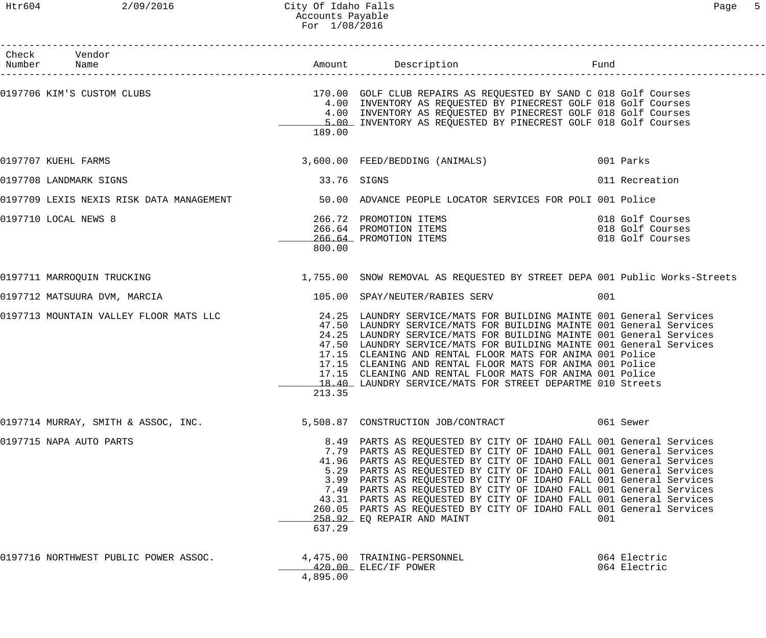| Check Vendor<br>Number Name           |             |                                                                                                                                                                                                                                                                                                                                                                                                                                                                                                                                                                                                                | Fund                                                     |
|---------------------------------------|-------------|----------------------------------------------------------------------------------------------------------------------------------------------------------------------------------------------------------------------------------------------------------------------------------------------------------------------------------------------------------------------------------------------------------------------------------------------------------------------------------------------------------------------------------------------------------------------------------------------------------------|----------------------------------------------------------|
|                                       | 189.00      | 0197706 KIM'S CUSTOM CLUBS THE SERVICE SERVICE SERVICE SERVICE OF STREAM ON THE SERVICE OF SAND COMBET SOFT COURSES<br>4.00 INVENTORY AS REQUESTED BY PINECREST GOLF 018 Golf Courses<br>4.00 INVENTORY AS REQUESTED BY PINECREST GOLF 018 Golf Courses<br>5.00 INVENTORY AS REQUESTED BY PINECREST GOLF 018 Golf Courses                                                                                                                                                                                                                                                                                      |                                                          |
| 0197707 KUEHL FARMS                   |             | 3,600.00 FEED/BEDDING (ANIMALS) 001 Parks                                                                                                                                                                                                                                                                                                                                                                                                                                                                                                                                                                      |                                                          |
| 0197708 LANDMARK SIGNS                | 33.76 SIGNS |                                                                                                                                                                                                                                                                                                                                                                                                                                                                                                                                                                                                                | 011 Recreation                                           |
|                                       |             | 0197709 LEXIS NEXIS RISK DATA MANAGEMENT 60 100 ADVANCE PEOPLE LOCATOR SERVICES FOR POLI 001 Police                                                                                                                                                                                                                                                                                                                                                                                                                                                                                                            |                                                          |
| 0197710 LOCAL NEWS 8                  | 800.00      | 266.72 PROMOTION ITEMS<br>266.64 PROMOTION ITEMS<br>266.64 PROMOTION ITEMS<br>266.64 PROMOTION ITEMS                                                                                                                                                                                                                                                                                                                                                                                                                                                                                                           | 018 Golf Courses<br>018 Golf Courses<br>018 Golf Courses |
| 0197711 MARROQUIN TRUCKING            |             | 1,755.00 SNOW REMOVAL AS REQUESTED BY STREET DEPA 001 Public Works-Streets                                                                                                                                                                                                                                                                                                                                                                                                                                                                                                                                     |                                                          |
| 0197712 MATSUURA DVM, MARCIA          |             | 105.00 SPAY/NEUTER/RABIES SERV                                                                                                                                                                                                                                                                                                                                                                                                                                                                                                                                                                                 | 001                                                      |
|                                       | 213.35      | 0197713 MOUNTAIN VALLEY FLOOR MATS LLC 24.25 LAUNDRY SERVICE/MATS FOR BUILDING MAINTE 001 General Services<br>47.50 LAUNDRY SERVICE/MATS FOR BUILDING MAINTE 001 General Services<br>24.25 LAUNDRY SERVICE/MATS FOR BUILDING MAINTE 001 General Services<br>47.50 LAUNDRY SERVICE/MATS FOR BUILDING MAINTE 001 General Services<br>17.15 CLEANING AND RENTAL FLOOR MATS FOR ANIMA 001 Police<br>17.15 CLEANING AND RENTAL FLOOR MATS FOR ANIMA 001 Police<br>17.15 CLEANING AND RENTAL FLOOR MATS FOR ANIMA 001 Police<br>18.40 LAUNDRY SERVICE/MATS FOR STREET DEPARTME 010 Streets                           |                                                          |
| 0197714 MURRAY, SMITH & ASSOC, INC.   |             | 5,508.87 CONSTRUCTION JOB/CONTRACT                                                                                                                                                                                                                                                                                                                                                                                                                                                                                                                                                                             | 061 Sewer                                                |
| 0197715 NAPA AUTO PARTS               | 637.29      | 8.49 PARTS AS REQUESTED BY CITY OF IDAHO FALL 001 General Services<br>7.79 PARTS AS REQUESTED BY CITY OF IDAHO FALL 001 General Services<br>41.96 PARTS AS REQUESTED BY CITY OF IDAHO FALL 001 General Services<br>5.29 PARTS AS REQUESTED BY CITY OF IDAHO FALL 001 General Services<br>3.99 PARTS AS REQUESTED BY CITY OF IDAHO FALL 001 General Services<br>7.49 PARTS AS REQUESTED BY CITY OF IDAHO FALL 001 General Services<br>43.31 PARTS AS REQUESTED BY CITY OF IDAHO FALL 001 General Services<br>260.05 PARTS AS REQUESTED BY CITY OF IDAHO FALL 001 General Services<br>258.92 EQ REPAIR AND MAINT | 001                                                      |
| 0197716 NORTHWEST PUBLIC POWER ASSOC. | 4,895.00    | 4,475.00 TRAINING-PERSONNEL<br>420.00 ELEC/IF POWER                                                                                                                                                                                                                                                                                                                                                                                                                                                                                                                                                            | 064 Electric<br>064 Electric                             |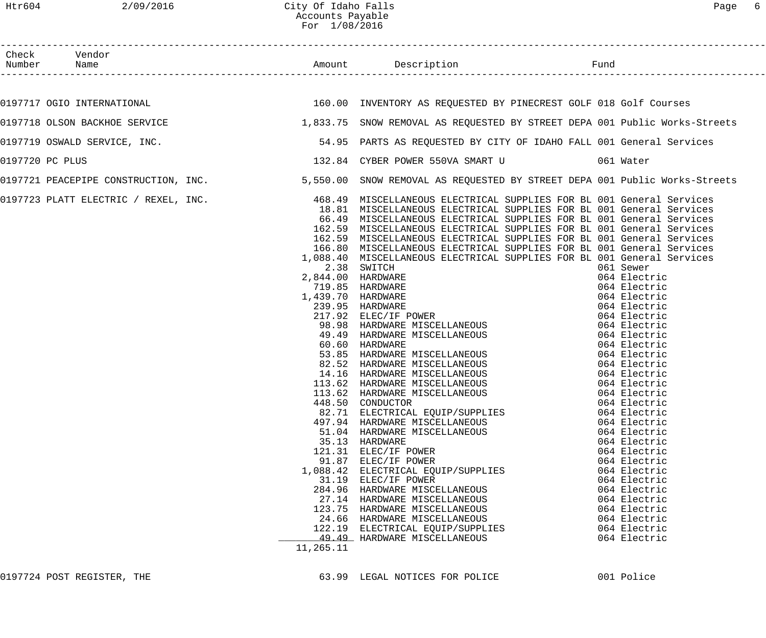| Check Vendor<br>Number Name<br>Amount Description<br>Fund<br>160.00 INVENTORY AS REQUESTED BY PINECREST GOLF 018 Golf Courses<br>0197717 OGIO INTERNATIONAL<br>1,833.75 SNOW REMOVAL AS REQUESTED BY STREET DEPA 001 Public Works-Streets<br>0197718 OLSON BACKHOE SERVICE<br>54.95 PARTS AS REQUESTED BY CITY OF IDAHO FALL 001 General Services<br>0197719 OSWALD SERVICE, INC.<br>132.84 CYBER POWER 550VA SMART U 61 Water<br>0197720 PC PLUS<br>0197721 PEACEPIPE CONSTRUCTION, INC. 5,550.00 SNOW REMOVAL AS REQUESTED BY STREET DEPA 001 Public Works-Streets<br>0197723 PLATT ELECTRIC / REXEL, INC.                 468.49 MISCELLANEOUS ELECTRICAL SUPPLIES FOR BL 001 General Services<br>18.81 MISCELLANEOUS ELECTRICAL SUPPLIES FOR BL 001 General Services<br>66.49 MISCELLANEOUS ELECTRICAL SUPPLIES FOR BL 001 General Services<br>162.59 MISCELLANEOUS ELECTRICAL SUPPLIES FOR BL 001 General Services<br>162.59 MISCELLANEOUS ELECTRICAL SUPPLIES FOR BL 001 General Services<br>166.80 MISCELLANEOUS ELECTRICAL SUPPLIES FOR BL 001 General Services<br>1,088.40 MISCELLANEOUS ELECTRICAL SUPPLIES FOR BL 001 General Services<br>2.38 SWITCH<br>061 Sewer<br>2,844.00 HARDWARE<br>064 Electric<br>719.85 HARDWARE<br>064 Electric<br>1,439.70 HARDWARE<br>064 Electric<br>239.95 HARDWARE<br>064 Electric<br>064 Electric<br>064 Electric<br>064 Electric<br>217.92 ELEC/IF POWER<br>98.98 HARDWARE MISCELLANEOUS<br>49.49 HARDWARE MISCELLANEOUS<br>60.60 HARDWARE<br>064 Electric<br>53.85 HARDWARE MISCELLANEOUS<br>82.52 HARDWARE MISCELLANEOUS<br>14.16 HARDWARE MISCELLANEOUS<br>113.62 HARDWARE MISCELLANEOUS<br>064 Electric<br>064 Electric<br>064 Electric<br>064 Electric<br>113.62 HARDWARE MISCELLANEOUS<br>064 Electric<br>448.50 CONDUCTOR<br>064 Electric<br>82.71 ELECTRICAL EQUIP/SUPPLIES<br>064 Electric<br>497.94 HARDWARE MISCELLANEOUS<br>064 Electric |  |                              |              |
|---------------------------------------------------------------------------------------------------------------------------------------------------------------------------------------------------------------------------------------------------------------------------------------------------------------------------------------------------------------------------------------------------------------------------------------------------------------------------------------------------------------------------------------------------------------------------------------------------------------------------------------------------------------------------------------------------------------------------------------------------------------------------------------------------------------------------------------------------------------------------------------------------------------------------------------------------------------------------------------------------------------------------------------------------------------------------------------------------------------------------------------------------------------------------------------------------------------------------------------------------------------------------------------------------------------------------------------------------------------------------------------------------------------------------------------------------------------------------------------------------------------------------------------------------------------------------------------------------------------------------------------------------------------------------------------------------------------------------------------------------------------------------------------------------------------------------------------------------------------------------------------------------|--|------------------------------|--------------|
|                                                                                                                                                                                                                                                                                                                                                                                                                                                                                                                                                                                                                                                                                                                                                                                                                                                                                                                                                                                                                                                                                                                                                                                                                                                                                                                                                                                                                                                                                                                                                                                                                                                                                                                                                                                                                                                                                                   |  |                              |              |
|                                                                                                                                                                                                                                                                                                                                                                                                                                                                                                                                                                                                                                                                                                                                                                                                                                                                                                                                                                                                                                                                                                                                                                                                                                                                                                                                                                                                                                                                                                                                                                                                                                                                                                                                                                                                                                                                                                   |  |                              |              |
|                                                                                                                                                                                                                                                                                                                                                                                                                                                                                                                                                                                                                                                                                                                                                                                                                                                                                                                                                                                                                                                                                                                                                                                                                                                                                                                                                                                                                                                                                                                                                                                                                                                                                                                                                                                                                                                                                                   |  |                              |              |
|                                                                                                                                                                                                                                                                                                                                                                                                                                                                                                                                                                                                                                                                                                                                                                                                                                                                                                                                                                                                                                                                                                                                                                                                                                                                                                                                                                                                                                                                                                                                                                                                                                                                                                                                                                                                                                                                                                   |  |                              |              |
|                                                                                                                                                                                                                                                                                                                                                                                                                                                                                                                                                                                                                                                                                                                                                                                                                                                                                                                                                                                                                                                                                                                                                                                                                                                                                                                                                                                                                                                                                                                                                                                                                                                                                                                                                                                                                                                                                                   |  |                              |              |
|                                                                                                                                                                                                                                                                                                                                                                                                                                                                                                                                                                                                                                                                                                                                                                                                                                                                                                                                                                                                                                                                                                                                                                                                                                                                                                                                                                                                                                                                                                                                                                                                                                                                                                                                                                                                                                                                                                   |  |                              |              |
|                                                                                                                                                                                                                                                                                                                                                                                                                                                                                                                                                                                                                                                                                                                                                                                                                                                                                                                                                                                                                                                                                                                                                                                                                                                                                                                                                                                                                                                                                                                                                                                                                                                                                                                                                                                                                                                                                                   |  |                              |              |
| 35.13 HARDWARE<br>064 Electric<br>121.31 ELEC/IF POWER<br>064 Electric<br>91.87 ELEC/IF POWER<br>064 Electric<br>1,088.42 ELECTRICAL EQUIP/SUPPLIES<br>064 Electric<br>31.19 ELEC/IF POWER<br>064 Electric<br>284.96 HARDWARE MISCELLANEOUS<br>064 Electric<br>27.14 HARDWARE MISCELLANEOUS<br>064 Electric<br>123.75 HARDWARE MISCELLANEOUS<br>064 Electric<br>24.66 HARDWARE MISCELLANEOUS<br>064 Electric<br>122.19 ELECTRICAL EQUIP/SUPPLIES<br>064 Electric<br>49.49 HARDWARE MISCELLANEOUS                                                                                                                                                                                                                                                                                                                                                                                                                                                                                                                                                                                                                                                                                                                                                                                                                                                                                                                                                                                                                                                                                                                                                                                                                                                                                                                                                                                                  |  | 51.04 HARDWARE MISCELLANEOUS | 064 Electric |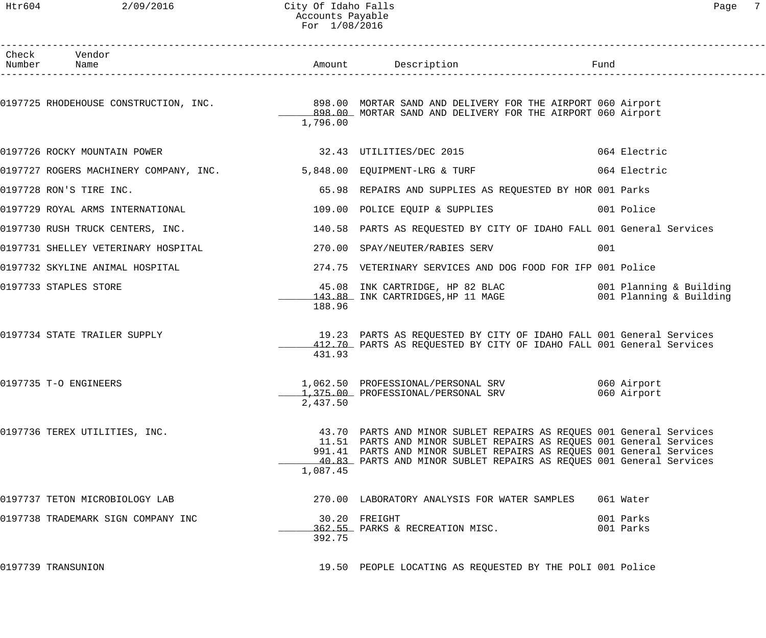# Htr604 2/09/2016 City Of Idaho Falls 2008/2016 Page 7 Accounts Payable For 1/08/2016

| Check Vendor                           |          |                                                                                                                                                                                                                                                                                           |                            |
|----------------------------------------|----------|-------------------------------------------------------------------------------------------------------------------------------------------------------------------------------------------------------------------------------------------------------------------------------------------|----------------------------|
| Number Name                            |          | Amount Description<br>-----------------------                                                                                                                                                                                                                                             | Fund                       |
| 0197725 RHODEHOUSE CONSTRUCTION, INC.  | 1,796.00 | 898.00 MORTAR SAND AND DELIVERY FOR THE AIRPORT 060 Airport<br>898.00 MORTAR SAND AND DELIVERY FOR THE AIRPORT 060 Airport                                                                                                                                                                |                            |
|                                        |          |                                                                                                                                                                                                                                                                                           |                            |
| 0197726 ROCKY MOUNTAIN POWER           |          | 32.43 UTILITIES/DEC 2015                                                                                                                                                                                                                                                                  | 064 Electric               |
| 0197727 ROGERS MACHINERY COMPANY, INC. |          | 5,848.00 EQUIPMENT-LRG & TURF                                                                                                                                                                                                                                                             | 064 Electric               |
| 0197728 RON'S TIRE INC.                |          | 65.98 REPAIRS AND SUPPLIES AS REQUESTED BY HOR 001 Parks                                                                                                                                                                                                                                  |                            |
| 0197729 ROYAL ARMS INTERNATIONAL       |          | 109.00 POLICE EQUIP & SUPPLIES                                                                                                                                                                                                                                                            | 001 Police                 |
| 0197730 RUSH TRUCK CENTERS, INC.       |          | 140.58 PARTS AS REQUESTED BY CITY OF IDAHO FALL 001 General Services                                                                                                                                                                                                                      |                            |
| 0197731 SHELLEY VETERINARY HOSPITAL    |          | 270.00 SPAY/NEUTER/RABIES SERV                                                                                                                                                                                                                                                            | 001                        |
| 0197732 SKYLINE ANIMAL HOSPITAL        |          | 274.75 VETERINARY SERVICES AND DOG FOOD FOR IFP 001 Police                                                                                                                                                                                                                                |                            |
| 0197733 STAPLES STORE                  | 188.96   | 45.08 INK CARTRIDGE, HP 82 BLAC 601 Planning & Building<br>143.88 INK CARTRIDGES, HP 11 MAGE 601 Planning & Building                                                                                                                                                                      |                            |
| 0197734 STATE TRAILER SUPPLY           | 431.93   | 19.23 PARTS AS REQUESTED BY CITY OF IDAHO FALL 001 General Services<br>412.70 PARTS AS REQUESTED BY CITY OF IDAHO FALL 001 General Services                                                                                                                                               |                            |
| 0197735 T-O ENGINEERS                  | 2,437.50 | 1,062.50 PROFESSIONAL/PERSONAL SRV<br>1,375.00 PROFESSIONAL/PERSONAL SRV                                                                                                                                                                                                                  | 060 Airport<br>060 Airport |
| 0197736 TEREX UTILITIES, INC.          | 1,087.45 | 43.70 PARTS AND MINOR SUBLET REPAIRS AS REQUES 001 General Services<br>11.51 PARTS AND MINOR SUBLET REPAIRS AS REQUES 001 General Services<br>991.41 PARTS AND MINOR SUBLET REPAIRS AS REQUES 001 General Services<br>40.83 PARTS AND MINOR SUBLET REPAIRS AS REQUES 001 General Services |                            |
| 0197737 TETON MICROBIOLOGY LAB         |          | 270.00 LABORATORY ANALYSIS FOR WATER SAMPLES                                                                                                                                                                                                                                              | 061 Water                  |
| 0197738 TRADEMARK SIGN COMPANY INC     | 392.75   | 30.20 FREIGHT<br>362.55 PARKS & RECREATION MISC.                                                                                                                                                                                                                                          | 001 Parks<br>001 Parks     |
| 0197739 TRANSUNION                     |          | 19.50 PEOPLE LOCATING AS REQUESTED BY THE POLI 001 Police                                                                                                                                                                                                                                 |                            |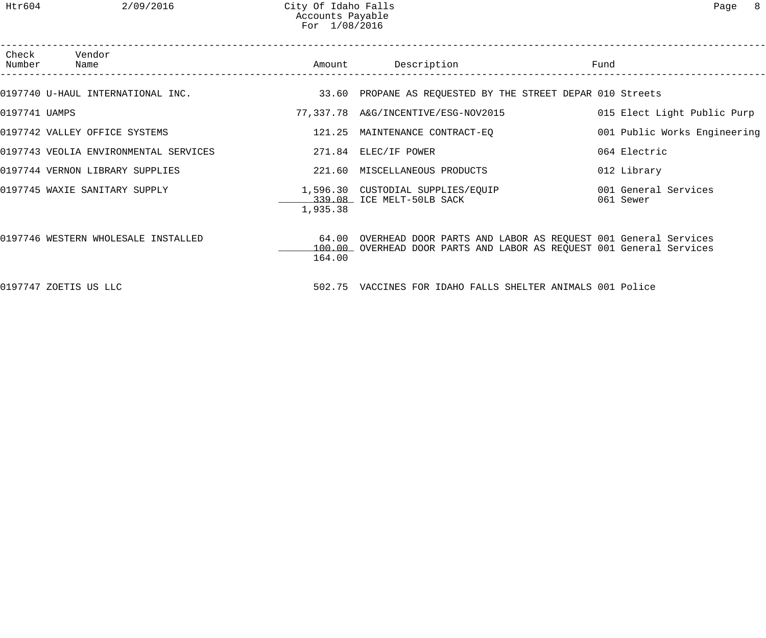| Number        | Check Vendor<br>Name                  |          | Amount Description                                                                                                                          | Fund                              |
|---------------|---------------------------------------|----------|---------------------------------------------------------------------------------------------------------------------------------------------|-----------------------------------|
|               | 0197740 U-HAUL INTERNATIONAL INC.     |          | 33.60 PROPANE AS REQUESTED BY THE STREET DEPAR 010 Streets                                                                                  |                                   |
| 0197741 UAMPS |                                       |          | 77,337.78 A&G/INCENTIVE/ESG-NOV2015                                                                                                         | 015 Elect Light Public Purp       |
|               | 0197742 VALLEY OFFICE SYSTEMS         |          | 121.25 MAINTENANCE CONTRACT-EQ                                                                                                              | 001 Public Works Engineering      |
|               | 0197743 VEOLIA ENVIRONMENTAL SERVICES |          | 271.84 ELEC/IF POWER                                                                                                                        | 064 Electric                      |
|               | 0197744 VERNON LIBRARY SUPPLIES       |          | 221.60 MISCELLANEOUS PRODUCTS                                                                                                               | 012 Library                       |
|               | 0197745 WAXIE SANITARY SUPPLY         | 1,935.38 | 1,596.30 CUSTODIAL SUPPLIES/EQUIP<br>339.08 ICE MELT-50LB SACK                                                                              | 001 General Services<br>061 Sewer |
|               | 0197746 WESTERN WHOLESALE INSTALLED   | 164.00   | 64.00 OVERHEAD DOOR PARTS AND LABOR AS REQUEST 001 General Services<br>100.00 OVERHEAD DOOR PARTS AND LABOR AS REQUEST 001 General Services |                                   |
|               | 0197747 ZOETIS US LLC                 |          | 502.75 VACCINES FOR IDAHO FALLS SHELTER ANIMALS 001 Police                                                                                  |                                   |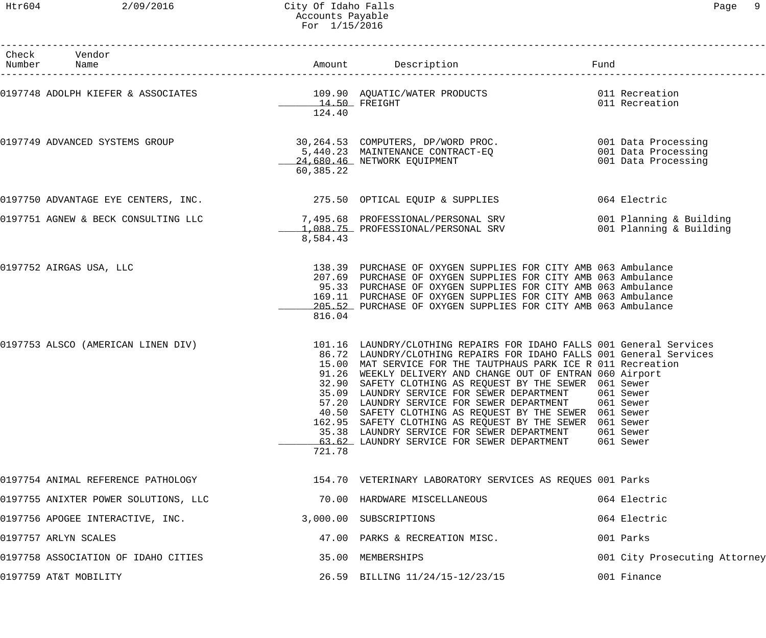# Htr604 2/09/2016 City Of Idaho Falls Page 9 Accounts Payable For 1/15/2016

| ∙aαe | Ω |
|------|---|
|      |   |

| Check Vendor<br>Number Name          |                         |                                                                                                                                                                                                                                                                                                                                                                                                                                                                                                                                                                                                                                                                                    | Fund                                       |
|--------------------------------------|-------------------------|------------------------------------------------------------------------------------------------------------------------------------------------------------------------------------------------------------------------------------------------------------------------------------------------------------------------------------------------------------------------------------------------------------------------------------------------------------------------------------------------------------------------------------------------------------------------------------------------------------------------------------------------------------------------------------|--------------------------------------------|
|                                      | 14.50 FREIGHT<br>124.40 | 0197748 ADOLPH KIEFER & ASSOCIATES (019.90 AQUATIC/WATER PRODUCTS ) 011 Recreation                                                                                                                                                                                                                                                                                                                                                                                                                                                                                                                                                                                                 | 011 Recreation                             |
| 0197749 ADVANCED SYSTEMS GROUP       | 60,385.22               | 30,264.53 COMPUTERS, DP/WORD PROC. 001 Data Processing<br>5,440.23 MAINTENANCE CONTRACT-EQ<br>24,680.46 NETWORK EQUIPMENT                                                                                                                                                                                                                                                                                                                                                                                                                                                                                                                                                          | 001 Data Processing<br>001 Data Processing |
| 0197750 ADVANTAGE EYE CENTERS, INC.  |                         | 275.50 OPTICAL EQUIP & SUPPLIES                                                                                                                                                                                                                                                                                                                                                                                                                                                                                                                                                                                                                                                    | 064 Electric                               |
|                                      | 8,584.43                | 0197751 AGNEW & BECK CONSULTING LLC 30 7,495.68 PROFESSIONAL/PERSONAL SRV<br>1,088.75 PROFESSIONAL/PERSONAL SRV 001 Planning & Building                                                                                                                                                                                                                                                                                                                                                                                                                                                                                                                                            | 001 Planning & Building                    |
| 0197752 AIRGAS USA, LLC              | 816.04                  | 138.39 PURCHASE OF OXYGEN SUPPLIES FOR CITY AMB 063 Ambulance<br>207.69 PURCHASE OF OXYGEN SUPPLIES FOR CITY AMB 063 Ambulance<br>95.33 PURCHASE OF OXYGEN SUPPLIES FOR CITY AMB 063 Ambulance<br>169.11 PURCHASE OF OXYGEN SUPPLIES FOR CITY AMB 063 Ambulance<br>205.52 PURCHASE OF OXYGEN SUPPLIES FOR CITY AMB 063 Ambulance                                                                                                                                                                                                                                                                                                                                                   |                                            |
| 0197753 ALSCO (AMERICAN LINEN DIV)   | 721.78                  | 101.16 LAUNDRY/CLOTHING REPAIRS FOR IDAHO FALLS 001 General Services<br>86.72 LAUNDRY/CLOTHING REPAIRS FOR IDAHO FALLS 001 General Services<br>15.00 MAT SERVICE FOR THE TAUTPHAUS PARK ICE R 011 Recreation<br>91.26 WEEKLY DELIVERY AND CHANGE OUT OF ENTRAN 060 Airport<br>32.90 SAFETY CLOTHING AS REQUEST BY THE SEWER 061 Sewer<br>35.09 LAUNDRY SERVICE FOR SEWER DEPARTMENT 061 Sewer<br>57.20 LAUNDRY SERVICE FOR SEWER DEPARTMENT 061 Sewer<br>40.50 SAFETY CLOTHING AS REQUEST BY THE SEWER 061 Sewer<br>162.95 SAFETY CLOTHING AS REQUEST BY THE SEWER 061 Sewer<br>35.38 LAUNDRY SERVICE FOR SEWER DEPARTMENT<br>63.62 LAUNDRY SERVICE FOR SEWER DEPARTMENT 061 Sewer | 061 Sewer                                  |
|                                      |                         | 0197754 ANIMAL REFERENCE PATHOLOGY                          154.70 VETERINARY LABORATORY SERVICES AS REQUES 001 Parks                                                                                                                                                                                                                                                                                                                                                                                                                                                                                                                                                              |                                            |
| 0197755 ANIXTER POWER SOLUTIONS, LLC |                         | 70.00 HARDWARE MISCELLANEOUS                                                                                                                                                                                                                                                                                                                                                                                                                                                                                                                                                                                                                                                       | 064 Electric                               |
| 0197756 APOGEE INTERACTIVE, INC.     |                         | 3,000.00 SUBSCRIPTIONS                                                                                                                                                                                                                                                                                                                                                                                                                                                                                                                                                                                                                                                             | 064 Electric                               |
| 0197757 ARLYN SCALES                 |                         | 47.00 PARKS & RECREATION MISC.                                                                                                                                                                                                                                                                                                                                                                                                                                                                                                                                                                                                                                                     | 001 Parks                                  |
| 0197758 ASSOCIATION OF IDAHO CITIES  |                         | 35.00 MEMBERSHIPS                                                                                                                                                                                                                                                                                                                                                                                                                                                                                                                                                                                                                                                                  | 001 City Prosecuting Attorney              |
| 0197759 AT&T MOBILITY                |                         | 26.59 BILLING 11/24/15-12/23/15                                                                                                                                                                                                                                                                                                                                                                                                                                                                                                                                                                                                                                                    | 001 Finance                                |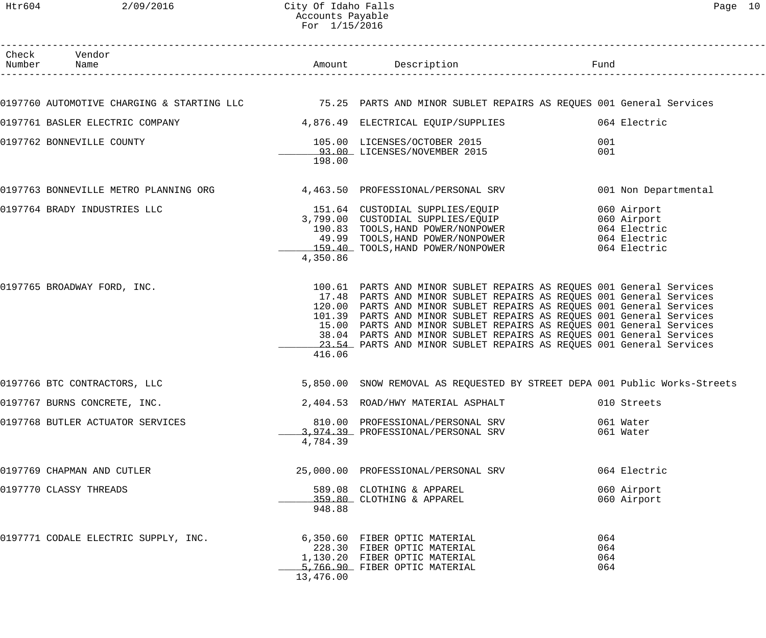Htr604 2/09/2016 City Of Idaho Falls Page 10 Accounts Payable For 1/15/2016

| Check Vendor<br>Number Name          |           |                                                                                                                                                                                                                                                                                                                                                                                                                                                                                                                  | Fund                       |
|--------------------------------------|-----------|------------------------------------------------------------------------------------------------------------------------------------------------------------------------------------------------------------------------------------------------------------------------------------------------------------------------------------------------------------------------------------------------------------------------------------------------------------------------------------------------------------------|----------------------------|
|                                      |           | 0197760 AUTOMOTIVE CHARGING & STARTING LLC           75.25 PARTS AND MINOR SUBLET REPAIRS AS REQUES 001 General Services                                                                                                                                                                                                                                                                                                                                                                                         |                            |
|                                      |           | 0197761 BASLER ELECTRIC COMPANY 4,876.49 ELECTRICAL EQUIP/SUPPLIES                                                                                                                                                                                                                                                                                                                                                                                                                                               | 064 Electric               |
| 0197762 BONNEVILLE COUNTY            | 198.00    | 105.00 LICENSES/OCTOBER 2015<br>93.00 LICENSES/NOVEMBER 2015                                                                                                                                                                                                                                                                                                                                                                                                                                                     | 001<br>001                 |
|                                      |           | 0197763 BONNEVILLE METRO PLANNING ORG 4,463.50 PROFESSIONAL/PERSONAL SRV                                                                                                                                                                                                                                                                                                                                                                                                                                         | 001 Non Departmental       |
| 0197764 BRADY INDUSTRIES LLC         | 4,350.86  | 151.64 CUSTODIAL SUPPLIES/EQUIP 060 Airport<br>3,799.00 CUSTODIAL SUPPLIES/EQUIP 060 Airport<br>190.83 TOOLS, HAND POWER/NONPOWER 064 Electric<br>49.99 TOOLS, HAND POWER/NONPOWER 064 Electric<br>159.40 TOOLS, HAND POWER/NONPOWER 064 E                                                                                                                                                                                                                                                                       |                            |
| 0197765 BROADWAY FORD, INC.          | 416.06    | 100.61 PARTS AND MINOR SUBLET REPAIRS AS REQUES 001 General Services<br>17.48 PARTS AND MINOR SUBLET REPAIRS AS REQUES 001 General Services<br>120.00 PARTS AND MINOR SUBLET REPAIRS AS REQUES 001 General Services<br>101.39 PARTS AND MINOR SUBLET REPAIRS AS REQUES 001 General Services<br>15.00 PARTS AND MINOR SUBLET REPAIRS AS REQUES 001 General Services<br>38.04 PARTS AND MINOR SUBLET REPAIRS AS REQUES 001 General Services<br>23.54 PARTS AND MINOR SUBLET REPAIRS AS REQUES 001 General Services |                            |
| 0197766 BTC CONTRACTORS, LLC         |           | 5,850.00 SNOW REMOVAL AS REQUESTED BY STREET DEPA 001 Public Works-Streets                                                                                                                                                                                                                                                                                                                                                                                                                                       |                            |
| 0197767 BURNS CONCRETE, INC.         |           | 2,404.53 ROAD/HWY MATERIAL ASPHALT                                                                                                                                                                                                                                                                                                                                                                                                                                                                               | 010 Streets                |
| 0197768 BUTLER ACTUATOR SERVICES     | 4,784.39  | 810.00 PROFESSIONAL/PERSONAL SRV<br>3,974.39 PROFESSIONAL/PERSONAL SRV                                                                                                                                                                                                                                                                                                                                                                                                                                           | 061 Water<br>061 Water     |
| 0197769 CHAPMAN AND CUTLER           |           | 25,000.00 PROFESSIONAL/PERSONAL SRV                                                                                                                                                                                                                                                                                                                                                                                                                                                                              | 064 Electric               |
| 0197770 CLASSY THREADS               | 948.88    | 589.08 CLOTHING & APPAREL<br>359.80 CLOTHING & APPAREL                                                                                                                                                                                                                                                                                                                                                                                                                                                           | 060 Airport<br>060 Airport |
| 0197771 CODALE ELECTRIC SUPPLY, INC. | 13,476.00 | 6,350.60 FIBER OPTIC MATERIAL<br>228.30 FIBER OPTIC MATERIAL<br>1,130.20 FIBER OPTIC MATERIAL<br>5,766.90 FIBER OPTIC MATERIAL                                                                                                                                                                                                                                                                                                                                                                                   | 064<br>064<br>064<br>064   |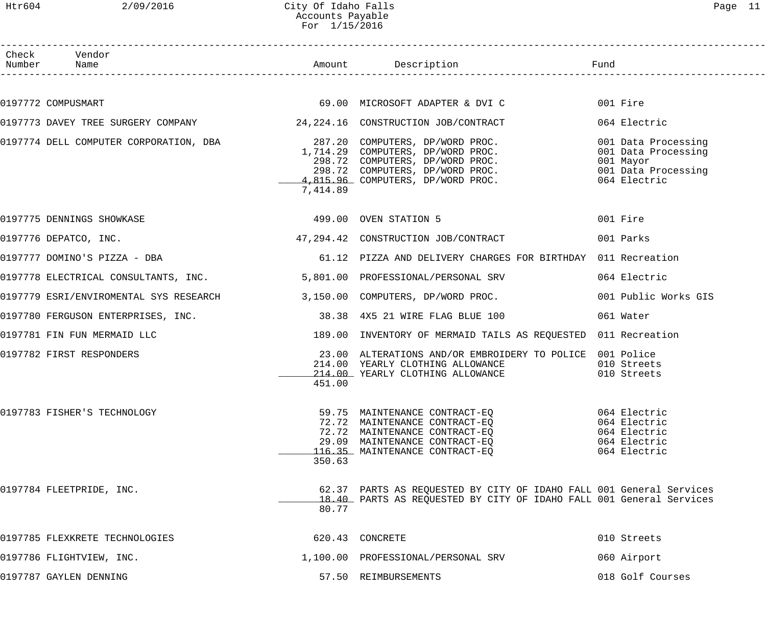| c |  |
|---|--|
|---|--|

| Htr604 | 2/09/2016                                                                | City Of Idaho Falls<br>Accounts Payable<br>For 1/15/2016 |                                                                                                                                                                                                           |                                                                                                | Page 11 |
|--------|--------------------------------------------------------------------------|----------------------------------------------------------|-----------------------------------------------------------------------------------------------------------------------------------------------------------------------------------------------------------|------------------------------------------------------------------------------------------------|---------|
|        | Check Vendor<br>Number Name                                              |                                                          | Amount Description                                                                                                                                                                                        | Fund                                                                                           |         |
|        | 0197772 COMPUSMART                                                       |                                                          | 69.00 MICROSOFT ADAPTER & DVI C                                                                                                                                                                           | 001 Fire                                                                                       |         |
|        | 0197773 DAVEY TREE SURGERY COMPANY $24,224.16$ CONSTRUCTION JOB/CONTRACT |                                                          |                                                                                                                                                                                                           | 064 Electric                                                                                   |         |
|        | 0197774 DELL COMPUTER CORPORATION, DBA                                   | 7,414.89                                                 | 287.20 COMPUTERS, DP/WORD PROC.<br>1,714.29 COMPUTERS, DP/WORD PROC.<br>298.72 COMPUTERS, DP/WORD PROC.<br>298.72 COMPUTERS, DP/WORD PROC.<br>4,815.96 COMPUTERS, DP/WORD PROC.                           | 001 Data Processing<br>001 Data Processing<br>001 Mayor<br>001 Data Processing<br>064 Electric |         |
|        | 0197775 DENNINGS SHOWKASE                                                |                                                          | 499.00 OVEN STATION 5                                                                                                                                                                                     | 001 Fire                                                                                       |         |
|        | 0197776 DEPATCO, INC.                                                    |                                                          | 47,294.42 CONSTRUCTION JOB/CONTRACT                                                                                                                                                                       | 001 Parks                                                                                      |         |
|        | 0197777 DOMINO'S PIZZA - DBA                                             |                                                          | 61.12 PIZZA AND DELIVERY CHARGES FOR BIRTHDAY 011 Recreation                                                                                                                                              |                                                                                                |         |
|        | 0197778 ELECTRICAL CONSULTANTS, INC.                                     |                                                          | 5,801.00 PROFESSIONAL/PERSONAL SRV                                                                                                                                                                        | 064 Electric                                                                                   |         |
|        | 0197779 ESRI/ENVIROMENTAL SYS RESEARCH                                   |                                                          | 3,150.00 COMPUTERS, DP/WORD PROC.                                                                                                                                                                         | 001 Public Works GIS                                                                           |         |
|        | 0197780 FERGUSON ENTERPRISES, INC.                                       |                                                          | 38.38 4X5 21 WIRE FLAG BLUE 100                                                                                                                                                                           | 061 Water                                                                                      |         |
|        | 0197781 FIN FUN MERMAID LLC                                              |                                                          | 189.00 INVENTORY OF MERMAID TAILS AS REQUESTED 011 Recreation                                                                                                                                             |                                                                                                |         |
|        | 0197782 FIRST RESPONDERS                                                 | 451.00                                                   | 23.00 ALTERATIONS AND/OR EMBROIDERY TO POLICE 001 Police<br>214.00 YEARLY CLOTHING ALLOWANCE<br>214.00 YEARLY CLOTHING ALLOWANCE                                                                          | 010 Streets<br>010 Streets                                                                     |         |
|        | 0197783 FISHER'S TECHNOLOGY                                              | 350.63                                                   | 59.75 MAINTENANCE CONTRACT-EQ<br>72.72 MAINTENANCE CONTRACT-EQ 064 Electric<br>72.72 MAINTENANCE CONTRACT-EQ 064 Electric<br>29.09 MAINTENANCE CONTRACT-EQ 064 Electric<br>116.35 MAINTENANCE CONTRACT-EQ | 064 Electric<br>064 Electric                                                                   |         |
|        | 0197784 FLEETPRIDE, INC.                                                 |                                                          | 62.37 PARTS AS REQUESTED BY CITY OF IDAHO FALL 001 General Services<br>18.40 PARTS AS REQUESTED BY CITY OF IDAHO FALL 001 General Services                                                                |                                                                                                |         |

| 0197785 FLEXKRETE TECHNOLOGIES | 620.43 CONCRETE                    | 010 Streets      |
|--------------------------------|------------------------------------|------------------|
| 0197786 FLIGHTVIEW, INC.       | 1,100.00 PROFESSIONAL/PERSONAL SRV | 060 Airport      |
| 0197787 GAYLEN DENNING         | 57.50 REIMBURSEMENTS               | 018 Golf Courses |

80.77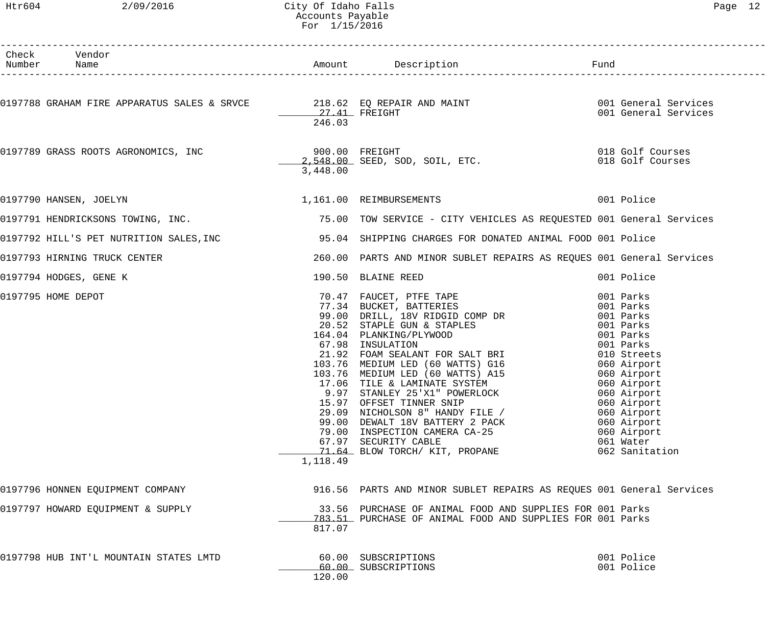#### Htr604 2/09/2016 City Of Idaho Falls Page 12 Accounts Payable For 1/15/2016

| Check Vendor<br>Number Name            |          |                                                                                                                                                                                                                                                                                                                                                                                                                                                                                                     |                                                                                                                                    |
|----------------------------------------|----------|-----------------------------------------------------------------------------------------------------------------------------------------------------------------------------------------------------------------------------------------------------------------------------------------------------------------------------------------------------------------------------------------------------------------------------------------------------------------------------------------------------|------------------------------------------------------------------------------------------------------------------------------------|
|                                        | 246.03   | 0197788 GRAHAM FIRE APPARATUS SALES & SRVCE 218.62 EQ REPAIR AND MAINT 1997788 GRAHAM FIRE APPARATUS SALES & SRVCE<br>27.41 FREIGHT 1998 MAINT 1999 1999 COL General Services                                                                                                                                                                                                                                                                                                                       |                                                                                                                                    |
|                                        | 3,448.00 | 900.00 FREIGHT 900.00 PREIGHT 900.00 PREIGHT 018 Golf Courses                                                                                                                                                                                                                                                                                                                                                                                                                                       |                                                                                                                                    |
|                                        |          | 0197790 HANSEN, JOELYN 1,161.00 REIMBURSEMENTS 001 Police                                                                                                                                                                                                                                                                                                                                                                                                                                           |                                                                                                                                    |
|                                        |          | 0197791 HENDRICKSONS TOWING, INC. THE REARD MANUSING THE REARY OF SERVICE - CITY VEHICLES AS REQUESTED 001 General Services                                                                                                                                                                                                                                                                                                                                                                         |                                                                                                                                    |
|                                        |          | 0197792 HILL'S PET NUTRITION SALES,INC                  95.04  SHIPPING CHARGES FOR DONATED ANIMAL FOOD 001 Police                                                                                                                                                                                                                                                                                                                                                                                  |                                                                                                                                    |
| 0197793 HIRNING TRUCK CENTER           |          | 260.00 PARTS AND MINOR SUBLET REPAIRS AS REQUES 001 General Services                                                                                                                                                                                                                                                                                                                                                                                                                                |                                                                                                                                    |
| 0197794 HODGES, GENE K                 |          | 190.50 BLAINE REED                                                                                                                                                                                                                                                                                                                                                                                                                                                                                  | 001 Police                                                                                                                         |
| 0197795 HOME DEPOT                     | 1,118.49 | 20.52 STAPLE GUN & STAPLES<br>164.04 PLANKING/PLYWOOD<br>67.98 INSULATION 001 Parks<br>21.92 FOAM SEALANT FOR SALT BRI 010 Streets<br>103.76 MEDIUM LED (60 WATTS) G16 60 060 Airport<br>103.76 MEDIUM LED (60 WATTS) A15 060 Airport<br>17.06 TILE & LAMINATE SYSTEM<br>9.97 STANLEY 25'X1" POWERLOCK<br>15.97 OFFSET TINNER SNIP<br>29.09 NICHOLSON 8" HANDY FILE /<br>99.00 DEWALT 18V BATTERY 2 PACK<br>79.00 INSPECTION CAMERA CA-25<br>67.97 SECURITY CABLE<br>71.64 BLOW TORCH/ KIT, PROPANE | 001 Parks<br>060 Airport<br>060 Airport<br>060 Airport<br>060 Airport<br>060 Airport<br>060 Airport<br>061 Water<br>062 Sanitation |
| 0197796 HONNEN EQUIPMENT COMPANY       |          | 916.56 PARTS AND MINOR SUBLET REPAIRS AS REQUES 001 General Services                                                                                                                                                                                                                                                                                                                                                                                                                                |                                                                                                                                    |
| 0197797 HOWARD EQUIPMENT & SUPPLY      | 817.07   | 33.56 PURCHASE OF ANIMAL FOOD AND SUPPLIES FOR 001 Parks<br>783.51 PURCHASE OF ANIMAL FOOD AND SUPPLIES FOR 001 Parks                                                                                                                                                                                                                                                                                                                                                                               |                                                                                                                                    |
| 0197798 HUB INT'L MOUNTAIN STATES LMTD | 120.00   | 60.00 SUBSCRIPTIONS<br>60.00 SUBSCRIPTIONS                                                                                                                                                                                                                                                                                                                                                                                                                                                          | 001 Police<br>001 Police                                                                                                           |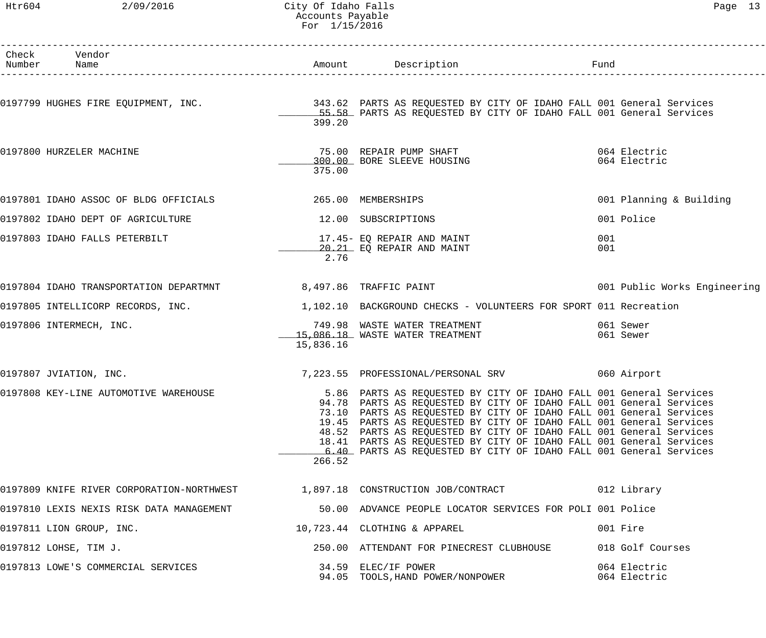#### Htr604 2/09/2016 City Of Idaho Falls Page 13 Accounts Payable For 1/15/2016

| Check Vendor<br>Number Name                                                  |           | Amount Description                                                                                                                                                                                                                                                                                                                                                                                                                                                                                          | Fund                         |
|------------------------------------------------------------------------------|-----------|-------------------------------------------------------------------------------------------------------------------------------------------------------------------------------------------------------------------------------------------------------------------------------------------------------------------------------------------------------------------------------------------------------------------------------------------------------------------------------------------------------------|------------------------------|
|                                                                              | 399.20    | 0197799 HUGHES FIRE EQUIPMENT, INC. THE SALE SALE 2013.62 PARTS AS REQUESTED BY CITY OF IDAHO FALL 001 General Services<br>55.58 PARTS AS REQUESTED BY CITY OF IDAHO FALL 001 General Services                                                                                                                                                                                                                                                                                                              |                              |
| 0197800 HURZELER MACHINE                                                     | 375.00    | 75.00 REPAIR PUMP SHAFT<br>300.00 BORE SLEEVE HOUSING                                                                                                                                                                                                                                                                                                                                                                                                                                                       | 064 Electric<br>064 Electric |
| 0197801 IDAHO ASSOC OF BLDG OFFICIALS                                        |           | 265.00 MEMBERSHIPS                                                                                                                                                                                                                                                                                                                                                                                                                                                                                          | 001 Planning & Building      |
| 0197802 IDAHO DEPT OF AGRICULTURE                                            |           | 12.00 SUBSCRIPTIONS                                                                                                                                                                                                                                                                                                                                                                                                                                                                                         | 001 Police                   |
| 0197803 IDAHO FALLS PETERBILT                                                | 2.76      | 17.45- EQ REPAIR AND MAINT<br>20.21 EQ REPAIR AND MAINT                                                                                                                                                                                                                                                                                                                                                                                                                                                     | 001<br>001                   |
| 0197804 IDAHO TRANSPORTATION DEPARTMNT 68,497.86 TRAFFIC PAINT               |           |                                                                                                                                                                                                                                                                                                                                                                                                                                                                                                             | 001 Public Works Engineering |
| 0197805 INTELLICORP RECORDS, INC.                                            |           | 1,102.10 BACKGROUND CHECKS - VOLUNTEERS FOR SPORT 011 Recreation                                                                                                                                                                                                                                                                                                                                                                                                                                            |                              |
| 0197806 INTERMECH, INC.                                                      | 15,836.16 | 749.98 WASTE WATER TREATMENT<br>15,086.18 WASTE WATER TREATMENT                                                                                                                                                                                                                                                                                                                                                                                                                                             | 061 Sewer<br>061 Sewer       |
| 0197807 JVIATION, INC.                                                       |           |                                                                                                                                                                                                                                                                                                                                                                                                                                                                                                             |                              |
| 0197808 KEY-LINE AUTOMOTIVE WAREHOUSE                                        | 266.52    | 5.86 PARTS AS REQUESTED BY CITY OF IDAHO FALL 001 General Services<br>94.78 PARTS AS REQUESTED BY CITY OF IDAHO FALL 001 General Services<br>73.10 PARTS AS REQUESTED BY CITY OF IDAHO FALL 001 General Services<br>19.45 PARTS AS REQUESTED BY CITY OF IDAHO FALL 001 General Services<br>48.52 PARTS AS REQUESTED BY CITY OF IDAHO FALL 001 General Services<br>18.41 PARTS AS REQUESTED BY CITY OF IDAHO FALL 001 General Services<br>6.40 PARTS AS REQUESTED BY CITY OF IDAHO FALL 001 General Services |                              |
| 0197809 KNIFE RIVER CORPORATION-NORTHWEST 1,897.18 CONSTRUCTION JOB/CONTRACT |           |                                                                                                                                                                                                                                                                                                                                                                                                                                                                                                             | 012 Library                  |
| 0197810 LEXIS NEXIS RISK DATA MANAGEMENT                                     |           | 50.00 ADVANCE PEOPLE LOCATOR SERVICES FOR POLI 001 Police                                                                                                                                                                                                                                                                                                                                                                                                                                                   |                              |
| 0197811 LION GROUP, INC.                                                     |           | 10,723.44 CLOTHING & APPAREL                                                                                                                                                                                                                                                                                                                                                                                                                                                                                | 001 Fire                     |
| 0197812 LOHSE, TIM J.                                                        |           | 250.00 ATTENDANT FOR PINECREST CLUBHOUSE                                                                                                                                                                                                                                                                                                                                                                                                                                                                    | 018 Golf Courses             |
| 0197813 LOWE'S COMMERCIAL SERVICES                                           |           | 34.59 ELEC/IF POWER<br>94.05 TOOLS, HAND POWER/NONPOWER                                                                                                                                                                                                                                                                                                                                                                                                                                                     | 064 Electric<br>064 Electric |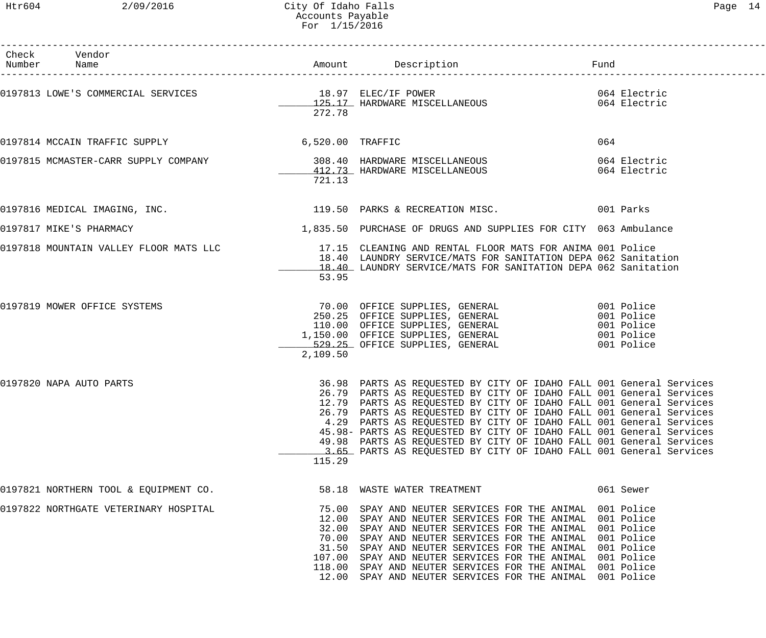## Htr604 2/09/2016 City Of Idaho Falls Page 14 Accounts Payable For 1/15/2016

| г<br>ч. |  |
|---------|--|
|---------|--|

| Check Vendor<br>Number Name                                                                         |          |                                                                                                                                                                                                                                                                                                                                                                                                                                                                                                                                                                                     |                              |
|-----------------------------------------------------------------------------------------------------|----------|-------------------------------------------------------------------------------------------------------------------------------------------------------------------------------------------------------------------------------------------------------------------------------------------------------------------------------------------------------------------------------------------------------------------------------------------------------------------------------------------------------------------------------------------------------------------------------------|------------------------------|
| 0197813 LOWE'S COMMERCIAL SERVICES 18.97 ELEC/IF POWER<br>125.17 HARDWARE MISCELLANEOUS             | 272.78   |                                                                                                                                                                                                                                                                                                                                                                                                                                                                                                                                                                                     | 064 Electric<br>064 Electric |
| 0197814 MCCAIN TRAFFIC SUPPLY 6,520.00 TRAFFIC                                                      |          |                                                                                                                                                                                                                                                                                                                                                                                                                                                                                                                                                                                     | 064                          |
| 0197815 MCMASTER-CARR SUPPLY COMPANY 308.40 HARDWARE MISCELLANEOUS<br>412.73 HARDWARE MISCELLANEOUS | 721.13   |                                                                                                                                                                                                                                                                                                                                                                                                                                                                                                                                                                                     | 064 Electric<br>064 Electric |
|                                                                                                     |          | 0197816 MEDICAL IMAGING, INC. THE SERVICE SERVICE SERVICE SERVICE SERVICE SERVICE SERVICE SERVICE SERVICE SERV                                                                                                                                                                                                                                                                                                                                                                                                                                                                      |                              |
| 0197817 MIKE'S PHARMACY                                                                             |          | 1,835.50 PURCHASE OF DRUGS AND SUPPLIES FOR CITY 063 Ambulance                                                                                                                                                                                                                                                                                                                                                                                                                                                                                                                      |                              |
|                                                                                                     | 53.95    | 0197818 MOUNTAIN VALLEY FLOOR MATS LLC 17.15 CLEANING AND RENTAL FLOOR MATS FOR ANIMA 001 Police<br>18.40 LAUNDRY SERVICE/MATS FOR SANITATION DEPA 062 Sanitation<br>18.40 LAUNDRY SERVICE/MATS FOR SANITATION DEPA 062 Sanitation                                                                                                                                                                                                                                                                                                                                                  |                              |
| 0197819 MOWER OFFICE SYSTEMS                                                                        | 2,109.50 | 70.00 OFFICE SUPPLIES, GENERAL 001 Police<br>250.25 OFFICE SUPPLIES, GENERAL 001 Police<br>110.00 OFFICE SUPPLIES, GENERAL 001 Police<br>1,150.00 OFFICE SUPPLIES, GENERAL 001 Police<br>529.25 OFFICE SUPPLIES, GENERAL 001 Police                                                                                                                                                                                                                                                                                                                                                 |                              |
| 0197820 NAPA AUTO PARTS                                                                             | 115.29   | 36.98 PARTS AS REQUESTED BY CITY OF IDAHO FALL 001 General Services<br>26.79 PARTS AS REQUESTED BY CITY OF IDAHO FALL 001 General Services<br>12.79 PARTS AS REQUESTED BY CITY OF IDAHO FALL 001 General Services<br>26.79 PARTS AS REQUESTED BY CITY OF IDAHO FALL 001 General Services<br>4.29 PARTS AS REQUESTED BY CITY OF IDAHO FALL 001 General Services<br>45.98- PARTS AS REQUESTED BY CITY OF IDAHO FALL 001 General Services<br>49.98 PARTS AS REQUESTED BY CITY OF IDAHO FALL 001 General Services<br>3.65 PARTS AS REQUESTED BY CITY OF IDAHO FALL 001 General Services |                              |
| 0197821 NORTHERN TOOL & EQUIPMENT CO.                                                               |          | 58.18 WASTE WATER TREATMENT                                                                                                                                                                                                                                                                                                                                                                                                                                                                                                                                                         | 061 Sewer                    |
| 0197822 NORTHGATE VETERINARY HOSPITAL                                                               |          | 75.00 SPAY AND NEUTER SERVICES FOR THE ANIMAL 001 Police<br>12.00 SPAY AND NEUTER SERVICES FOR THE ANIMAL 001 Police<br>32.00 SPAY AND NEUTER SERVICES FOR THE ANIMAL 001 Police<br>70.00 SPAY AND NEUTER SERVICES FOR THE ANIMAL 001 Police<br>31.50 SPAY AND NEUTER SERVICES FOR THE ANIMAL 001 Police<br>107.00 SPAY AND NEUTER SERVICES FOR THE ANIMAL 001 Police<br>118.00 SPAY AND NEUTER SERVICES FOR THE ANIMAL 001 Police<br>12.00 SPAY AND NEUTER SERVICES FOR THE ANIMAL 001 Police                                                                                      |                              |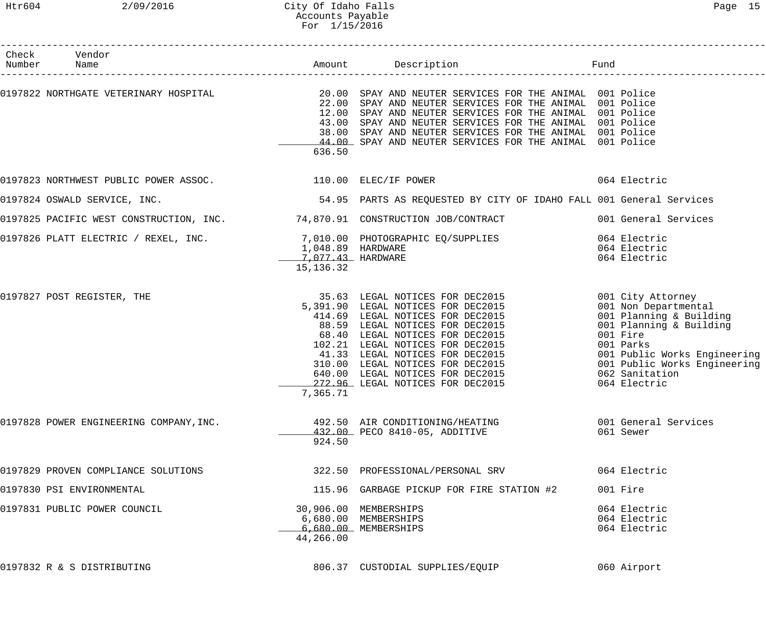| Check Vendor<br>Number Name                                  |                                  |                                                                                                                                                                                                                                                                                                                                                                                                                     |                                                                                                                                                                                                                            |
|--------------------------------------------------------------|----------------------------------|---------------------------------------------------------------------------------------------------------------------------------------------------------------------------------------------------------------------------------------------------------------------------------------------------------------------------------------------------------------------------------------------------------------------|----------------------------------------------------------------------------------------------------------------------------------------------------------------------------------------------------------------------------|
|                                                              | 636.50                           | 0197822 NORTHGATE VETERINARY HOSPITAL <b>1999 10 SPAY AND NEUTER SERVICES FOR THE ANIMAL</b> 001 Police<br>22.00 SPAY AND NEUTER SERVICES FOR THE ANIMAL 001 Police<br>12.00 SPAY AND NEUTER SERVICES FOR THE ANIMAL 001 Police<br>43.00 SPAY AND NEUTER SERVICES FOR THE ANIMAL 001 Police<br>38.00 SPAY AND NEUTER SERVICES FOR THE ANIMAL 001 Police<br>44.00 SPAY AND NEUTER SERVICES FOR THE ANIMAL 001 Police |                                                                                                                                                                                                                            |
| 0197823 NORTHWEST PUBLIC POWER ASSOC. 4 110.00 ELEC/IF POWER |                                  |                                                                                                                                                                                                                                                                                                                                                                                                                     | 064 Electric                                                                                                                                                                                                               |
| 0197824 OSWALD SERVICE, INC.                                 |                                  | 54.95 PARTS AS REQUESTED BY CITY OF IDAHO FALL 001 General Services                                                                                                                                                                                                                                                                                                                                                 |                                                                                                                                                                                                                            |
|                                                              |                                  | 0197825 PACIFIC WEST CONSTRUCTION, INC. 374,870.91 CONSTRUCTION JOB/CONTRACT 001 General Services                                                                                                                                                                                                                                                                                                                   |                                                                                                                                                                                                                            |
|                                                              | 7,077.43 HARDWARE<br>15, 136. 32 | 0197826 PLATT ELECTRIC / REXEL, INC.<br>1,048.89 HARDWARE<br>1,048.89 HARDWARE                                                                                                                                                                                                                                                                                                                                      | 064 Electric<br>064 Electric<br>064 Electric                                                                                                                                                                               |
| 0197827 POST REGISTER, THE                                   | 7,365.71                         | 35.63 LEGAL NOTICES FOR DEC2015<br>5,391.90 LEGAL NOTICES FOR DEC2015<br>414.69 LEGAL NOTICES FOR DEC2015<br>88.59 LEGAL NOTICES FOR DEC2015<br>68.40 LEGAL NOTICES FOR DEC2015<br>102.21 LEGAL NOTICES FOR DEC2015<br>41.33 LEGAL NOTICES FOR D                                                                                                                                                                    | 001 City Attorney<br>001 Non Departmental<br>001 Planning & Building<br>001 Planning & Building<br>001 Fire<br>001 Parks<br>001 Public Works Engineering<br>001 Public Works Engineering<br>062 Sanitation<br>064 Electric |
| 0197828 POWER ENGINEERING COMPANY, INC.                      | 924.50                           | 492.50 AIR CONDITIONING/HEATING<br>432.00 PECO 8410-05, ADDITIVE                                                                                                                                                                                                                                                                                                                                                    | 001 General Services<br>061 Sewer                                                                                                                                                                                          |
| 0197829 PROVEN COMPLIANCE SOLUTIONS                          |                                  | 322.50 PROFESSIONAL/PERSONAL SRV                                                                                                                                                                                                                                                                                                                                                                                    | 064 Electric                                                                                                                                                                                                               |
| 0197830 PSI ENVIRONMENTAL                                    |                                  | 115.96 GARBAGE PICKUP FOR FIRE STATION #2                                                                                                                                                                                                                                                                                                                                                                           | 001 Fire                                                                                                                                                                                                                   |
| 0197831 PUBLIC POWER COUNCIL                                 | 44,266.00                        | 30,906.00 MEMBERSHIPS<br>6,680.00 MEMBERSHIPS<br>6,680.00 MEMBERSHIPS                                                                                                                                                                                                                                                                                                                                               | 064 Electric<br>064 Electric<br>064 Electric                                                                                                                                                                               |
| 0197832 R & S DISTRIBUTING                                   |                                  | 806.37 CUSTODIAL SUPPLIES/EQUIP                                                                                                                                                                                                                                                                                                                                                                                     | 060 Airport                                                                                                                                                                                                                |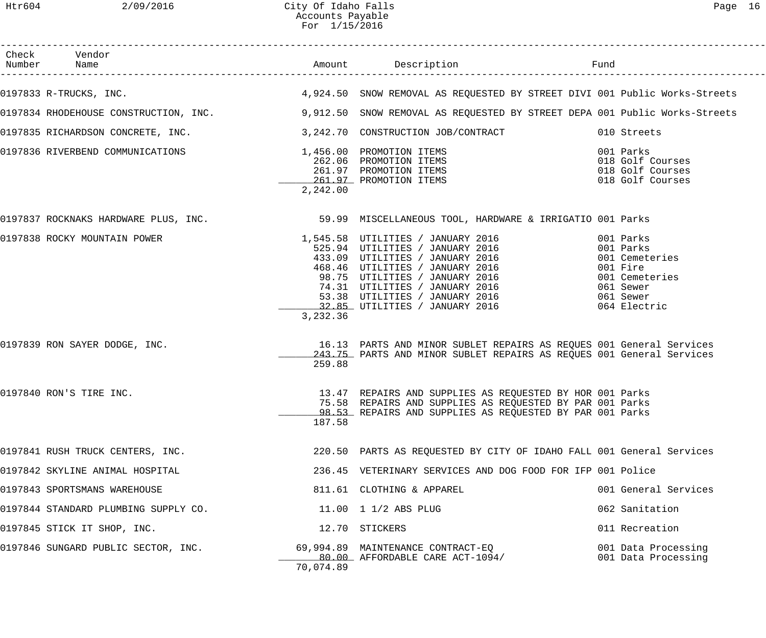| Check Vendor<br>Number Name                                            |           | Amount Description                                                                                                                                                                                                                                                                   | Fund                                                                                                             |
|------------------------------------------------------------------------|-----------|--------------------------------------------------------------------------------------------------------------------------------------------------------------------------------------------------------------------------------------------------------------------------------------|------------------------------------------------------------------------------------------------------------------|
| 0197833 R-TRUCKS, INC.                                                 |           | 4,924.50 SNOW REMOVAL AS REQUESTED BY STREET DIVI 001 Public Works-Streets                                                                                                                                                                                                           |                                                                                                                  |
|                                                                        |           | 0197834 RHODEHOUSE CONSTRUCTION, INC. 40 19,912.50 SNOW REMOVAL AS REQUESTED BY STREET DEPA 001 Public Works-Streets                                                                                                                                                                 |                                                                                                                  |
| 0197835 RICHARDSON CONCRETE, INC. $3,242.70$ CONSTRUCTION JOB/CONTRACT |           |                                                                                                                                                                                                                                                                                      | 010 Streets                                                                                                      |
| 0197836 RIVERBEND COMMUNICATIONS                                       | 2,242.00  | 1,456.00 PROMOTION ITEMS<br>262.06 PROMOTION ITEMS<br>261.97 PROMOTION ITEMS<br>261.97 PROMOTION ITEMS<br>261.97 PROMOTION ITEMS                                                                                                                                                     | 001 Parks<br>018 Golf Courses<br>018 Golf Courses<br>018 Golf Courses                                            |
|                                                                        |           | 0197837 ROCKNAKS HARDWARE PLUS, INC. 30 SO 199 MISCELLANEOUS TOOL, HARDWARE & IRRIGATIO 001 Parks                                                                                                                                                                                    |                                                                                                                  |
| 0197838 ROCKY MOUNTAIN POWER                                           | 3,232.36  | 1,545.58 UTILITIES / JANUARY 2016<br>525.94 UTILITIES / JANUARY 2016<br>433.09 UTILITIES / JANUARY 2016<br>468.46 UTILITIES / JANUARY 2016<br>98.75 UTILITIES / JANUARY 2016<br>74.31 UTILITIES / JANUARY 2016<br>$53.38$ UTILITIES / JANUARY 2016<br>32.85 UTILITIES / JANUARY 2016 | 001 Parks<br>001 Parks<br>001 Cemeteries<br>001 Fire<br>001 Cemeteries<br>061 Sewer<br>061 Sewer<br>064 Electric |
| 0197839 RON SAYER DODGE, INC.                                          | 259.88    | 16.13 PARTS AND MINOR SUBLET REPAIRS AS REQUES 001 General Services<br>243.75 PARTS AND MINOR SUBLET REPAIRS AS REQUES 001 General Services                                                                                                                                          |                                                                                                                  |
| 0197840 RON'S TIRE INC.                                                | 187.58    | 13.47 REPAIRS AND SUPPLIES AS REQUESTED BY HOR 001 Parks<br>75.58 REPAIRS AND SUPPLIES AS REQUESTED BY PAR 001 Parks<br>98.53 REPAIRS AND SUPPLIES AS REQUESTED BY PAR 001 Parks                                                                                                     |                                                                                                                  |
| 0197841 RUSH TRUCK CENTERS, INC.                                       |           | 220.50 PARTS AS REQUESTED BY CITY OF IDAHO FALL 001 General Services                                                                                                                                                                                                                 |                                                                                                                  |
| 0197842 SKYLINE ANIMAL HOSPITAL                                        |           | 236.45 VETERINARY SERVICES AND DOG FOOD FOR IFP 001 Police                                                                                                                                                                                                                           |                                                                                                                  |
| 0197843 SPORTSMANS WAREHOUSE                                           |           | 811.61 CLOTHING & APPAREL                                                                                                                                                                                                                                                            | 001 General Services                                                                                             |
| 0197844 STANDARD PLUMBING SUPPLY CO.                                   |           | 11.00 1 1/2 ABS PLUG                                                                                                                                                                                                                                                                 | 062 Sanitation                                                                                                   |
| 0197845 STICK IT SHOP, INC.                                            |           | 12.70 STICKERS                                                                                                                                                                                                                                                                       | 011 Recreation                                                                                                   |
| 0197846 SUNGARD PUBLIC SECTOR, INC.                                    | 70,074.89 | 69,994.89 MAINTENANCE CONTRACT-EQ<br>80.00 AFFORDABLE CARE ACT-1094/                                                                                                                                                                                                                 | 001 Data Processing<br>001 Data Processing                                                                       |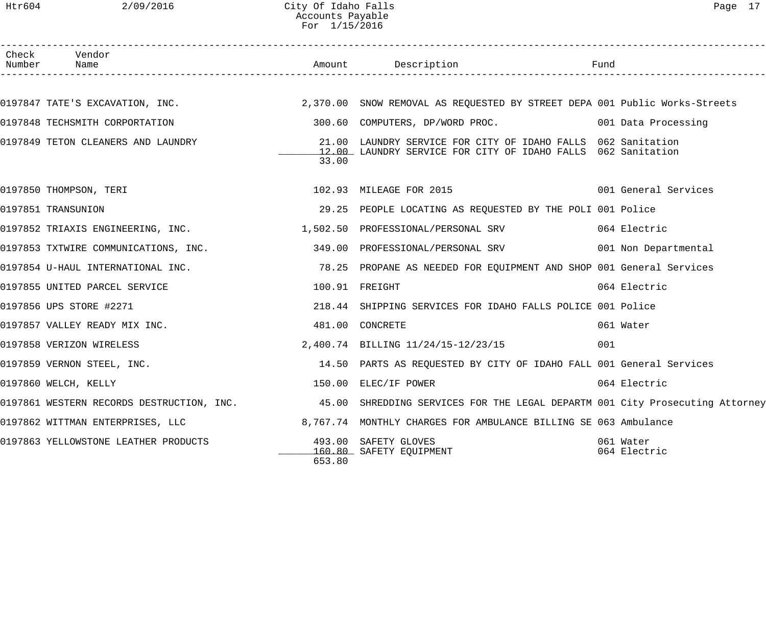Htr604 2/09/2016 City Of Idaho Falls Page 17 Accounts Payable For 1/15/2016

| Check | Vendor<br>Number Name                                                     |                | Amount Description                                                                                                        | Fund                      |
|-------|---------------------------------------------------------------------------|----------------|---------------------------------------------------------------------------------------------------------------------------|---------------------------|
|       |                                                                           |                |                                                                                                                           |                           |
|       |                                                                           |                | 0197847 TATE'S EXCAVATION, INC. THE SANDA MALL 2,370.00 SNOW REMOVAL AS REQUESTED BY STREET DEPA 001 Public Works-Streets |                           |
|       | 0197848 TECHSMITH CORPORTATION                                            |                | 300.60 COMPUTERS, DP/WORD PROC. 001 Data Processing                                                                       |                           |
|       | 0197849 TETON CLEANERS AND LAUNDRY                                        | 21.00<br>33.00 | LAUNDRY SERVICE FOR CITY OF IDAHO FALLS 062 Sanitation<br>12.00 LAUNDRY SERVICE FOR CITY OF IDAHO FALLS 062 Sanitation    |                           |
|       | 0197850 THOMPSON, TERI                                                    |                | 102.93 MILEAGE FOR 2015 102.93 MILEAGE FOR 2015                                                                           |                           |
|       | 0197851 TRANSUNION                                                        |                | 29.25 PEOPLE LOCATING AS REQUESTED BY THE POLI 001 Police                                                                 |                           |
|       | 0197852 TRIAXIS ENGINEERING, INC. 1992 1,502.50 PROFESSIONAL/PERSONAL SRV |                |                                                                                                                           | 064 Electric              |
|       | 0197853 TXTWIRE COMMUNICATIONS, INC.                                      |                | 349.00 PROFESSIONAL/PERSONAL SRV 6001 Non Departmental                                                                    |                           |
|       | 0197854 U-HAUL INTERNATIONAL INC.                                         |                | 78.25 PROPANE AS NEEDED FOR EQUIPMENT AND SHOP 001 General Services                                                       |                           |
|       | 0197855 UNITED PARCEL SERVICE                                             |                | 100.91 FREIGHT                                                                                                            | 064 Electric              |
|       | 0197856 UPS STORE #2271                                                   |                | 218.44 SHIPPING SERVICES FOR IDAHO FALLS POLICE 001 Police                                                                |                           |
|       | 0197857 VALLEY READY MIX INC.                                             |                | 481.00 CONCRETE                                                                                                           | 061 Water                 |
|       | 0197858 VERIZON WIRELESS                                                  |                | 2,400.74 BILLING 11/24/15-12/23/15                                                                                        | 001                       |
|       | 0197859 VERNON STEEL, INC.                                                |                | 14.50 PARTS AS REQUESTED BY CITY OF IDAHO FALL 001 General Services                                                       |                           |
|       | 0197860 WELCH, KELLY                                                      |                | 150.00 ELEC/IF POWER                                                                                                      | 064 Electric              |
|       |                                                                           |                | 0197861 WESTERN RECORDS DESTRUCTION, INC. 45.00 SHREDDING SERVICES FOR THE LEGAL DEPARTM 001 City Prosecuting Attorney    |                           |
|       | 0197862 WITTMAN ENTERPRISES, LLC                                          |                | 8,767.74 MONTHLY CHARGES FOR AMBULANCE BILLING SE 063 Ambulance                                                           |                           |
|       | 0197863 YELLOWSTONE LEATHER PRODUCTS                                      | 653.80         | 493.00 SAFETY GLOVES<br>160.80 SAFETY EQUIPMENT                                                                           | 061 Water<br>064 Electric |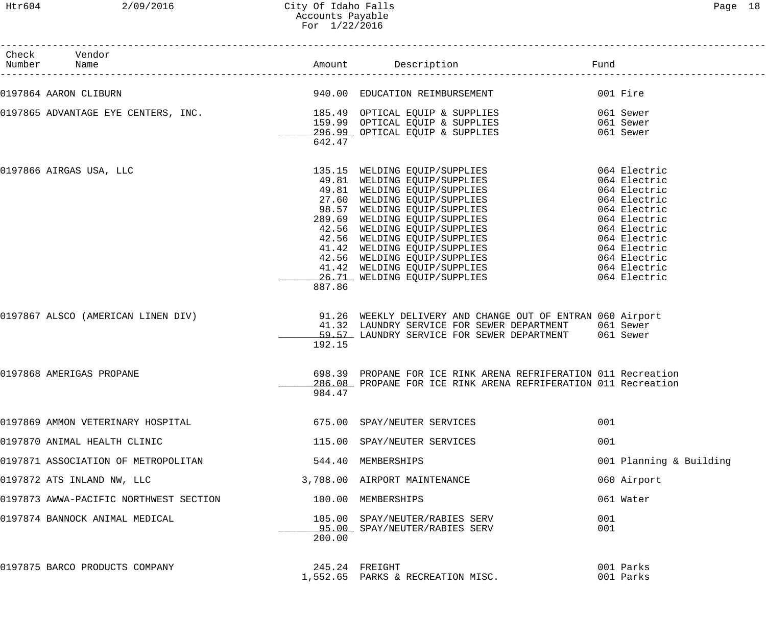| Check Vendor<br>Number Name            |        |                                                                                                                                                                                                                                              |                         |
|----------------------------------------|--------|----------------------------------------------------------------------------------------------------------------------------------------------------------------------------------------------------------------------------------------------|-------------------------|
| 0197864 AARON CLIBURN                  |        | 940.00 EDUCATION REIMBURSEMENT 601 Fire                                                                                                                                                                                                      |                         |
|                                        | 642.47 |                                                                                                                                                                                                                                              |                         |
| 0197866 AIRGAS USA, LLC                | 887.86 | 135.15 WELDING EQUIP/SUPPLIES<br>49.81 WELDING EQUIP/SUPPLIES<br>49.81 WELDING EQUIP/SUPPLIES<br>49.81 WELDING EQUIP/SUPPLIES<br>27.60 WELDING EQUIP/SUPPLIES<br>27.60 WELDING EQUIP/SUPPLIES<br>28.57 WELDING EQUIP/SUPPLIES<br>289.69 WELD |                         |
| 0197867 ALSCO (AMERICAN LINEN DIV)     | 192.15 | 91.26 WEEKLY DELIVERY AND CHANGE OUT OF ENTRAN 060 Airport<br>41.32 LAUNDRY SERVICE FOR SEWER DEPARTMENT 061 Sewer<br>59.57 LAUNDRY SERVICE FOR SEWER DEPARTMENT 061 Sewer                                                                   |                         |
| 0197868 AMERIGAS PROPANE               | 984.47 | 698.39 PROPANE FOR ICE RINK ARENA REFRIFERATION 011 Recreation<br>286.08 PROPANE FOR ICE RINK ARENA REFRIFERATION 011 Recreation                                                                                                             |                         |
| 0197869 AMMON VETERINARY HOSPITAL      |        | 675.00 SPAY/NEUTER SERVICES                                                                                                                                                                                                                  | 001                     |
| 0197870 ANIMAL HEALTH CLINIC           |        | 115.00 SPAY/NEUTER SERVICES                                                                                                                                                                                                                  | 001                     |
| 0197871 ASSOCIATION OF METROPOLITAN    |        | 544.40 MEMBERSHIPS                                                                                                                                                                                                                           | 001 Planning & Building |
| 0197872 ATS INLAND NW, LLC             |        | 3,708.00 AIRPORT MAINTENANCE                                                                                                                                                                                                                 | 060 Airport             |
| 0197873 AWWA-PACIFIC NORTHWEST SECTION |        | 100.00 MEMBERSHIPS                                                                                                                                                                                                                           | 061 Water               |
| 0197874 BANNOCK ANIMAL MEDICAL         | 200.00 | 105.00 SPAY/NEUTER/RABIES SERV<br>95.00 SPAY/NEUTER/RABIES SERV                                                                                                                                                                              | 001<br>001              |
| 0197875 BARCO PRODUCTS COMPANY         |        | 245.24 FREIGHT<br>1,552.65 PARKS & RECREATION MISC.                                                                                                                                                                                          | 001 Parks<br>001 Parks  |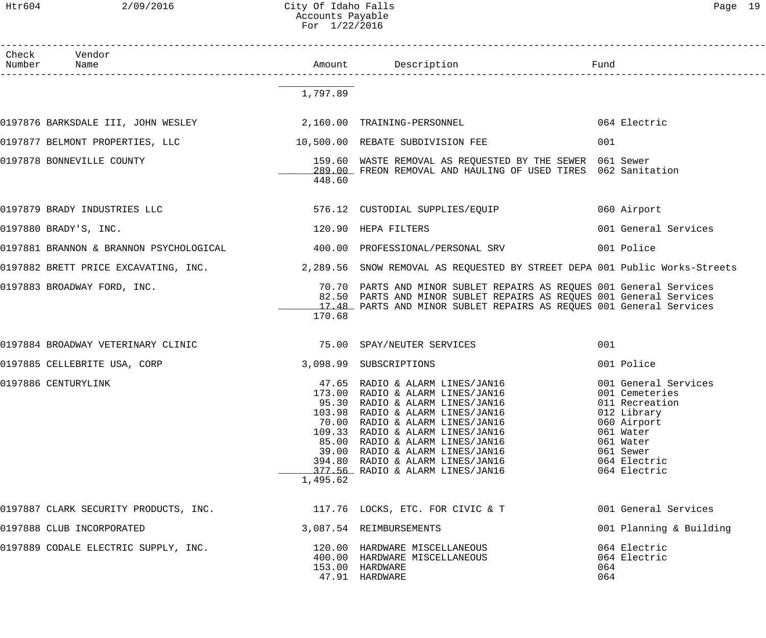Htr604 2/09/2016 City Of Idaho Falls Page 19 Accounts Payable For 1/22/2016

| Check<br>Number | Vendor<br>Name                                                                            |          |                                                                                                                                                                                                                                                                                                                                                                 | Fund                                                                                                                                                          |
|-----------------|-------------------------------------------------------------------------------------------|----------|-----------------------------------------------------------------------------------------------------------------------------------------------------------------------------------------------------------------------------------------------------------------------------------------------------------------------------------------------------------------|---------------------------------------------------------------------------------------------------------------------------------------------------------------|
|                 |                                                                                           | 1,797.89 |                                                                                                                                                                                                                                                                                                                                                                 |                                                                                                                                                               |
|                 | 0197876 BARKSDALE III, JOHN WESLEY                            2,160.00 TRAINING-PERSONNEL |          |                                                                                                                                                                                                                                                                                                                                                                 | 064 Electric                                                                                                                                                  |
|                 | 0197877 BELMONT PROPERTIES, LLC                                                           |          | 10,500.00 REBATE SUBDIVISION FEE                                                                                                                                                                                                                                                                                                                                | 001                                                                                                                                                           |
|                 | 0197878 BONNEVILLE COUNTY                                                                 | 448.60   | 159.60 WASTE REMOVAL AS REQUESTED BY THE SEWER 061 Sewer<br>289.00 FREON REMOVAL AND HAULING OF USED TIRES 062 Sanitation                                                                                                                                                                                                                                       |                                                                                                                                                               |
|                 | 0197879 BRADY INDUSTRIES LLC                                                              |          | 576.12 CUSTODIAL SUPPLIES/EQUIP                                                                                                                                                                                                                                                                                                                                 | 060 Airport                                                                                                                                                   |
|                 | 0197880 BRADY'S, INC.                                                                     |          | 120.90 HEPA FILTERS                                                                                                                                                                                                                                                                                                                                             | 001 General Services                                                                                                                                          |
|                 | 0197881 BRANNON & BRANNON PSYCHOLOGICAL<br>400.00 PROFESSIONAL/PERSONAL SRV               |          |                                                                                                                                                                                                                                                                                                                                                                 | 001 Police                                                                                                                                                    |
|                 |                                                                                           |          | 0197882 BRETT PRICE EXCAVATING, INC. 2,289.56 SNOW REMOVAL AS REQUESTED BY STREET DEPA 001 Public Works-Streets                                                                                                                                                                                                                                                 |                                                                                                                                                               |
|                 | 0197883 BROADWAY FORD, INC.                                                               | 170.68   | 70.70 PARTS AND MINOR SUBLET REPAIRS AS REQUES 001 General Services<br>82.50 PARTS AND MINOR SUBLET REPAIRS AS REQUES 001 General Services<br>17.48 PARTS AND MINOR SUBLET REPAIRS AS REQUES 001 General Services                                                                                                                                               |                                                                                                                                                               |
|                 | 0197884 BROADWAY VETERINARY CLINIC 75.00 SPAY/NEUTER SERVICES                             |          |                                                                                                                                                                                                                                                                                                                                                                 | 001                                                                                                                                                           |
|                 | 0197885 CELLEBRITE USA, CORP                                                              |          | 3,098.99 SUBSCRIPTIONS                                                                                                                                                                                                                                                                                                                                          | 001 Police                                                                                                                                                    |
|                 | 0197886 CENTURYLINK                                                                       | 1,495.62 | 47.65 RADIO & ALARM LINES/JAN16<br>173.00 RADIO & ALARM LINES/JAN16<br>95.30 RADIO & ALARM LINES/JAN16<br>103.98 RADIO & ALARM LINES/JAN16<br>70.00 RADIO & ALARM LINES/JAN16<br>109.33 RADIO & ALARM LINES/JAN16<br>85.00 RADIO & ALARM LINES/JAN16<br>39.00 RADIO & ALARM LINES/JAN16<br>394.80 RADIO & ALARM LINES/JAN16<br>377.56 RADIO & ALARM LINES/JAN16 | 001 General Services<br>001 Cemeteries<br>011 Recreation<br>012 Library<br>060 Airport<br>061 Water<br>061 Water<br>061 Sewer<br>064 Electric<br>064 Electric |
|                 | 0197887 CLARK SECURITY PRODUCTS, INC.                                                     |          | 117.76 LOCKS, ETC. FOR CIVIC & T                                                                                                                                                                                                                                                                                                                                | 001 General Services                                                                                                                                          |
|                 | 0197888 CLUB INCORPORATED                                                                 |          | 3,087.54 REIMBURSEMENTS                                                                                                                                                                                                                                                                                                                                         | 001 Planning & Building                                                                                                                                       |
|                 | 0197889 CODALE ELECTRIC SUPPLY, INC.                                                      |          | 120.00 HARDWARE MISCELLANEOUS<br>400.00 HARDWARE MISCELLANEOUS<br>153.00 HARDWARE<br>47.91 HARDWARE                                                                                                                                                                                                                                                             | 064 Electric<br>064 Electric<br>064<br>064                                                                                                                    |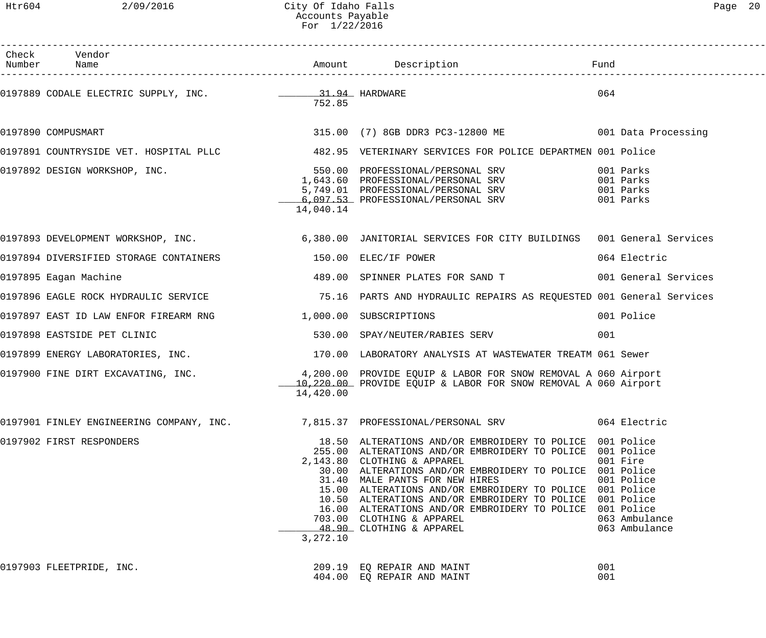Htr604 2/09/2016 City Of Idaho Falls Page 20 Accounts Payable For 1/22/2016

| Check Vendor<br>Number Name                                                                                                                     |           |                                                                                                                                                                                                                                                                                                                                                                                                                                                                                                 |                                                          |
|-------------------------------------------------------------------------------------------------------------------------------------------------|-----------|-------------------------------------------------------------------------------------------------------------------------------------------------------------------------------------------------------------------------------------------------------------------------------------------------------------------------------------------------------------------------------------------------------------------------------------------------------------------------------------------------|----------------------------------------------------------|
|                                                                                                                                                 | 752.85    |                                                                                                                                                                                                                                                                                                                                                                                                                                                                                                 | 064                                                      |
| 0197890 COMPUSMART                                                                                                                              |           | 315.00 (7) 8GB DDR3 PC3-12800 ME 6001 Data Processing                                                                                                                                                                                                                                                                                                                                                                                                                                           |                                                          |
|                                                                                                                                                 |           | 0197891 COUNTRYSIDE VET. HOSPITAL PLLC 482.95 VETERINARY SERVICES FOR POLICE DEPARTMEN 001 Police                                                                                                                                                                                                                                                                                                                                                                                               |                                                          |
| 0197892 DESIGN WORKSHOP, INC.<br>1,643.60 PROFESSIONAL/PERSONAL SRV<br>5,749.01 PROFESSIONAL/PERSONAL SRV<br>6,097.53 PROFESSIONAL/PERSONAL SRV | 14,040.14 |                                                                                                                                                                                                                                                                                                                                                                                                                                                                                                 | 001 Parks<br>001 Parks<br>001 Parks<br>001 Parks         |
|                                                                                                                                                 |           | 0197893 DEVELOPMENT WORKSHOP, INC. 40 100 1800.00 JANITORIAL SERVICES FOR CITY BUILDINGS 001 General Services                                                                                                                                                                                                                                                                                                                                                                                   |                                                          |
| 0197894 DIVERSIFIED STORAGE CONTAINERS 150.00 ELEC/IF POWER                                                                                     |           |                                                                                                                                                                                                                                                                                                                                                                                                                                                                                                 | 064 Electric                                             |
| 0197895 Eagan Machine                                                                                                                           |           | 489.00 SPINNER PLATES FOR SAND T 6001 General Services                                                                                                                                                                                                                                                                                                                                                                                                                                          |                                                          |
|                                                                                                                                                 |           | 0197896 EAGLE ROCK HYDRAULIC SERVICE THE SERICLE THE SERIES ON DESCRIPTION OF THE SERIES AS REQUESTED 001 General Services                                                                                                                                                                                                                                                                                                                                                                      |                                                          |
| 0197897 EAST ID LAW ENFOR FIREARM RNG 1,000.00 SUBSCRIPTIONS                                                                                    |           |                                                                                                                                                                                                                                                                                                                                                                                                                                                                                                 | 001 Police                                               |
| 0197898 EASTSIDE PET CLINIC                                                                                                                     |           | 530.00 SPAY/NEUTER/RABIES SERV                                                                                                                                                                                                                                                                                                                                                                                                                                                                  | 001                                                      |
|                                                                                                                                                 |           | 0197899 ENERGY LABORATORIES, INC.<br>170.00 LABORATORY ANALYSIS AT WASTEWATER TREATM 061 Sewer                                                                                                                                                                                                                                                                                                                                                                                                  |                                                          |
| 0197900 FINE DIRT EXCAVATING, INC.                                                                                                              | 14,420.00 | 4,200.00 PROVIDE EQUIP & LABOR FOR SNOW REMOVAL A 060 Airport<br>10,220.00 PROVIDE EQUIP & LABOR FOR SNOW REMOVAL A 060 Airport                                                                                                                                                                                                                                                                                                                                                                 |                                                          |
|                                                                                                                                                 |           | 0197901 FINLEY ENGINEERING COMPANY, INC. 37,815.37 PROFESSIONAL/PERSONAL SRV 3064 Electric                                                                                                                                                                                                                                                                                                                                                                                                      |                                                          |
| 0197902 FIRST RESPONDERS                                                                                                                        | 3,272.10  | 18.50 ALTERATIONS AND/OR EMBROIDERY TO POLICE 001 Police<br>255.00 ALTERATIONS AND/OR EMBROIDERY TO POLICE 001 Police<br>2,143.80 CLOTHING & APPAREL<br>30.00 ALTERATIONS AND/OR EMBROIDERY TO POLICE 001 Police<br>31.40 MALE PANTS FOR NEW HIRES<br>15.00 ALTERATIONS AND/OR EMBROIDERY TO POLICE 001 Police<br>10.50 ALTERATIONS AND/OR EMBROIDERY TO POLICE 001 Police<br>16.00 ALTERATIONS AND/OR EMBROIDERY TO POLICE 001 Police<br>703.00 CLOTHING & APPAREL<br>48.90 CLOTHING & APPAREL | 001 Fire<br>001 Police<br>063 Ambulance<br>063 Ambulance |
| 0197903 FLEETPRIDE, INC.                                                                                                                        |           | 209.19 EQ REPAIR AND MAINT<br>404.00 EQ REPAIR AND MAINT                                                                                                                                                                                                                                                                                                                                                                                                                                        | 001<br>001                                               |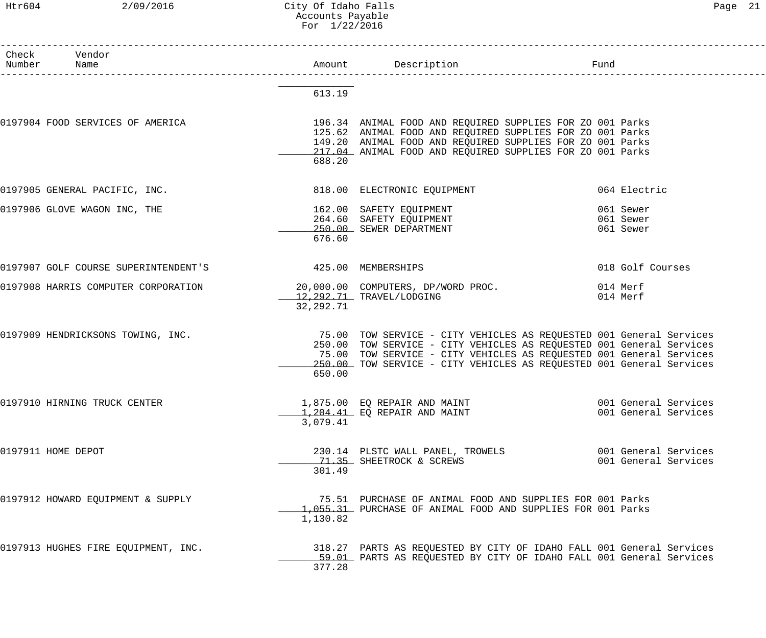## Htr604 2/09/2016 City Of Idaho Falls Page 21 Accounts Payable For 1/22/2016

| Check Vendor<br>Number Name                             |           | Amount Description                                                                                                                                                                                                                                                                         | Fund |                                              |
|---------------------------------------------------------|-----------|--------------------------------------------------------------------------------------------------------------------------------------------------------------------------------------------------------------------------------------------------------------------------------------------|------|----------------------------------------------|
|                                                         | 613.19    |                                                                                                                                                                                                                                                                                            |      |                                              |
| 0197904 FOOD SERVICES OF AMERICA                        | 688.20    | 196.34 ANIMAL FOOD AND REQUIRED SUPPLIES FOR ZO 001 Parks<br>125.62 ANIMAL FOOD AND REQUIRED SUPPLIES FOR ZO 001 Parks<br>149.20 ANIMAL FOOD AND REQUIRED SUPPLIES FOR ZO 001 Parks<br>217.04 ANIMAL FOOD AND REQUIRED SUPPLIES FOR ZO 001 Parks                                           |      |                                              |
| 0197905 GENERAL PACIFIC, INC.                           |           | 818.00 ELECTRONIC EQUIPMENT                                                                                                                                                                                                                                                                |      | 064 Electric                                 |
| 0197906 GLOVE WAGON INC, THE                            | 676.60    | 162.00 SAFETY EQUIPMENT<br>264.60 SAFETY EQUIPMENT<br>250.00 SEWER DEPARTMENT                                                                                                                                                                                                              |      | 061 Sewer<br>061 Sewer<br>061 Sewer          |
| 0197907 GOLF COURSE SUPERINTENDENT'S 425.00 MEMBERSHIPS |           |                                                                                                                                                                                                                                                                                            |      | 018 Golf Courses                             |
| 0197908 HARRIS COMPUTER CORPORATION                     | 32,292.71 | 20,000.00 COMPUTERS, DP/WORD PROC.<br>$12,292.71$ TRAVEL/LODGING                                                                                                                                                                                                                           |      | 014 Merf<br>014 Merf                         |
| 0197909 HENDRICKSONS TOWING, INC.                       | 650.00    | 75.00 TOW SERVICE - CITY VEHICLES AS REQUESTED 001 General Services<br>250.00 TOW SERVICE - CITY VEHICLES AS REQUESTED 001 General Services<br>75.00 TOW SERVICE - CITY VEHICLES AS REQUESTED 001 General Services<br>250.00 TOW SERVICE - CITY VEHICLES AS REQUESTED 001 General Services |      |                                              |
| 0197910 HIRNING TRUCK CENTER                            | 3,079.41  | 1,875.00 EQ REPAIR AND MAINT<br>1,204.41 EQ REPAIR AND MAINT                                                                                                                                                                                                                               |      | 001 General Services<br>001 General Services |
| 0197911 HOME DEPOT                                      | 301.49    | 230.14 PLSTC WALL PANEL, TROWELS<br>71.35 SHEETROCK & SCREWS                                                                                                                                                                                                                               |      | 001 General Services<br>001 General Services |
| 0197912 HOWARD EQUIPMENT & SUPPLY                       | 1,130.82  | 75.51 PURCHASE OF ANIMAL FOOD AND SUPPLIES FOR 001 Parks<br>1,055.31 PURCHASE OF ANIMAL FOOD AND SUPPLIES FOR 001 Parks                                                                                                                                                                    |      |                                              |
| 0197913 HUGHES FIRE EQUIPMENT, INC.                     | 377.28    | 318.27 PARTS AS REQUESTED BY CITY OF IDAHO FALL 001 General Services<br>59.01 PARTS AS REQUESTED BY CITY OF IDAHO FALL 001 General Services                                                                                                                                                |      |                                              |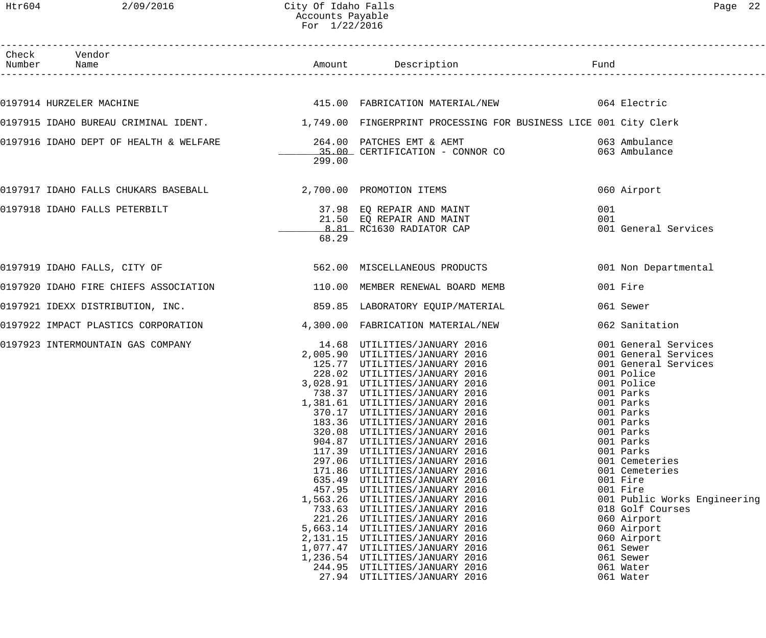| Check Vendor<br>Number Name                                                                                                            |        |                                                                                                                                                                                                                                                                                                                                                                                                                                                                                                                                                                                                                                                                                                                                  |            |                                                                                                                                                                                                                                                                                                                                                                                                              |
|----------------------------------------------------------------------------------------------------------------------------------------|--------|----------------------------------------------------------------------------------------------------------------------------------------------------------------------------------------------------------------------------------------------------------------------------------------------------------------------------------------------------------------------------------------------------------------------------------------------------------------------------------------------------------------------------------------------------------------------------------------------------------------------------------------------------------------------------------------------------------------------------------|------------|--------------------------------------------------------------------------------------------------------------------------------------------------------------------------------------------------------------------------------------------------------------------------------------------------------------------------------------------------------------------------------------------------------------|
|                                                                                                                                        |        |                                                                                                                                                                                                                                                                                                                                                                                                                                                                                                                                                                                                                                                                                                                                  |            |                                                                                                                                                                                                                                                                                                                                                                                                              |
|                                                                                                                                        |        | 0197914 HURZELER MACHINE <b>1990 CONTROLS 1991 SEART AND TEA</b> STABRICATION MATERIAL/NEW 1997914 HURZELER MACHINE                                                                                                                                                                                                                                                                                                                                                                                                                                                                                                                                                                                                              |            |                                                                                                                                                                                                                                                                                                                                                                                                              |
|                                                                                                                                        |        | 0197915 IDAHO BUREAU CRIMINAL IDENT. 1,749.00 FINGERPRINT PROCESSING FOR BUSINESS LICE 001 City Clerk                                                                                                                                                                                                                                                                                                                                                                                                                                                                                                                                                                                                                            |            |                                                                                                                                                                                                                                                                                                                                                                                                              |
|                                                                                                                                        | 299.00 |                                                                                                                                                                                                                                                                                                                                                                                                                                                                                                                                                                                                                                                                                                                                  |            |                                                                                                                                                                                                                                                                                                                                                                                                              |
| 0197917 IDAHO FALLS CHUKARS BASEBALL (2,700.00 PROMOTION ITEMS                                                                         |        |                                                                                                                                                                                                                                                                                                                                                                                                                                                                                                                                                                                                                                                                                                                                  |            | 060 Airport                                                                                                                                                                                                                                                                                                                                                                                                  |
| 0197918 IDAHO FALLS PETERBILT (197918 IDAHO FALLS PETERBILT)<br>21.50 EQ REPAIR AND MAINT<br>8.81 RC1630 RADIATOR CAP                  | 68.29  |                                                                                                                                                                                                                                                                                                                                                                                                                                                                                                                                                                                                                                                                                                                                  | 001<br>001 | 001 General Services                                                                                                                                                                                                                                                                                                                                                                                         |
| 0197919 IDAHO FALLS, CITY OF                                                                                                           |        | 562.00 MISCELLANEOUS PRODUCTS                                                                                                                                                                                                                                                                                                                                                                                                                                                                                                                                                                                                                                                                                                    |            | 001 Non Departmental                                                                                                                                                                                                                                                                                                                                                                                         |
| 0197920 IDAHO FIRE CHIEFS ASSOCIATION THE SERVICE OF MEMBER RENEWAL BOARD MEMB                                                         |        |                                                                                                                                                                                                                                                                                                                                                                                                                                                                                                                                                                                                                                                                                                                                  |            | 001 Fire                                                                                                                                                                                                                                                                                                                                                                                                     |
| 0197921 IDEXX DISTRIBUTION, INC. 2008 2010 2010 12:00 859.85 ABORATORY EQUIP/MATERIAL                                                  |        |                                                                                                                                                                                                                                                                                                                                                                                                                                                                                                                                                                                                                                                                                                                                  |            | 061 Sewer                                                                                                                                                                                                                                                                                                                                                                                                    |
| 0197922 IMPACT PLASTICS CORPORATION                                                                                                    |        | 4,300.00 FABRICATION MATERIAL/NEW                                                                                                                                                                                                                                                                                                                                                                                                                                                                                                                                                                                                                                                                                                |            | 062 Sanitation                                                                                                                                                                                                                                                                                                                                                                                               |
| 0197923 INTERMOUNTAIN GAS COMPANY<br>2,005.90 UTILITIES/JANUARY 2016<br>228.02 UTILITIES/JANUARY 2016<br>228.02 UTILITIES/JANUARY 2016 |        | $3,028.91$ UTILITIES/JANUARY 2016<br>738.37 UTILITIES/JANUARY 2016<br>1,381.61 UTILITIES/JANUARY 2016<br>370.17 UTILITIES/JANUARY 2016<br>183.36 UTILITIES/JANUARY 2016<br>320.08 UTILITIES/JANUARY 2016<br>904.87 UTILITIES/JANUARY 2016<br>117.39 UTILITIES/JANUARY 2016<br>297.06 UTILITIES/JANUARY 2016<br>171.86 UTILITIES/JANUARY 2016<br>635.49 UTILITIES/JANUARY 2016<br>457.95 UTILITIES/JANUARY 2016<br>1,563.26 UTILITIES/JANUARY 2016<br>733.63 UTILITIES/JANUARY 2016<br>221.26 UTILITIES/JANUARY 2016<br>5,663.14 UTILITIES/JANUARY 2016<br>2,131.15 UTILITIES/JANUARY 2016<br>1,077.47 UTILITIES/JANUARY 2016<br>1,236.54 UTILITIES/JANUARY 2016<br>244.95 UTILITIES/JANUARY 2016<br>27.94 UTILITIES/JANUARY 2016 |            | 001 General Services<br>001 General Services<br>001 General Services<br>001 Police<br>001 Police<br>001 Parks<br>001 Parks<br>001 Parks<br>001 Parks<br>001 Parks<br>001 Parks<br>001 Parks<br>001 Cemeteries<br>001 Cemeteries<br>001 Fire<br>001 Fire<br>001 Public Works Engineering<br>018 Golf Courses<br>060 Airport<br>060 Airport<br>060 Airport<br>061 Sewer<br>061 Sewer<br>061 Water<br>061 Water |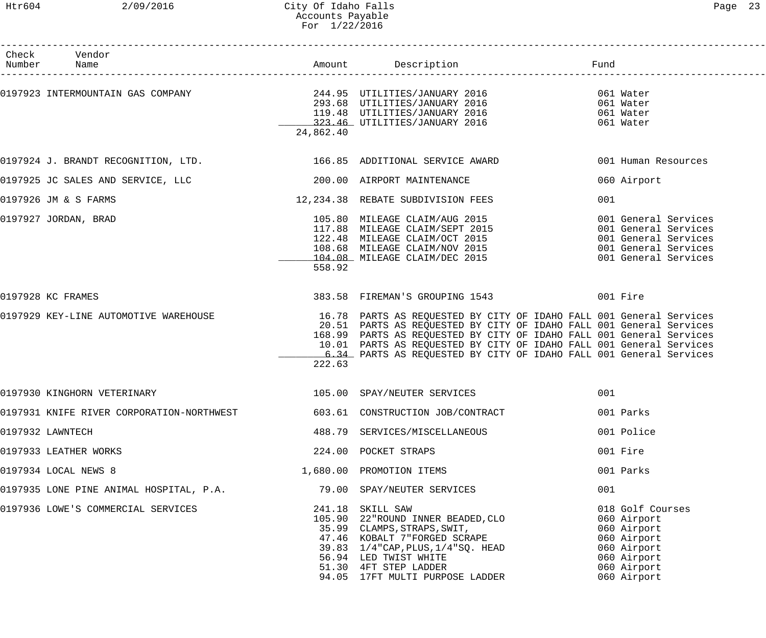------------------------------------------------------------------------------------------------------------------------------------

| Vendor<br>Check<br>Number<br>Name                                                                |           | Amount Description                                                                                                                                                                                                                                                                                                                                              | Fund |                                                                                                                           |
|--------------------------------------------------------------------------------------------------|-----------|-----------------------------------------------------------------------------------------------------------------------------------------------------------------------------------------------------------------------------------------------------------------------------------------------------------------------------------------------------------------|------|---------------------------------------------------------------------------------------------------------------------------|
| 0197923 INTERMOUNTAIN GAS COMPANY                                  244.95 UTILITIES/JANUARY 2016 | 24,862.40 | 293.68 UTILITIES/JANUARY 2016<br>119.48 UTILITIES/JANUARY 2016<br>323.46 UTILITIES/JANUARY 2016                                                                                                                                                                                                                                                                 |      | 061 Water<br>061 Water<br>061 Water<br>061 Water                                                                          |
| 0197924 J. BRANDT RECOGNITION, LTD.                          166.85 ADDITIONAL SERVICE AWARD     |           |                                                                                                                                                                                                                                                                                                                                                                 |      | 001 Human Resources                                                                                                       |
| 0197925 JC SALES AND SERVICE, LLC                                                                |           | 200.00 AIRPORT MAINTENANCE                                                                                                                                                                                                                                                                                                                                      |      | 060 Airport                                                                                                               |
| 0197926 JM & S FARMS                                                                             |           | 12,234.38 REBATE SUBDIVISION FEES                                                                                                                                                                                                                                                                                                                               | 001  |                                                                                                                           |
| 0197927 JORDAN, BRAD                                                                             | 558.92    | 105.80 MILEAGE CLAIM/AUG 2015<br>117.88 MILEAGE CLAIM/SEPT 2015<br>122.48 MILEAGE CLAIM/OCT 2015<br>108.68 MILEAGE CLAIM/NOV 2015<br>108.68 MILEAGE CLAIM/NOV 2015                                                                                                                                                                                              |      | 001 General Services<br>001 General Services<br>001 General Services<br>001 General Services<br>001 General Services      |
| 0197928 KC FRAMES                                                                                |           | 383.58 FIREMAN'S GROUPING 1543 601 Fire                                                                                                                                                                                                                                                                                                                         |      |                                                                                                                           |
| 0197929 KEY-LINE AUTOMOTIVE WAREHOUSE                                                            | 222.63    | 16.78 PARTS AS REQUESTED BY CITY OF IDAHO FALL 001 General Services<br>20.51 PARTS AS REQUESTED BY CITY OF IDAHO FALL 001 General Services<br>168.99 PARTS AS REQUESTED BY CITY OF IDAHO FALL 001 General Services<br>10.01 PARTS AS REQUESTED BY CITY OF IDAHO FALL 001 General Services<br>6.34 PARTS AS REQUESTED BY CITY OF IDAHO FALL 001 General Services |      |                                                                                                                           |
| 0197930 KINGHORN VETERINARY                                                                      |           | 105.00 SPAY/NEUTER SERVICES                                                                                                                                                                                                                                                                                                                                     | 001  |                                                                                                                           |
| 0197931 KNIFE RIVER CORPORATION-NORTHWEST 603.61 CONSTRUCTION JOB/CONTRACT                       |           |                                                                                                                                                                                                                                                                                                                                                                 |      | 001 Parks                                                                                                                 |
| 0197932 LAWNTECH                                                                                 |           | 488.79 SERVICES/MISCELLANEOUS                                                                                                                                                                                                                                                                                                                                   |      | 001 Police                                                                                                                |
| 0197933 LEATHER WORKS                                                                            |           | 224.00 POCKET STRAPS                                                                                                                                                                                                                                                                                                                                            |      | 001 Fire                                                                                                                  |
| 0197934 LOCAL NEWS 8                                                                             |           | 1,680.00 PROMOTION ITEMS                                                                                                                                                                                                                                                                                                                                        |      | 001 Parks                                                                                                                 |
| 0197935 LONE PINE ANIMAL HOSPITAL, P.A.                   79.00 SPAY/NEUTER SERVICES             |           |                                                                                                                                                                                                                                                                                                                                                                 | 001  |                                                                                                                           |
| 0197936 LOWE'S COMMERCIAL SERVICES                                                               |           | 241.18 SKILL SAW<br>231.10 SAILL SAW<br>105.90 22 ROUND INNER BEADED, CLO<br>35.99 CLAMPS, STRAPS, SWIT,<br>47.46 KOBALT 7 FORGED SCRAPE<br>39.83 1/4 CAP, PLUS, 1/4 SQ. HEAD<br>56.94 LED TWIST WUITE<br>56.94 LED TWIST WHITE<br>51.30 4FT STEP LADDER<br>94.05 17FT MULTI PURPOSE LADDER                                                                     |      | 018 Golf Courses<br>060 Airport<br>060 Airport<br>060 Airport<br>060 Airport<br>060 Airport<br>060 Airport<br>060 Airport |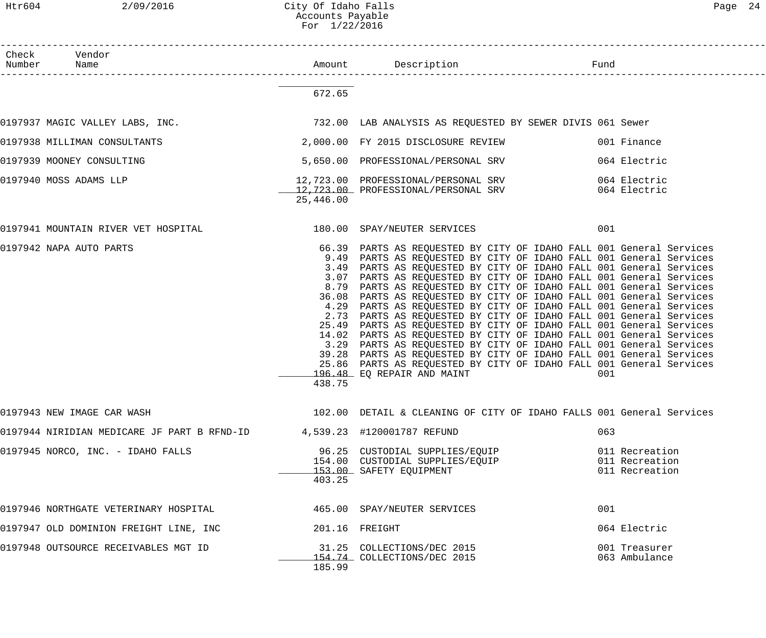| Check<br>Number Name | Vendor                                                                                  |                                 |                                                                                                                                                                                                                                                                                                                                                                                                                                                                                                                                                                                                                                                                                                                                                                                                                                                                                                                                                                |     |                                                    |
|----------------------|-----------------------------------------------------------------------------------------|---------------------------------|----------------------------------------------------------------------------------------------------------------------------------------------------------------------------------------------------------------------------------------------------------------------------------------------------------------------------------------------------------------------------------------------------------------------------------------------------------------------------------------------------------------------------------------------------------------------------------------------------------------------------------------------------------------------------------------------------------------------------------------------------------------------------------------------------------------------------------------------------------------------------------------------------------------------------------------------------------------|-----|----------------------------------------------------|
|                      |                                                                                         | 672.65                          |                                                                                                                                                                                                                                                                                                                                                                                                                                                                                                                                                                                                                                                                                                                                                                                                                                                                                                                                                                |     |                                                    |
|                      | 0197937 MAGIC VALLEY LABS, INC. THE READ MALLYSIS AS REQUESTED BY SEWER DIVIS 061 Sewer |                                 |                                                                                                                                                                                                                                                                                                                                                                                                                                                                                                                                                                                                                                                                                                                                                                                                                                                                                                                                                                |     |                                                    |
|                      | 0197938 MILLIMAN CONSULTANTS                                                            |                                 | 2,000.00 FY 2015 DISCLOSURE REVIEW                                                                                                                                                                                                                                                                                                                                                                                                                                                                                                                                                                                                                                                                                                                                                                                                                                                                                                                             |     | 001 Finance                                        |
|                      | 0197939 MOONEY CONSULTING                                                               |                                 | 5,650.00 PROFESSIONAL/PERSONAL SRV                                                                                                                                                                                                                                                                                                                                                                                                                                                                                                                                                                                                                                                                                                                                                                                                                                                                                                                             |     | 064 Electric                                       |
|                      | 0197940 MOSS ADAMS LLP                                                                  | 25,446.00                       | 12,723.00 PROFESSIONAL/PERSONAL SRV 064 Electric<br>12,723.00 PROFESSIONAL/PERSONAL SRV 064 Electric                                                                                                                                                                                                                                                                                                                                                                                                                                                                                                                                                                                                                                                                                                                                                                                                                                                           |     |                                                    |
|                      | 0197941 MOUNTAIN RIVER VET HOSPITAL 180.00 SPAY/NEUTER SERVICES                         |                                 |                                                                                                                                                                                                                                                                                                                                                                                                                                                                                                                                                                                                                                                                                                                                                                                                                                                                                                                                                                | 001 |                                                    |
|                      | 0197942 NAPA AUTO PARTS                                                                 | 4.29<br>3.29<br>39.28<br>438.75 | 66.39 PARTS AS REQUESTED BY CITY OF IDAHO FALL 001 General Services<br>9.49 PARTS AS REQUESTED BY CITY OF IDAHO FALL 001 General Services<br>3.49 PARTS AS REQUESTED BY CITY OF IDAHO FALL 001 General Services<br>3.07 PARTS AS REQUESTED BY CITY OF IDAHO FALL 001 General Services<br>8.79 PARTS AS REQUESTED BY CITY OF IDAHO FALL 001 General Services<br>36.08 PARTS AS REQUESTED BY CITY OF IDAHO FALL 001 General Services<br>PARTS AS REQUESTED BY CITY OF IDAHO FALL 001 General Services<br>2.73 PARTS AS REQUESTED BY CITY OF IDAHO FALL 001 General Services<br>25.49 PARTS AS REQUESTED BY CITY OF IDAHO FALL 001 General Services<br>14.02 PARTS AS REQUESTED BY CITY OF IDAHO FALL 001 General Services<br>PARTS AS REQUESTED BY CITY OF IDAHO FALL 001 General Services<br>PARTS AS REQUESTED BY CITY OF IDAHO FALL 001 General Services<br>25.86 PARTS AS REQUESTED BY CITY OF IDAHO FALL 001 General Services<br>196.48 EQ REPAIR AND MAINT | 001 |                                                    |
|                      | 0197943 NEW IMAGE CAR WASH                                                              |                                 | 102.00 DETAIL & CLEANING OF CITY OF IDAHO FALLS 001 General Services                                                                                                                                                                                                                                                                                                                                                                                                                                                                                                                                                                                                                                                                                                                                                                                                                                                                                           |     |                                                    |
|                      | 0197944 NIRIDIAN MEDICARE JF PART B RFND-ID                                             |                                 | 4,539.23 #120001787 REFUND                                                                                                                                                                                                                                                                                                                                                                                                                                                                                                                                                                                                                                                                                                                                                                                                                                                                                                                                     | 063 |                                                    |
|                      | 0197945 NORCO, INC. - IDAHO FALLS                                                       | 403.25                          | 96.25 CUSTODIAL SUPPLIES/EQUIP<br>154.00 CUSTODIAL SUPPLIES/EQUIP<br>153.00 SAFETY EQUIPMENT                                                                                                                                                                                                                                                                                                                                                                                                                                                                                                                                                                                                                                                                                                                                                                                                                                                                   |     | 011 Recreation<br>011 Recreation<br>011 Recreation |
|                      | 0197946 NORTHGATE VETERINARY HOSPITAL                                                   |                                 | 465.00 SPAY/NEUTER SERVICES                                                                                                                                                                                                                                                                                                                                                                                                                                                                                                                                                                                                                                                                                                                                                                                                                                                                                                                                    | 001 |                                                    |
|                      | 0197947 OLD DOMINION FREIGHT LINE, INC                                                  |                                 | 201.16 FREIGHT                                                                                                                                                                                                                                                                                                                                                                                                                                                                                                                                                                                                                                                                                                                                                                                                                                                                                                                                                 |     | 064 Electric                                       |
|                      | 0197948 OUTSOURCE RECEIVABLES MGT ID                                                    | 185.99                          | 31.25 COLLECTIONS/DEC 2015<br>154.74 COLLECTIONS/DEC 2015                                                                                                                                                                                                                                                                                                                                                                                                                                                                                                                                                                                                                                                                                                                                                                                                                                                                                                      |     | 001 Treasurer<br>063 Ambulance                     |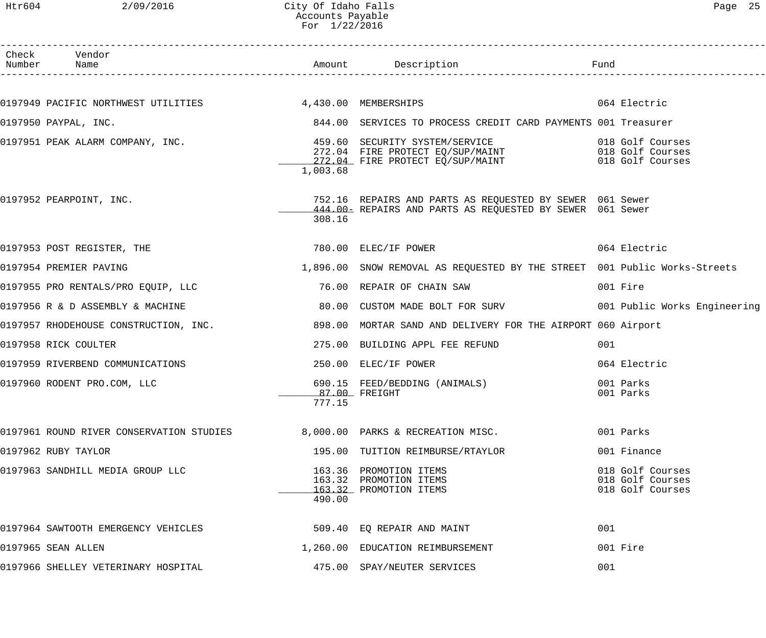| Check Vendor<br>Number Name                              |                                    |                                                                                                                       | Fund                                                     |
|----------------------------------------------------------|------------------------------------|-----------------------------------------------------------------------------------------------------------------------|----------------------------------------------------------|
|                                                          |                                    |                                                                                                                       |                                                          |
| 0197949 PACIFIC NORTHWEST UTILITIES 4,430.00 MEMBERSHIPS |                                    |                                                                                                                       | 064 Electric                                             |
| 0197950 PAYPAL, INC.                                     |                                    | 844.00 SERVICES TO PROCESS CREDIT CARD PAYMENTS 001 Treasurer                                                         |                                                          |
| 0197951 PEAK ALARM COMPANY, INC.                         | 1,003.68                           | 272.04 FIRE PROTECT EQ/SUP/MAINT 6018 Golf Courses<br>272.04 FIRE PROTECT EQ/SUP/MAINT 018 Golf Courses               |                                                          |
| 0197952 PEARPOINT, INC.                                  | 308.16                             | 752.16 REPAIRS AND PARTS AS REQUESTED BY SEWER 061 Sewer<br>444.00- REPAIRS AND PARTS AS REQUESTED BY SEWER 061 Sewer |                                                          |
| 0197953 POST REGISTER, THE                               |                                    | 780.00 ELEC/IF POWER                                                                                                  | 064 Electric                                             |
| 0197954 PREMIER PAVING                                   |                                    | 1,896.00 SNOW REMOVAL AS REQUESTED BY THE STREET 001 Public Works-Streets                                             |                                                          |
| 0197955 PRO RENTALS/PRO EQUIP, LLC                       |                                    | 76.00 REPAIR OF CHAIN SAW                                                                                             | 001 Fire                                                 |
| 0197956 R & D ASSEMBLY & MACHINE                         |                                    | 80.00 CUSTOM MADE BOLT FOR SURV 1001 Public Works Engineering                                                         |                                                          |
| 0197957 RHODEHOUSE CONSTRUCTION, INC.                    |                                    | 898.00 MORTAR SAND AND DELIVERY FOR THE AIRPORT 060 Airport                                                           |                                                          |
| 0197958 RICK COULTER                                     |                                    | 275.00 BUILDING APPL FEE REFUND                                                                                       | 001                                                      |
| 0197959 RIVERBEND COMMUNICATIONS                         |                                    | 250.00 ELEC/IF POWER                                                                                                  | 064 Electric                                             |
| 0197960 RODENT PRO.COM, LLC                              | ___________87.00 FREIGHT<br>777.15 | 690.15 FEED/BEDDING (ANIMALS)                                                                                         | 001 Parks<br>001 Parks                                   |
| 0197961 ROUND RIVER CONSERVATION STUDIES                 |                                    | 8,000.00 PARKS & RECREATION MISC.                                                                                     | 001 Parks                                                |
| 0197962 RUBY TAYLOR                                      |                                    | 195.00 TUITION REIMBURSE/RTAYLOR                                                                                      | 001 Finance                                              |
| 0197963 SANDHILL MEDIA GROUP LLC                         | 490.00                             | 163.36 PROMOTION ITEMS<br>163.32 PROMOTION ITEMS<br>163.32 PROMOTION ITEMS                                            | 018 Golf Courses<br>018 Golf Courses<br>018 Golf Courses |
| 0197964 SAWTOOTH EMERGENCY VEHICLES                      |                                    | 509.40 EQ REPAIR AND MAINT                                                                                            | 001                                                      |
| 0197965 SEAN ALLEN                                       |                                    | 1,260.00 EDUCATION REIMBURSEMENT                                                                                      | 001 Fire                                                 |
| 0197966 SHELLEY VETERINARY HOSPITAL                      |                                    | 475.00 SPAY/NEUTER SERVICES                                                                                           | 001                                                      |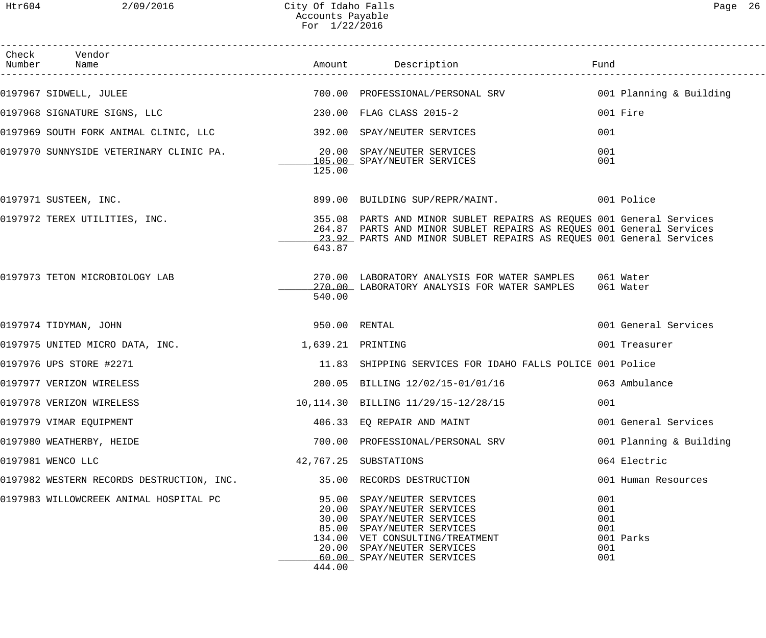| Check Vendor<br>Number Name                                           |                   |                                                                                                                                                                                                                     | Fund                                   |                         |
|-----------------------------------------------------------------------|-------------------|---------------------------------------------------------------------------------------------------------------------------------------------------------------------------------------------------------------------|----------------------------------------|-------------------------|
| 0197967 SIDWELL, JULEE                                                |                   | 700.00 PROFESSIONAL/PERSONAL SRV 6001 Planning & Building                                                                                                                                                           |                                        |                         |
| 0197968 SIGNATURE SIGNS, LLC                                          |                   | 230.00 FLAG CLASS 2015-2                                                                                                                                                                                            |                                        | 001 Fire                |
|                                                                       |                   |                                                                                                                                                                                                                     | 001                                    |                         |
| 0197970 SUNNYSIDE VETERINARY CLINIC PA.<br>20.00 SPAY/NEUTER SERVICES | 125.00            | 105.00 SPAY/NEUTER SERVICES                                                                                                                                                                                         | 001<br>001                             |                         |
| 0197971 SUSTEEN, INC.                                                 |                   | 899.00 BUILDING SUP/REPR/MAINT. 001 Police                                                                                                                                                                          |                                        |                         |
| 0197972 TEREX UTILITIES, INC.                                         | 643.87            | 355.08 PARTS AND MINOR SUBLET REPAIRS AS REQUES 001 General Services<br>264.87 PARTS AND MINOR SUBLET REPAIRS AS REQUES 001 General Services<br>23.92 PARTS AND MINOR SUBLET REPAIRS AS REQUES 001 General Services |                                        |                         |
| 0197973 TETON MICROBIOLOGY LAB                                        | 540.00            | 270.00 LABORATORY ANALYSIS FOR WATER SAMPLES 061 Water<br>270.00 LABORATORY ANALYSIS FOR WATER SAMPLES 061 Water                                                                                                    |                                        |                         |
| 0197974 TIDYMAN, JOHN                                                 | 950.00 RENTAL     |                                                                                                                                                                                                                     |                                        | 001 General Services    |
| 0197975 UNITED MICRO DATA, INC.                                       | 1,639.21 PRINTING |                                                                                                                                                                                                                     |                                        | 001 Treasurer           |
| 0197976 UPS STORE #2271                                               |                   | 11.83 SHIPPING SERVICES FOR IDAHO FALLS POLICE 001 Police                                                                                                                                                           |                                        |                         |
| 0197977 VERIZON WIRELESS                                              |                   | 200.05 BILLING 12/02/15-01/01/16 063 Ambulance                                                                                                                                                                      |                                        |                         |
| 0197978 VERIZON WIRELESS                                              |                   | 10,114.30 BILLING 11/29/15-12/28/15                                                                                                                                                                                 | 001                                    |                         |
| 0197979 VIMAR EQUIPMENT                                               |                   | 406.33 EO REPAIR AND MAINT                                                                                                                                                                                          |                                        | 001 General Services    |
| 0197980 WEATHERBY, HEIDE                                              |                   | 700.00 PROFESSIONAL/PERSONAL SRV                                                                                                                                                                                    |                                        | 001 Planning & Building |
| 0197981 WENCO LLC                                                     |                   | 42,767.25 SUBSTATIONS                                                                                                                                                                                               |                                        | 064 Electric            |
| 0197982 WESTERN RECORDS DESTRUCTION, INC.                             |                   | 35.00 RECORDS DESTRUCTION                                                                                                                                                                                           |                                        | 001 Human Resources     |
| 0197983 WILLOWCREEK ANIMAL HOSPITAL PC                                | 444.00            | 95.00 SPAY/NEUTER SERVICES<br>20.00 SPAY/NEUTER SERVICES<br>30.00 SPAY/NEUTER SERVICES<br>85.00 SPAY/NEUTER SERVICES<br>134.00 VET CONSULTING/TREATMENT<br>20.00 SPAY/NEUTER SERVICES<br>60.00 SPAY/NEUTER SERVICES | 001<br>001<br>001<br>001<br>001<br>001 | 001 Parks               |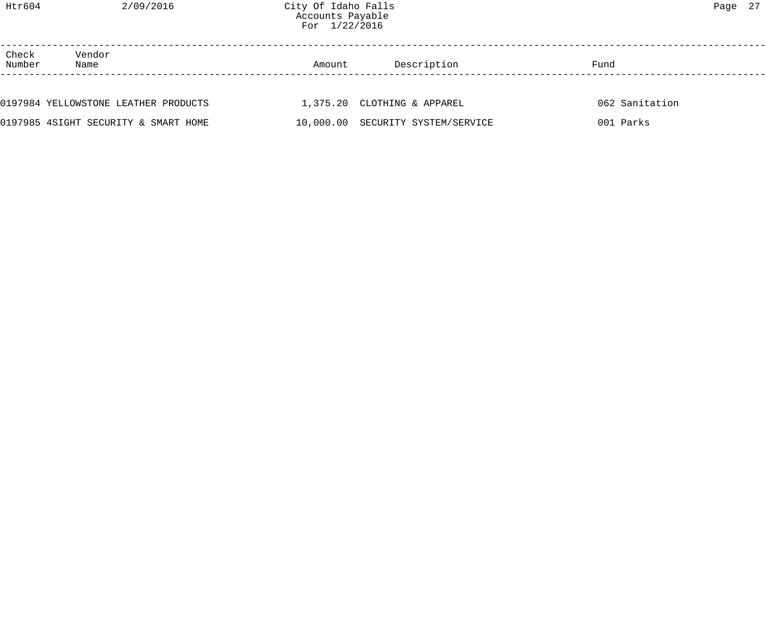Check Vendor<br>Number Name

| 0197984 YELLOWSTONE LEATHER PRODUCTS | 1,375.20 CLOTHING & APPAREL       | 062 Sanitation |
|--------------------------------------|-----------------------------------|----------------|
| 0197985 4SIGHT SECURITY & SMART HOME | 10,000.00 SECURITY SYSTEM/SERVICE | 001 Parks      |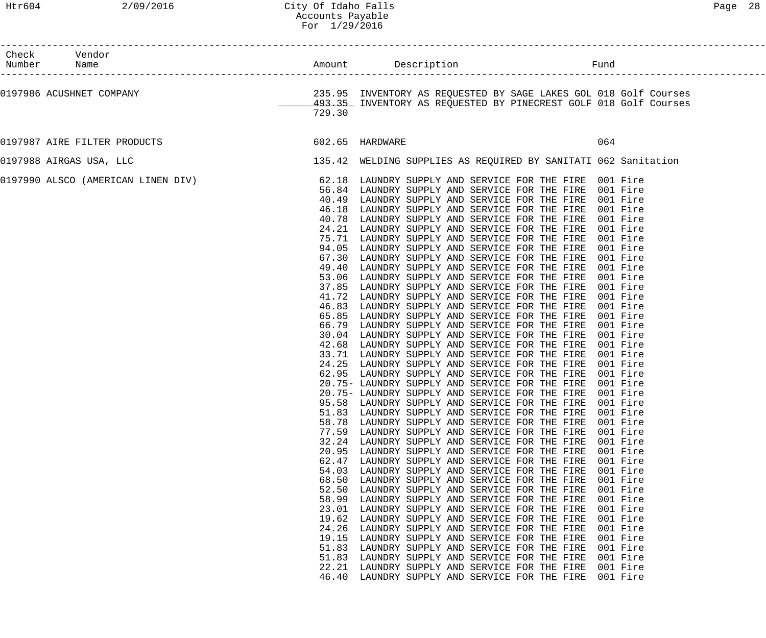| ⊣ຕ≏<br>а. | ¬ |
|-----------|---|
|-----------|---|

| Check Vendor<br>Number Name                                                                                                                                                                                                         |                                                                                                                                                                                           |                                                                                                                                                                                                                                                                                                                                                                                                                                                                                                                                                                                                                                                                                                                                                                                                                                                                                                                                                                                                                                                                                                                                                                                                                                                                                                                                                                                                                                                                                                                                                                                                                                                                                                                                                                                                                                                                                                                                                                                                                                                                                                                |                                                                                                                                                                                                                      |  |
|-------------------------------------------------------------------------------------------------------------------------------------------------------------------------------------------------------------------------------------|-------------------------------------------------------------------------------------------------------------------------------------------------------------------------------------------|----------------------------------------------------------------------------------------------------------------------------------------------------------------------------------------------------------------------------------------------------------------------------------------------------------------------------------------------------------------------------------------------------------------------------------------------------------------------------------------------------------------------------------------------------------------------------------------------------------------------------------------------------------------------------------------------------------------------------------------------------------------------------------------------------------------------------------------------------------------------------------------------------------------------------------------------------------------------------------------------------------------------------------------------------------------------------------------------------------------------------------------------------------------------------------------------------------------------------------------------------------------------------------------------------------------------------------------------------------------------------------------------------------------------------------------------------------------------------------------------------------------------------------------------------------------------------------------------------------------------------------------------------------------------------------------------------------------------------------------------------------------------------------------------------------------------------------------------------------------------------------------------------------------------------------------------------------------------------------------------------------------------------------------------------------------------------------------------------------------|----------------------------------------------------------------------------------------------------------------------------------------------------------------------------------------------------------------------|--|
|                                                                                                                                                                                                                                     | 729.30                                                                                                                                                                                    |                                                                                                                                                                                                                                                                                                                                                                                                                                                                                                                                                                                                                                                                                                                                                                                                                                                                                                                                                                                                                                                                                                                                                                                                                                                                                                                                                                                                                                                                                                                                                                                                                                                                                                                                                                                                                                                                                                                                                                                                                                                                                                                |                                                                                                                                                                                                                      |  |
| 0197987 AIRE FILTER PRODUCTS 602.65 HARDWARE                                                                                                                                                                                        |                                                                                                                                                                                           |                                                                                                                                                                                                                                                                                                                                                                                                                                                                                                                                                                                                                                                                                                                                                                                                                                                                                                                                                                                                                                                                                                                                                                                                                                                                                                                                                                                                                                                                                                                                                                                                                                                                                                                                                                                                                                                                                                                                                                                                                                                                                                                | 064                                                                                                                                                                                                                  |  |
| 0197988 AIRGAS USA, LLC                                                                                                                                                                                                             |                                                                                                                                                                                           | 135.42 WELDING SUPPLIES AS REQUIRED BY SANITATI 062 Sanitation                                                                                                                                                                                                                                                                                                                                                                                                                                                                                                                                                                                                                                                                                                                                                                                                                                                                                                                                                                                                                                                                                                                                                                                                                                                                                                                                                                                                                                                                                                                                                                                                                                                                                                                                                                                                                                                                                                                                                                                                                                                 |                                                                                                                                                                                                                      |  |
| 0197990 ALSCO (AMERICAN LINEN DIV) <b>1989 12 SOLUT 12 AND SERVICE FOR THE FIRE</b> 001 Fire 1001 Fire 001 Fire 101 Fire 101 Fire 101 Fire 101 Fire 101 Fire 101 Fire 101 Fire 101 Fire 101 Fire 101 Fire 101 Fire 101 Fire 101 Fir | 46.18<br>40.78<br>66.79<br>95.58<br>51.83<br>58.78<br>77.59<br>32.24<br>20.95<br>62.47<br>54.03<br>68.50<br>52.50<br>58.99<br>23.01<br>19.62<br>24.26<br>19.15<br>51.83<br>51.83<br>22.21 | 56.84 LAUNDRY SUPPLY AND SERVICE FOR THE FIRE 001 Fire<br>40.49 LAUNDRY SUPPLY AND SERVICE FOR THE FIRE 001 Fire<br>LAUNDRY SUPPLY AND SERVICE FOR THE FIRE 001 Fire<br>LAUNDRY SUPPLY AND SERVICE FOR THE FIRE 001 Fire<br>24.21 LAUNDRY SUPPLY AND SERVICE FOR THE FIRE 001 Fire<br>75.71 LAUNDRY SUPPLY AND SERVICE FOR THE FIRE 001 Fire<br>94.05 LAUNDRY SUPPLY AND SERVICE FOR THE FIRE 001 Fire<br>67.30 LAUNDRY SUPPLY AND SERVICE FOR THE FIRE 001 Fire<br>49.40 LAUNDRY SUPPLY AND SERVICE FOR THE FIRE 001 Fire<br>53.06 LAUNDRY SUPPLY AND SERVICE FOR THE FIRE 001 Fire<br>37.85 LAUNDRY SUPPLY AND SERVICE FOR THE FIRE 001 Fire<br>41.72 LAUNDRY SUPPLY AND SERVICE FOR THE FIRE 001 Fire<br>46.83 LAUNDRY SUPPLY AND SERVICE FOR THE FIRE 001 Fire<br>65.85 LAUNDRY SUPPLY AND SERVICE FOR THE FIRE 001 Fire<br>LAUNDRY SUPPLY AND SERVICE FOR THE FIRE 001 Fire<br>30.04 LAUNDRY SUPPLY AND SERVICE FOR THE FIRE 001 Fire<br>42.68 LAUNDRY SUPPLY AND SERVICE FOR THE FIRE 001 Fire<br>33.71 LAUNDRY SUPPLY AND SERVICE FOR THE FIRE 001 Fire<br>24.25 LAUNDRY SUPPLY AND SERVICE FOR THE FIRE 001 Fire<br>62.95 LAUNDRY SUPPLY AND SERVICE FOR THE FIRE 001 Fire<br>20.75- LAUNDRY SUPPLY AND SERVICE FOR THE FIRE 001 Fire<br>20.75- LAUNDRY SUPPLY AND SERVICE FOR THE FIRE 001 Fire<br>LAUNDRY SUPPLY AND SERVICE FOR THE FIRE<br>LAUNDRY SUPPLY AND SERVICE FOR THE FIRE<br>LAUNDRY SUPPLY AND SERVICE FOR THE FIRE<br>LAUNDRY SUPPLY AND SERVICE FOR THE FIRE<br>LAUNDRY SUPPLY AND SERVICE FOR THE FIRE<br>LAUNDRY SUPPLY AND SERVICE FOR THE FIRE<br>LAUNDRY SUPPLY AND SERVICE FOR THE FIRE<br>LAUNDRY SUPPLY AND SERVICE FOR THE FIRE<br>LAUNDRY SUPPLY AND SERVICE FOR THE FIRE<br>LAUNDRY SUPPLY AND SERVICE FOR THE FIRE<br>LAUNDRY SUPPLY AND SERVICE FOR THE FIRE<br>LAUNDRY SUPPLY AND SERVICE FOR THE FIRE<br>LAUNDRY SUPPLY AND SERVICE FOR THE FIRE<br>LAUNDRY SUPPLY AND SERVICE FOR THE FIRE<br>LAUNDRY SUPPLY AND SERVICE FOR THE FIRE<br>LAUNDRY SUPPLY AND SERVICE FOR THE FIRE<br>LAUNDRY SUPPLY AND SERVICE FOR THE FIRE<br>LAUNDRY SUPPLY AND SERVICE FOR THE FIRE | 001 Fire<br>001 Fire<br>001 Fire<br>001 Fire<br>001 Fire<br>001 Fire<br>001 Fire<br>001 Fire<br>001 Fire<br>001 Fire<br>001 Fire<br>001 Fire<br>001 Fire<br>001 Fire<br>001 Fire<br>001 Fire<br>001 Fire<br>001 Fire |  |
|                                                                                                                                                                                                                                     | 46.40                                                                                                                                                                                     | LAUNDRY SUPPLY AND SERVICE FOR THE FIRE                                                                                                                                                                                                                                                                                                                                                                                                                                                                                                                                                                                                                                                                                                                                                                                                                                                                                                                                                                                                                                                                                                                                                                                                                                                                                                                                                                                                                                                                                                                                                                                                                                                                                                                                                                                                                                                                                                                                                                                                                                                                        | 001 Fire                                                                                                                                                                                                             |  |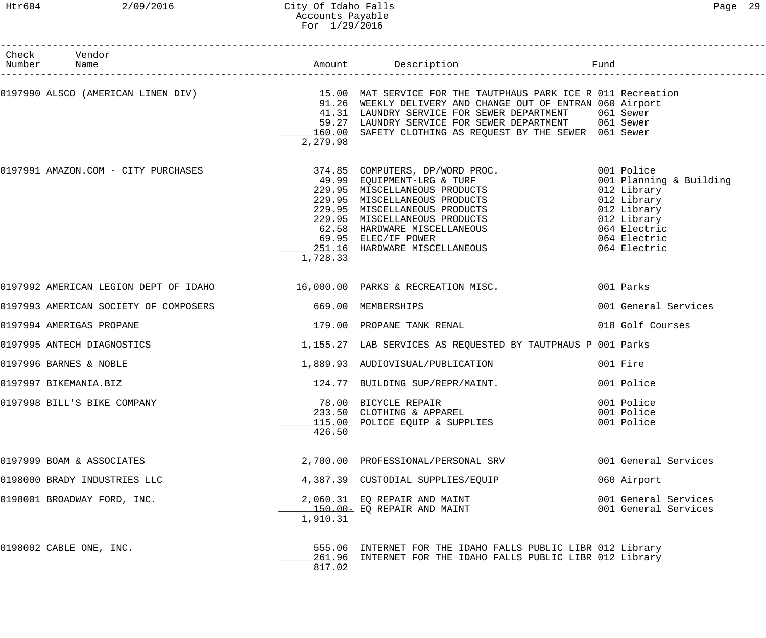## Htr604 2/09/2016 City Of Idaho Falls Page 29 Accounts Payable For 1/29/2016

| Check Vendor<br>Number Name           |                    |                                                                                                                                                                                                                                                                                                                                      |                                                                                                                                                   |
|---------------------------------------|--------------------|--------------------------------------------------------------------------------------------------------------------------------------------------------------------------------------------------------------------------------------------------------------------------------------------------------------------------------------|---------------------------------------------------------------------------------------------------------------------------------------------------|
|                                       | 2,279.98           | 0197990 ALSCO (AMERICAN LINEN DIV) THE SERVICE FOR THE TAUTPHAUS PARK ICE R 011 Recreation<br>91.26 WEEKLY DELIVERY AND CHANGE OUT OF ENTRAN 060 Airport<br>41.31 LAUNDRY SERVICE FOR SEWER DEPARTMENT 061 Sewer<br>59.27 LAUNDRY SERVICE FOR SEWER DEPARTMENT 061 Sewer<br>160.00 SAFETY CLOTHING AS REQUEST BY THE SEWER 061 Sewer |                                                                                                                                                   |
|                                       | 1,728.33           | 0197991 AMAZON.COM - CITY PURCHASES 374.85 COMPUTERS, DP/WORD PROC.<br>374.05 COMPUTERS, DP/WORD PROC.<br>49.99 EQUIPMENT-LRG & TURF<br>229.95 MISCELLANEOUS PRODUCTS<br>229.95 MISCELLANEOUS PRODUCTS<br>229.95 MISCELLANEOUS PRODUCTS<br>229.95 MISCELLANEOUS PRODUCTS<br>62.58 HARDWARE MISCELLANEOUS<br>69.95 ELEC/IF            | 001 Police<br>001 Planning & Building<br>012 Library<br>012 Library<br>012 Library<br>012 Library<br>064 Electric<br>064 Electric<br>064 Electric |
|                                       |                    | 0197992 AMERICAN LEGION DEPT OF IDAHO 16,000.00 PARKS & RECREATION MISC. 001 Parks                                                                                                                                                                                                                                                   |                                                                                                                                                   |
| 0197993 AMERICAN SOCIETY OF COMPOSERS | 669.00 MEMBERSHIPS |                                                                                                                                                                                                                                                                                                                                      | 001 General Services                                                                                                                              |
| 0197994 AMERIGAS PROPANE              |                    | 179.00 PROPANE TANK RENAL                                                                                                                                                                                                                                                                                                            | 018 Golf Courses                                                                                                                                  |
| 0197995 ANTECH DIAGNOSTICS            |                    | 1,155.27 LAB SERVICES AS REQUESTED BY TAUTPHAUS P 001 Parks                                                                                                                                                                                                                                                                          |                                                                                                                                                   |
| 0197996 BARNES & NOBLE                |                    | 1,889.93 AUDIOVISUAL/PUBLICATION                                                                                                                                                                                                                                                                                                     | 001 Fire                                                                                                                                          |
| 0197997 BIKEMANIA.BIZ                 |                    | 124.77 BUILDING SUP/REPR/MAINT.                                                                                                                                                                                                                                                                                                      | 001 Police                                                                                                                                        |
| 0197998 BILL'S BIKE COMPANY           | 426.50             | 78.00 BICYCLE REPAIR<br>233.50 CLOTHING & APPAREL<br>115.00 POLICE EQUIP & SUPPLIES                                                                                                                                                                                                                                                  | 001 Police<br>001 Police<br>001 Police                                                                                                            |
| 0197999 BOAM & ASSOCIATES             |                    | 2,700.00 PROFESSIONAL/PERSONAL SRV                                                                                                                                                                                                                                                                                                   | 001 General Services                                                                                                                              |
| 0198000 BRADY INDUSTRIES LLC          |                    | 4,387.39 CUSTODIAL SUPPLIES/EQUIP                                                                                                                                                                                                                                                                                                    | 060 Airport                                                                                                                                       |
| 0198001 BROADWAY FORD, INC.           | 1,910.31           | 2,060.31 EO REPAIR AND MAINT<br>150.00- EQ REPAIR AND MAINT                                                                                                                                                                                                                                                                          | 001 General Services<br>001 General Services                                                                                                      |
| 0198002 CABLE ONE, INC.               | 817.02             | 555.06 INTERNET FOR THE IDAHO FALLS PUBLIC LIBR 012 Library<br>261.96 INTERNET FOR THE IDAHO FALLS PUBLIC LIBR 012 Library                                                                                                                                                                                                           |                                                                                                                                                   |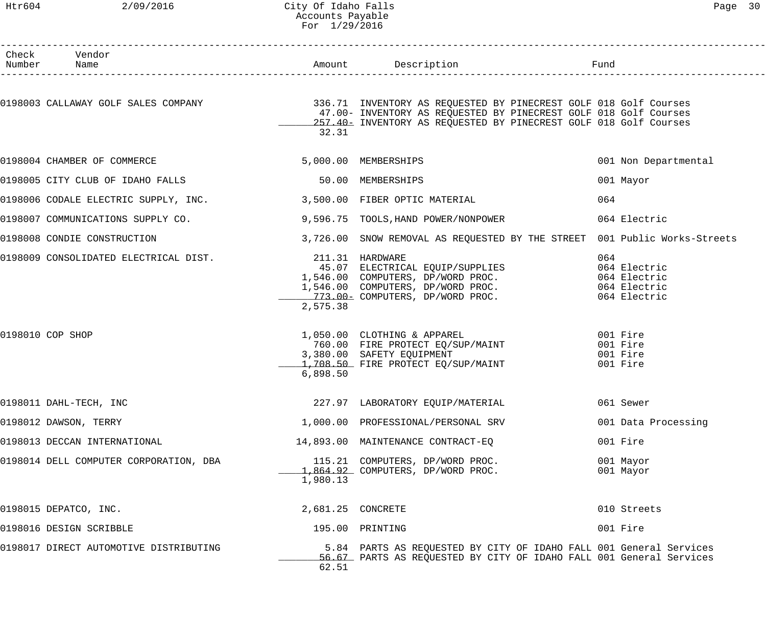## Htr604 2/09/2016 City Of Idaho Falls Page 30 Accounts Payable For 1/29/2016

| Check Vendor<br>Number Name                                        |                             |                                                                                                                                                                                                                                                                         |                                                                     |
|--------------------------------------------------------------------|-----------------------------|-------------------------------------------------------------------------------------------------------------------------------------------------------------------------------------------------------------------------------------------------------------------------|---------------------------------------------------------------------|
|                                                                    | 32.31                       | 0198003 CALLAWAY GOLF SALES COMPANY 1999 1999 1999 1999 1999 1336.71 INVENTORY AS REQUESTED BY PINECREST GOLF 018 Golf Courses<br>47.00- INVENTORY AS REQUESTED BY PINECREST GOLF 018 Golf Courses<br>257.40- INVENTORY AS REQUESTED BY PINECREST GOLF 018 Golf Courses |                                                                     |
| 0198004 CHAMBER OF COMMERCE                                        |                             | 5,000.00 MEMBERSHIPS                                                                                                                                                                                                                                                    | 001 Non Departmental                                                |
| 0198005 CITY CLUB OF IDAHO FALLS                                   |                             | 50.00 MEMBERSHIPS                                                                                                                                                                                                                                                       | 001 Mayor                                                           |
| 0198006 CODALE ELECTRIC SUPPLY, INC. 3,500.00 FIBER OPTIC MATERIAL |                             |                                                                                                                                                                                                                                                                         | 064                                                                 |
| 0198007 COMMUNICATIONS SUPPLY CO.                                  |                             | 9,596.75 TOOLS, HAND POWER/NONPOWER                                                                                                                                                                                                                                     | 064 Electric                                                        |
| 0198008 CONDIE CONSTRUCTION                                        |                             | 3,726.00 SNOW REMOVAL AS REQUESTED BY THE STREET 001 Public Works-Streets                                                                                                                                                                                               |                                                                     |
| 0198009 CONSOLIDATED ELECTRICAL DIST.                              | 211.31 HARDWARE<br>2,575.38 | 211.31 HARDWARE<br>45.07 ELECTRICAL EQUIP/SUPPLIES<br>1,546.00 COMPUTERS, DP/WORD PROC.<br>1,546.00 COMPUTERS, DP/WORD PROC.<br>773.00- COMPUTERS, DP/WORD PROC.                                                                                                        | 064<br>064 Electric<br>064 Electric<br>064 Electric<br>064 Electric |
| 0198010 COP SHOP                                                   | 6,898.50                    | 1,050.00 CLOTHING & APPAREL<br>760.00 FIRE PROTECT EQ/SUP/MAINT<br>,380.00 SAFETY EQUIPMENT<br>3,380.00 SAFETY EQUIPMENT<br>1,708.50 FIRE PROTECT EQ/SUP/MAINT                                                                                                          | 001 Fire<br>001 Fire<br>001 Fire<br>001 Fire                        |
| 0198011 DAHL-TECH, INC                                             |                             | 227.97 LABORATORY EQUIP/MATERIAL 6061 Sewer                                                                                                                                                                                                                             |                                                                     |
| 0198012 DAWSON, TERRY                                              |                             | 1,000.00 PROFESSIONAL/PERSONAL SRV                                                                                                                                                                                                                                      | 001 Data Processing                                                 |
| 0198013 DECCAN INTERNATIONAL                                       |                             | 14,893.00 MAINTENANCE CONTRACT-EQ                                                                                                                                                                                                                                       | 001 Fire                                                            |
| 0198014 DELL COMPUTER CORPORATION, DBA                             | 1,980.13                    | 115.21 COMPUTERS, DP/WORD PROC.                                                                                                                                                                                                                                         | 001 Mayor<br>001 Mayor                                              |
| 0198015 DEPATCO, INC.                                              | 2,681.25 CONCRETE           |                                                                                                                                                                                                                                                                         | 010 Streets                                                         |
| 0198016 DESIGN SCRIBBLE                                            |                             | 195.00 PRINTING                                                                                                                                                                                                                                                         | 001 Fire                                                            |
| 0198017 DIRECT AUTOMOTIVE DISTRIBUTING                             | 62.51                       | 5.84 PARTS AS REQUESTED BY CITY OF IDAHO FALL 001 General Services<br>56.67 PARTS AS REQUESTED BY CITY OF IDAHO FALL 001 General Services                                                                                                                               |                                                                     |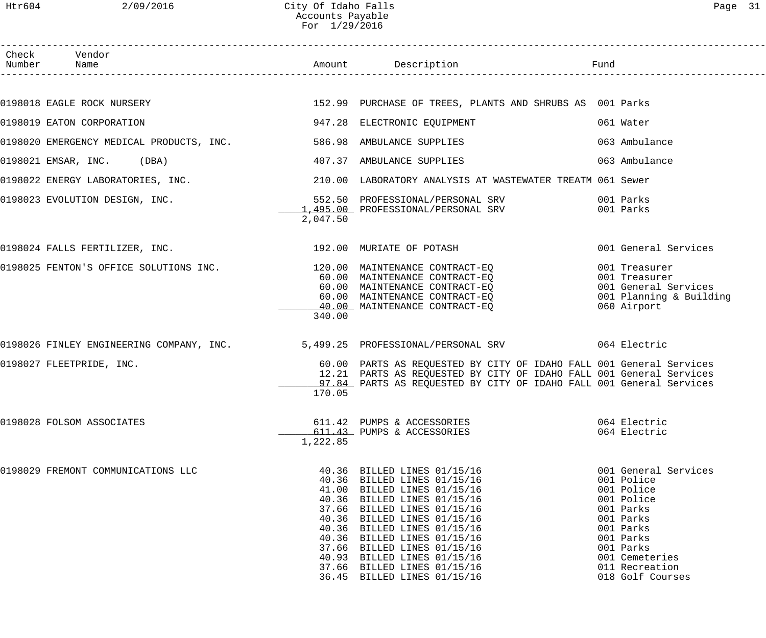| ת בי<br>_ |  |
|-----------|--|
|           |  |

| Check Vendor<br>Number Name                                                                                                                                                                                          |          |                                                                                                                                                                                                                                                                                                                                                                                  |                                                                                                                                                                                         |
|----------------------------------------------------------------------------------------------------------------------------------------------------------------------------------------------------------------------|----------|----------------------------------------------------------------------------------------------------------------------------------------------------------------------------------------------------------------------------------------------------------------------------------------------------------------------------------------------------------------------------------|-----------------------------------------------------------------------------------------------------------------------------------------------------------------------------------------|
|                                                                                                                                                                                                                      |          |                                                                                                                                                                                                                                                                                                                                                                                  |                                                                                                                                                                                         |
| 0198018 EAGLE ROCK NURSERY THE STATE SERVICE SERVICES AS CONTROLLER SERVICE OF TREES, PLANTS AND SHRUBS AS 001 Parks                                                                                                 |          |                                                                                                                                                                                                                                                                                                                                                                                  |                                                                                                                                                                                         |
| 0198019 EATON CORPORATION                                                                                                                                                                                            |          | 947.28 ELECTRONIC EQUIPMENT                                                                                                                                                                                                                                                                                                                                                      | 061 Water                                                                                                                                                                               |
| 0198020 EMERGENCY MEDICAL PRODUCTS, INC. 586.98 AMBULANCE SUPPLIES                                                                                                                                                   |          |                                                                                                                                                                                                                                                                                                                                                                                  | 063 Ambulance                                                                                                                                                                           |
| 0198021 EMSAR, INC. (DBA)                                                                                                                                                                                            |          | 407.37 AMBULANCE SUPPLIES                                                                                                                                                                                                                                                                                                                                                        | 063 Ambulance                                                                                                                                                                           |
| 0198022 ENERGY LABORATORIES, INC.<br>210.00 LABORATORY ANALYSIS AT WASTEWATER TREATM 061 Sewer                                                                                                                       |          |                                                                                                                                                                                                                                                                                                                                                                                  |                                                                                                                                                                                         |
|                                                                                                                                                                                                                      | 2,047.50 |                                                                                                                                                                                                                                                                                                                                                                                  |                                                                                                                                                                                         |
| $0198024$ FALLS FERTILIZER, INC. $192.00$ MURIATE OF POTASH                                                                                                                                                          |          |                                                                                                                                                                                                                                                                                                                                                                                  | 001 General Services                                                                                                                                                                    |
| 0198025 FENTON'S OFFICE SOLUTIONS INC.<br>0198025 FENTON'S OFFICE SOLUTIONS INC.<br>06.00 MAINTENANCE CONTRACT-EQ<br>60.00 MAINTENANCE CONTRACT-EQ<br>40.00 MAINTENANCE CONTRACT-EQ<br>40.00 MAINTENANCE CONTRACT-EQ | 340.00   |                                                                                                                                                                                                                                                                                                                                                                                  | 001 Treasurer<br>001 Treasurer<br>001 General Services<br>001 Planning & Building<br>060 Airport                                                                                        |
| 0198026 FINLEY ENGINEERING COMPANY, INC. 5,499.25 PROFESSIONAL/PERSONAL SRV 664 Electric                                                                                                                             |          |                                                                                                                                                                                                                                                                                                                                                                                  |                                                                                                                                                                                         |
| 0198027 FLEETPRIDE, INC.                                                                                                                                                                                             | 170.05   | 60.00 PARTS AS REQUESTED BY CITY OF IDAHO FALL 001 General Services<br>12.21 PARTS AS REQUESTED BY CITY OF IDAHO FALL 001 General Services<br>97.84 PARTS AS REQUESTED BY CITY OF IDAHO FALL 001 General Services                                                                                                                                                                |                                                                                                                                                                                         |
| 0198028 FOLSOM ASSOCIATES                                                                                                                                                                                            | 1,222.85 | 611.42 PUMPS & ACCESSORIES<br>611.43 PUMPS & ACCESSORIES                                                                                                                                                                                                                                                                                                                         | 064 Electric<br>064 Electric                                                                                                                                                            |
| 0198029 FREMONT COMMUNICATIONS LLC                                                                                                                                                                                   |          | 40.36 BILLED LINES 01/15/16<br>40.36 BILLED LINES 01/15/16<br>41.00 BILLED LINES 01/15/16<br>40.36 BILLED LINES 01/15/16<br>37.66 BILLED LINES 01/15/16<br>40.36 BILLED LINES 01/15/16<br>40.36 BILLED LINES 01/15/16<br>40.36 BILLED LINES 01/15/16<br>37.66 BILLED LINES 01/15/16<br>40.93 BILLED LINES 01/15/16<br>37.66 BILLED LINES 01/15/16<br>36.45 BILLED LINES 01/15/16 | 001 General Services<br>001 Police<br>001 Police<br>001 Police<br>001 Parks<br>001 Parks<br>001 Parks<br>001 Parks<br>001 Parks<br>001 Cemeteries<br>011 Recreation<br>018 Golf Courses |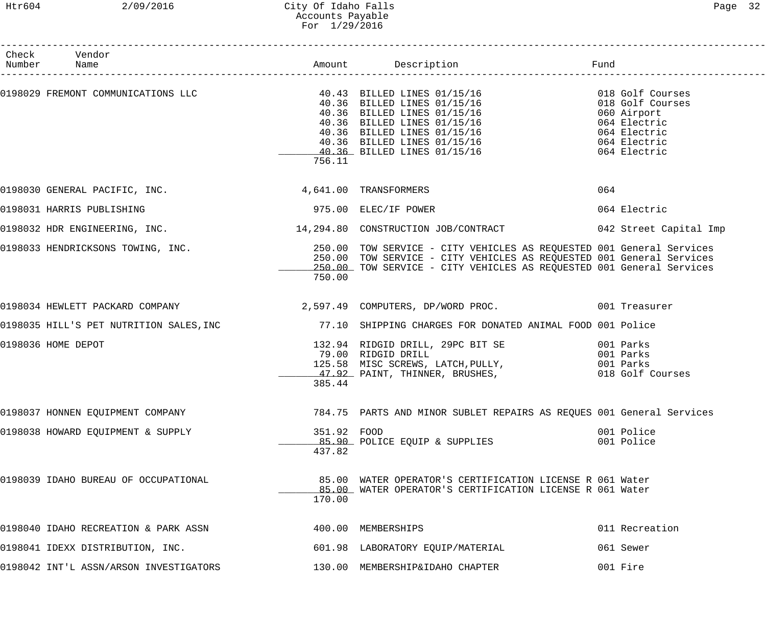## Htr604 2/09/2016 City Of Idaho Falls Page 32 Accounts Payable For 1/29/2016

| Check Vendor<br>Number Name                             |                       |                                                                                                                                                                                                                                              |                          |
|---------------------------------------------------------|-----------------------|----------------------------------------------------------------------------------------------------------------------------------------------------------------------------------------------------------------------------------------------|--------------------------|
|                                                         | 756.11                | 0198029 FREMONT COMMUNICATIONS LLC<br>40.36 BILLED LINES 01/15/16<br>40.36 BILLED LINES 01/15/16<br>40.36 BILLED LINES 01/15/16<br>40.36 BILLED LINES 01/15/16<br>40.36 BILLED LINES 01/15/16<br>40.36 BILLED LINES 01/15/16<br>40.36 BILLED |                          |
| 0198030 GENERAL PACIFIC, INC. 4,641.00 TRANSFORMERS     |                       |                                                                                                                                                                                                                                              | 064                      |
| 0198031 HARRIS PUBLISHING                               |                       | 975.00 ELEC/IF POWER                                                                                                                                                                                                                         | 064 Electric             |
| 0198032 HDR ENGINEERING, INC.                           |                       | 14,294.80 CONSTRUCTION JOB/CONTRACT 642 Street Capital Imp                                                                                                                                                                                   |                          |
| 0198033 HENDRICKSONS TOWING, INC.                       | 750.00                | 250.00 TOW SERVICE - CITY VEHICLES AS REQUESTED 001 General Services<br>250.00 TOW SERVICE - CITY VEHICLES AS REQUESTED 001 General Services<br>250.00 TOW SERVICE - CITY VEHICLES AS REQUESTED 001 General Services                         |                          |
|                                                         |                       | 0198034 HEWLETT PACKARD COMPANY (2,597.49 COMPUTERS, DP/WORD PROC. 0001 Treasurer                                                                                                                                                            |                          |
|                                                         |                       | 0198035 HILL'S PET NUTRITION SALES, INC 77.10 SHIPPING CHARGES FOR DONATED ANIMAL FOOD 001 Police                                                                                                                                            |                          |
| 0198036 HOME DEPOT                                      | 385.44                | 132.94 RIDGID DRILL, 29PC BIT SE 601 Parks 9001 Parks<br>79.00 RIDGID DRILL<br>125.58 MISC SCREWS, LATCH, PULLY, The Coll Parks of Datas.<br>125.58 MISC SCREWS, LATCH, PULLY, THING ON Parks of Parks of Parks (18 Golf Courses             | 001 Parks                |
| 0198037 HONNEN EQUIPMENT COMPANY                        |                       | 784.75 PARTS AND MINOR SUBLET REPAIRS AS REQUES 001 General Services                                                                                                                                                                         |                          |
| 0198038 HOWARD EQUIPMENT & SUPPLY                       | 351.92 FOOD<br>437.82 | 85.90 POLICE EQUIP & SUPPLIES                                                                                                                                                                                                                | 001 Police<br>001 Police |
| 0198039 IDAHO BUREAU OF OCCUPATIONAL                    | 170.00                | 85.00 WATER OPERATOR'S CERTIFICATION LICENSE R 061 Water<br>__85.00_ WATER OPERATOR'S CERTIFICATION LICENSE R 061 Water                                                                                                                      |                          |
| 0198040 IDAHO RECREATION & PARK ASSN 400.00 MEMBERSHIPS |                       |                                                                                                                                                                                                                                              | 011 Recreation           |
| 0198041 IDEXX DISTRIBUTION, INC.                        |                       | 601.98 LABORATORY EQUIP/MATERIAL                                                                                                                                                                                                             | 061 Sewer                |
| 0198042 INT'L ASSN/ARSON INVESTIGATORS                  |                       | 130.00 MEMBERSHIP&IDAHO CHAPTER                                                                                                                                                                                                              | 001 Fire                 |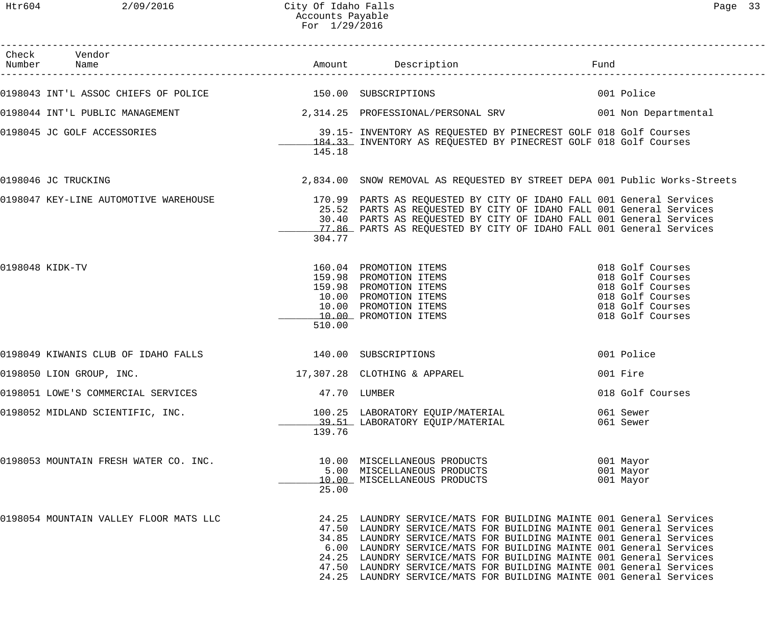------------------------------------------------------------------------------------------------------------------------------------

| Page | ∍ |
|------|---|
|      |   |

| Check<br>Number | Vendor<br>Name                                            |        | Amount Description                                                                                                                                                                                                                                                                                                                                                                                                                                                                                           | Fund |                                                                                                                      |
|-----------------|-----------------------------------------------------------|--------|--------------------------------------------------------------------------------------------------------------------------------------------------------------------------------------------------------------------------------------------------------------------------------------------------------------------------------------------------------------------------------------------------------------------------------------------------------------------------------------------------------------|------|----------------------------------------------------------------------------------------------------------------------|
|                 | 0198043 INT'L ASSOC CHIEFS OF POLICE 150.00 SUBSCRIPTIONS |        |                                                                                                                                                                                                                                                                                                                                                                                                                                                                                                              |      | 001 Police                                                                                                           |
|                 | 0198044 INT'L PUBLIC MANAGEMENT                           |        |                                                                                                                                                                                                                                                                                                                                                                                                                                                                                                              |      |                                                                                                                      |
|                 | 0198045 JC GOLF ACCESSORIES                               | 145.18 | 39.15- INVENTORY AS REQUESTED BY PINECREST GOLF 018 Golf Courses<br>184.33 INVENTORY AS REQUESTED BY PINECREST GOLF 018 Golf Courses                                                                                                                                                                                                                                                                                                                                                                         |      |                                                                                                                      |
|                 | 0198046 JC TRUCKING                                       |        | 2,834.00 SNOW REMOVAL AS REQUESTED BY STREET DEPA 001 Public Works-Streets                                                                                                                                                                                                                                                                                                                                                                                                                                   |      |                                                                                                                      |
|                 |                                                           | 304.77 | 25.52 PARTS AS REQUESTED BY CITY OF IDAHO FALL 001 General Services<br>30.40 PARTS AS REQUESTED BY CITY OF IDAHO FALL 001 General Services<br>77.86 PARTS AS REQUESTED BY CITY OF IDAHO FALL 001 General Services                                                                                                                                                                                                                                                                                            |      |                                                                                                                      |
| 0198048 KIDK-TV |                                                           | 510.00 | 160.04 PROMOTION ITEMS<br>159.98 PROMOTION ITEMS<br>159.98 PROMOTION ITEMS<br>10.00 PROMOTION ITEMS<br>10.00 PROMOTION ITEMS<br>10.00 PROMOTION ITEMS                                                                                                                                                                                                                                                                                                                                                        |      | 018 Golf Courses<br>018 Golf Courses<br>018 Golf Courses<br>018 Golf Courses<br>018 Golf Courses<br>018 Golf Courses |
|                 | 0198049 KIWANIS CLUB OF IDAHO FALLS                       |        | 140.00 SUBSCRIPTIONS                                                                                                                                                                                                                                                                                                                                                                                                                                                                                         |      | 001 Police                                                                                                           |
|                 | 0198050 LION GROUP, INC.                                  |        | 17,307.28 CLOTHING & APPAREL                                                                                                                                                                                                                                                                                                                                                                                                                                                                                 |      | 001 Fire                                                                                                             |
|                 | 0198051 LOWE'S COMMERCIAL SERVICES                        |        | 47.70 LUMBER                                                                                                                                                                                                                                                                                                                                                                                                                                                                                                 |      | 018 Golf Courses                                                                                                     |
|                 | 0198052 MIDLAND SCIENTIFIC, INC.                          | 139.76 | 100.25 LABORATORY EQUIP/MATERIAL<br>39.51 LABORATORY EQUIP/MATERIAL                                                                                                                                                                                                                                                                                                                                                                                                                                          |      | 061 Sewer<br>061 Sewer                                                                                               |
|                 | 0198053 MOUNTAIN FRESH WATER CO. INC.                     | 25.00  | 10.00 MISCELLANEOUS PRODUCTS<br>5.00 MISCELLANEOUS PRODUCTS<br>10.00 MISCELLANEOUS PRODUCTS                                                                                                                                                                                                                                                                                                                                                                                                                  |      | 001 Mayor<br>001 Mayor<br>001 Mayor                                                                                  |
|                 | 0198054 MOUNTAIN VALLEY FLOOR MATS LLC                    |        | 24.25 LAUNDRY SERVICE/MATS FOR BUILDING MAINTE 001 General Services<br>47.50 LAUNDRY SERVICE/MATS FOR BUILDING MAINTE 001 General Services<br>34.85 LAUNDRY SERVICE/MATS FOR BUILDING MAINTE 001 General Services<br>6.00 LAUNDRY SERVICE/MATS FOR BUILDING MAINTE 001 General Services<br>24.25 LAUNDRY SERVICE/MATS FOR BUILDING MAINTE 001 General Services<br>47.50 LAUNDRY SERVICE/MATS FOR BUILDING MAINTE 001 General Services<br>24.25 LAUNDRY SERVICE/MATS FOR BUILDING MAINTE 001 General Services |      |                                                                                                                      |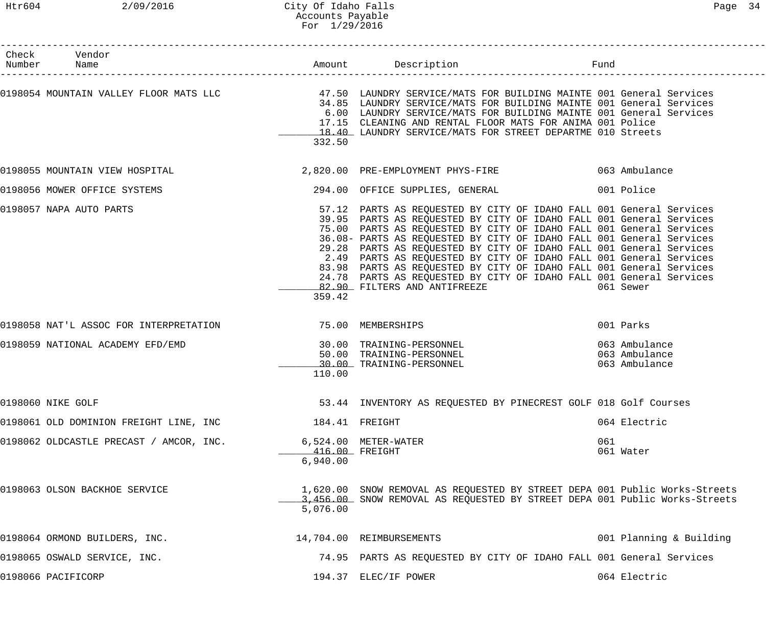## Htr604 2/09/2016 City Of Idaho Falls Page 34 Accounts Payable For 1/29/2016

| Check Vendor<br>Number Name                              |                               |                                                                                                                                                                                                                                                                                                                                                                                                                                                                                                                                                                                                                      |                                |
|----------------------------------------------------------|-------------------------------|----------------------------------------------------------------------------------------------------------------------------------------------------------------------------------------------------------------------------------------------------------------------------------------------------------------------------------------------------------------------------------------------------------------------------------------------------------------------------------------------------------------------------------------------------------------------------------------------------------------------|--------------------------------|
|                                                          | 332.50                        | 0198054 MOUNTAIN VALLEY FLOOR MATS LLC 47.50 LAUNDRY SERVICE/MATS FOR BUILDING MAINTE 001 General Services<br>34.85 LAUNDRY SERVICE/MATS FOR BUILDING MAINTE 001 General Services<br>6.00 LAUNDRY SERVICE/MATS FOR BUILDING MAINTE 001 General Services<br>17.15 CLEANING AND RENTAL FLOOR MATS FOR ANIMA 001 Police<br>18.40 LAUNDRY SERVICE/MATS FOR STREET DEPARTME 010 Streets                                                                                                                                                                                                                                   |                                |
|                                                          |                               | 0198055 MOUNTAIN VIEW HOSPITAL CONTROL CONTROLLER 2,820.00 PRE-EMPLOYMENT PHYS-FIRE CONTROLLER COMBULANCE                                                                                                                                                                                                                                                                                                                                                                                                                                                                                                            |                                |
| 0198056 MOWER OFFICE SYSTEMS                             |                               | 294.00 OFFICE SUPPLIES, GENERAL                                                                                                                                                                                                                                                                                                                                                                                                                                                                                                                                                                                      | 001 Police                     |
| 0198057 NAPA AUTO PARTS                                  | 359.42                        | 57.12 PARTS AS REQUESTED BY CITY OF IDAHO FALL 001 General Services<br>39.95 PARTS AS REQUESTED BY CITY OF IDAHO FALL 001 General Services<br>75.00 PARTS AS REQUESTED BY CITY OF IDAHO FALL 001 General Services<br>36.08- PARTS AS REQUESTED BY CITY OF IDAHO FALL 001 General Services<br>29.28 PARTS AS REQUESTED BY CITY OF IDAHO FALL 001 General Services<br>2.49 PARTS AS REQUESTED BY CITY OF IDAHO FALL 001 General Services<br>83.98 PARTS AS REQUESTED BY CITY OF IDAHO FALL 001 General Services<br>24.78 PARTS AS REQUESTED BY CITY OF IDAHO FALL 001 General Services<br>82.90 FILTERS AND ANTIFREEZE | 061 Sewer                      |
| 0198058 NAT'L ASSOC FOR INTERPRETATION 75.00 MEMBERSHIPS |                               |                                                                                                                                                                                                                                                                                                                                                                                                                                                                                                                                                                                                                      | 001 Parks                      |
| 0198059 NATIONAL ACADEMY EFD/EMD                         | 110.00                        | 30.00 TRAINING-PERSONNEL<br>50.00 TRAINING-PERSONNEL 063 Ambulance<br>30.00 TRAINING-PERSONNEL                                                                                                                                                                                                                                                                                                                                                                                                                                                                                                                       | 063 Ambulance<br>063 Ambulance |
| 0198060 NIKE GOLF                                        |                               | 53.44 INVENTORY AS REQUESTED BY PINECREST GOLF 018 Golf Courses                                                                                                                                                                                                                                                                                                                                                                                                                                                                                                                                                      |                                |
| 0198061 OLD DOMINION FREIGHT LINE, INC                   |                               | 184.41 FREIGHT                                                                                                                                                                                                                                                                                                                                                                                                                                                                                                                                                                                                       | 064 Electric                   |
| 0198062 OLDCASTLE PRECAST / AMCOR, INC.                  | ___416.00 FREIGHT<br>6,940.00 | $6,524.00$ METER-WATER                                                                                                                                                                                                                                                                                                                                                                                                                                                                                                                                                                                               | 061<br>061 Water               |
| 0198063 OLSON BACKHOE SERVICE                            | 5,076.00                      | 1,620.00 SNOW REMOVAL AS REQUESTED BY STREET DEPA 001 Public Works-Streets<br>3,456.00 SNOW REMOVAL AS REQUESTED BY STREET DEPA 001 Public Works-Streets                                                                                                                                                                                                                                                                                                                                                                                                                                                             |                                |
| 0198064 ORMOND BUILDERS, INC.                            |                               | 14,704.00 REIMBURSEMENTS                                                                                                                                                                                                                                                                                                                                                                                                                                                                                                                                                                                             | 001 Planning & Building        |
| 0198065 OSWALD SERVICE, INC.                             |                               | 74.95 PARTS AS REQUESTED BY CITY OF IDAHO FALL 001 General Services                                                                                                                                                                                                                                                                                                                                                                                                                                                                                                                                                  |                                |
| 0198066 PACIFICORP                                       |                               | 194.37 ELEC/IF POWER                                                                                                                                                                                                                                                                                                                                                                                                                                                                                                                                                                                                 | 064 Electric                   |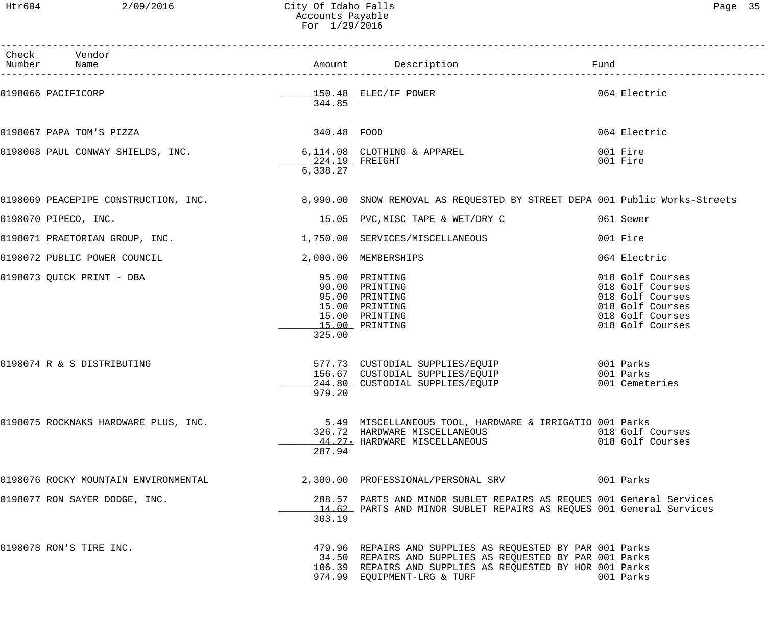Htr604 2/09/2016 City Of Idaho Falls Page 35 Accounts Payable For 1/29/2016

| ∽aαe |  |
|------|--|
|------|--|

| Check Vendor<br>Number Name                                    |          |                                                                                                                                                                                                                   | Fund                                                                                                                 |
|----------------------------------------------------------------|----------|-------------------------------------------------------------------------------------------------------------------------------------------------------------------------------------------------------------------|----------------------------------------------------------------------------------------------------------------------|
| 0198066 PACIFICORP                                             | 344.85   | 150.48 ELEC/IF POWER                                                                                                                                                                                              | 064 Electric                                                                                                         |
|                                                                |          |                                                                                                                                                                                                                   | 064 Electric                                                                                                         |
| 0198068 PAUL CONWAY SHIELDS, INC. 6,114.08 CLOTHING & APPAREL  | 6,338.27 |                                                                                                                                                                                                                   | 001 Fire<br>001 Fire                                                                                                 |
|                                                                |          | 0198069 PEACEPIPE CONSTRUCTION, INC. 38,990.00 SNOW REMOVAL AS REQUESTED BY STREET DEPA 001 Public Works-Streets                                                                                                  |                                                                                                                      |
| 0198070 PIPECO, INC.                                           |          | 15.05 PVC, MISC TAPE & WET/DRY C                                                                                                                                                                                  | 061 Sewer                                                                                                            |
| 0198071 PRAETORIAN GROUP, INC. 1.750.00 SERVICES/MISCELLANEOUS |          |                                                                                                                                                                                                                   | 001 Fire                                                                                                             |
| 0198072 PUBLIC POWER COUNCIL                                   |          | 2,000.00 MEMBERSHIPS                                                                                                                                                                                              | 064 Electric                                                                                                         |
| 0198073 QUICK PRINT - DBA                                      | 325.00   | 95.00 PRINTING<br>90.00 PRINTING<br>95.00 PRINTING<br>15.00 PRINTING<br>15.00 PRINTING<br>15.00 PRINTING                                                                                                          | 018 Golf Courses<br>018 Golf Courses<br>018 Golf Courses<br>018 Golf Courses<br>018 Golf Courses<br>018 Golf Courses |
| 0198074 R & S DISTRIBUTING                                     | 979.20   | 577.73 CUSTODIAL SUPPLIES/EQUIP<br>156.67 CUSTODIAL SUPPLIES/EQUIP<br>244.80 CUSTODIAL SUPPLIES/EQUIP                                                                                                             | 001 Parks<br>001 Parks<br>001 Cemeteries                                                                             |
| 0198075 ROCKNAKS HARDWARE PLUS, INC.                           | 287.94   | 5.49 MISCELLANEOUS TOOL, HARDWARE & IRRIGATIO 001 Parks<br>326.72  HARDWARE MISCELLANEOUS<br>_44.27- HARDWARE MISCELLANEOUS                                                                                       | 018 Golf Courses<br>018 Golf Courses                                                                                 |
| 0198076 ROCKY MOUNTAIN ENVIRONMENTAL                           |          |                                                                                                                                                                                                                   |                                                                                                                      |
| 0198077 RON SAYER DODGE, INC.                                  | 303.19   | 288.57 PARTS AND MINOR SUBLET REPAIRS AS REQUES 001 General Services<br>14.62 PARTS AND MINOR SUBLET REPAIRS AS REQUES 001 General Services                                                                       |                                                                                                                      |
| 0198078 RON'S TIRE INC.                                        |          | 479.96 REPAIRS AND SUPPLIES AS REQUESTED BY PAR 001 Parks<br>34.50 REPAIRS AND SUPPLIES AS REQUESTED BY PAR 001 Parks<br>106.39 REPAIRS AND SUPPLIES AS REQUESTED BY HOR 001 Parks<br>974.99 EQUIPMENT-LRG & TURF | 001 Parks                                                                                                            |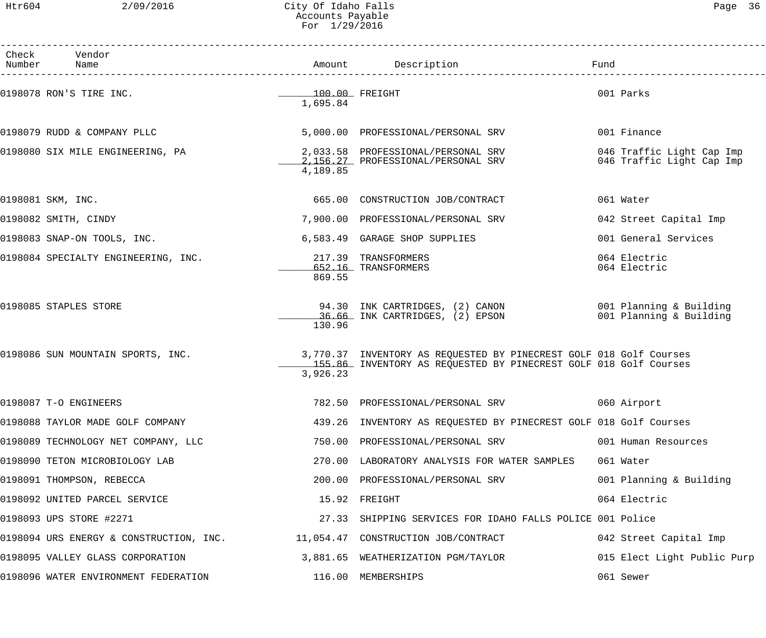| Check Vendor<br>Number Name                                                 |                                          | Amount Description                                                                                                                     | Fund                                                   |
|-----------------------------------------------------------------------------|------------------------------------------|----------------------------------------------------------------------------------------------------------------------------------------|--------------------------------------------------------|
| 0198078 RON'S TIRE INC.                                                     | $\frac{100.00}{\pi}$ FREIGHT<br>1,695.84 |                                                                                                                                        | 001 Parks                                              |
| 0198079 RUDD & COMPANY PLLC                                                 |                                          | 5,000.00 PROFESSIONAL/PERSONAL SRV                                                                                                     | 001 Finance                                            |
| 0198080 SIX MILE ENGINEERING, PA                                            | 4,189.85                                 | 2,033.58 PROFESSIONAL/PERSONAL SRV<br>2,156.27 PROFESSIONAL/PERSONAL SRV                                                               | 046 Traffic Light Cap Imp<br>046 Traffic Light Cap Imp |
| 0198081 SKM, INC.                                                           |                                          | 665.00 CONSTRUCTION JOB/CONTRACT                                                                                                       | 061 Water                                              |
| 0198082 SMITH, CINDY                                                        |                                          | 7,900.00 PROFESSIONAL/PERSONAL SRV                                                                                                     | 042 Street Capital Imp                                 |
| 0198083 SNAP-ON TOOLS, INC.                                                 |                                          | 6,583.49 GARAGE SHOP SUPPLIES                                                                                                          | 001 General Services                                   |
| 0198084 SPECIALTY ENGINEERING, INC.                                         | 869.55                                   | 217.39 TRANSFORMERS<br>652.16 TRANSFORMERS                                                                                             | 064 Electric<br>064 Electric                           |
| 0198085 STAPLES STORE                                                       | 130.96                                   | 94.30 INK CARTRIDGES, (2) CANON 001 Planning & Building<br>36.66 INK CARTRIDGES, (2) EPSON                                             | 001 Planning & Building                                |
| 0198086 SUN MOUNTAIN SPORTS, INC.                                           | 3,926.23                                 | 3,770.37 INVENTORY AS REQUESTED BY PINECREST GOLF 018 Golf Courses<br>155.86 INVENTORY AS REQUESTED BY PINECREST GOLF 018 Golf Courses |                                                        |
| 0198087 T-O ENGINEERS                                                       |                                          | 782.50 PROFESSIONAL/PERSONAL SRV 660 Airport                                                                                           |                                                        |
| 0198088 TAYLOR MADE GOLF COMPANY                                            |                                          | 439.26 INVENTORY AS REQUESTED BY PINECREST GOLF 018 Golf Courses                                                                       |                                                        |
| 0198089 TECHNOLOGY NET COMPANY, LLC                                         |                                          | 750.00 PROFESSIONAL/PERSONAL SRV                                                                                                       | 001 Human Resources                                    |
| 0198090 TETON MICROBIOLOGY LAB                                              |                                          | 270.00 LABORATORY ANALYSIS FOR WATER SAMPLES                                                                                           | 061 Water                                              |
| 0198091 THOMPSON, REBECCA                                                   |                                          | 200.00 PROFESSIONAL/PERSONAL SRV                                                                                                       | 001 Planning & Building                                |
| 0198092 UNITED PARCEL SERVICE                                               |                                          | 15.92 FREIGHT                                                                                                                          | 064 Electric                                           |
| 0198093 UPS STORE #2271                                                     |                                          | 27.33 SHIPPING SERVICES FOR IDAHO FALLS POLICE 001 Police                                                                              |                                                        |
| 0198094 URS ENERGY & CONSTRUCTION, INC. 11,054.47 CONSTRUCTION JOB/CONTRACT |                                          |                                                                                                                                        | 042 Street Capital Imp                                 |
| 0198095 VALLEY GLASS CORPORATION                                            |                                          | 3,881.65 WEATHERIZATION PGM/TAYLOR                                                                                                     | 015 Elect Light Public Purp                            |
| 0198096 WATER ENVIRONMENT FEDERATION                                        |                                          | 116.00 MEMBERSHIPS                                                                                                                     | 061 Sewer                                              |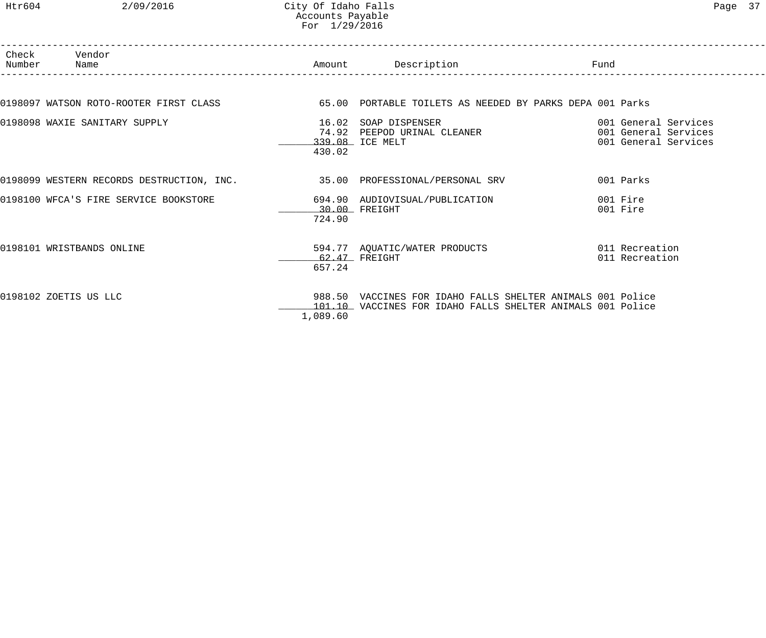## Htr604 2/09/2016 City Of Idaho Falls Page 37 Accounts Payable For 1/29/2016

| Number | Check Vendor<br>Name                                                                            |                 | Amount Description                                                                                                       | Fund                                                                 |
|--------|-------------------------------------------------------------------------------------------------|-----------------|--------------------------------------------------------------------------------------------------------------------------|----------------------------------------------------------------------|
|        | 0198097 WATSON ROTO-ROOTER FIRST CLASS 65.00 PORTABLE TOILETS AS NEEDED BY PARKS DEPA 001 Parks |                 |                                                                                                                          |                                                                      |
|        | 0198098 WAXIE SANITARY SUPPLY                                                                   | 16.02<br>430.02 | SOAP DISPENSER<br>74.92 PEEPOD URINAL CLEANER<br>339.08 ICE MELT                                                         | 001 General Services<br>001 General Services<br>001 General Services |
|        | 0198099 WESTERN RECORDS DESTRUCTION, INC. 35.00 PROFESSIONAL/PERSONAL SRV                       |                 |                                                                                                                          | 001 Parks                                                            |
|        | 0198100 WFCA'S FIRE SERVICE BOOKSTORE                                                           | 724.90          | 694.90 AUDIOVISUAL/PUBLICATION<br>$30.00$ FREIGHT                                                                        | 001 Fire<br>001 Fire                                                 |
|        | 0198101 WRISTBANDS ONLINE                                                                       | 657.24          | 594.77 AQUATIC/WATER PRODUCTS<br>$62.47$ FREIGHT                                                                         | 011 Recreation<br>011 Recreation                                     |
|        | 0198102 ZOETIS US LLC                                                                           | 1,089.60        | 988.50 VACCINES FOR IDAHO FALLS SHELTER ANIMALS 001 Police<br>101.10 VACCINES FOR IDAHO FALLS SHELTER ANIMALS 001 Police |                                                                      |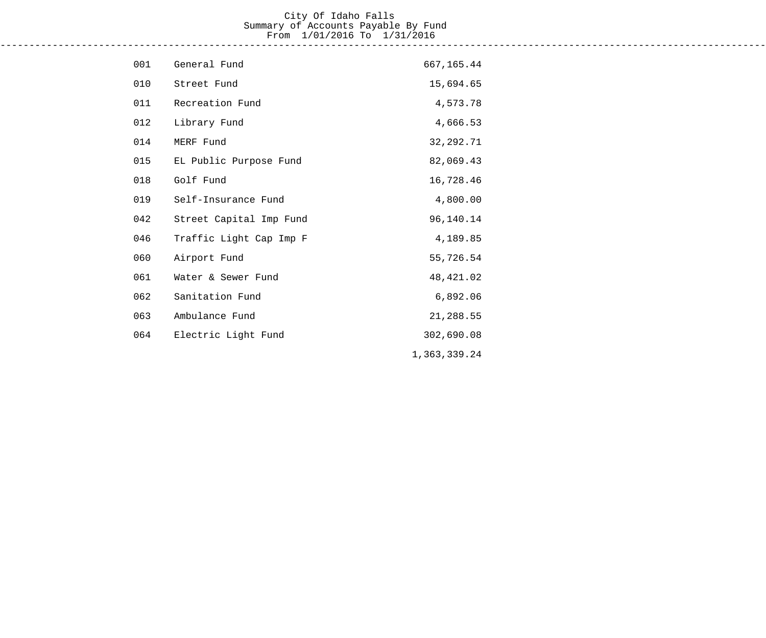#### City Of Idaho Falls Summary of Accounts Payable By Fund From 1/01/2016 To 1/31/2016 ------------------------------------------------------------------------------------------------------------------------------------

| 001 | General Fund            | 667,165.44   |
|-----|-------------------------|--------------|
| 010 | Street Fund             | 15,694.65    |
| 011 | Recreation Fund         | 4,573.78     |
| 012 | Library Fund            | 4,666.53     |
| 014 | MERF Fund               | 32, 292. 71  |
| 015 | EL Public Purpose Fund  | 82,069.43    |
| 018 | Golf Fund               | 16,728.46    |
| 019 | Self-Insurance Fund     | 4,800.00     |
| 042 | Street Capital Imp Fund | 96,140.14    |
| 046 | Traffic Light Cap Imp F | 4,189.85     |
| 060 | Airport Fund            | 55,726.54    |
| 061 | Water & Sewer Fund      | 48, 421.02   |
| 062 | Sanitation Fund         | 6,892.06     |
| 063 | Ambulance Fund          | 21,288.55    |
| 064 | Electric Light Fund     | 302,690.08   |
|     |                         | 1,363,339.24 |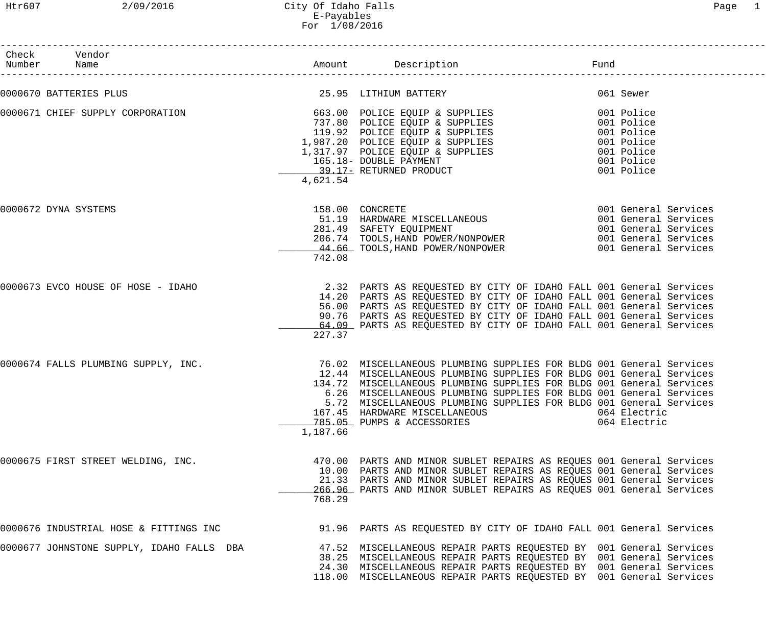# Htr607 2/09/2016 City Of Idaho Falls Page 1 E-Payables For 1/08/2016

| Check Vendor<br>Number Name                                     |          |                                                                                                                                                                                                                                                                                                                                                                                                                               | Fund                                                                                           |
|-----------------------------------------------------------------|----------|-------------------------------------------------------------------------------------------------------------------------------------------------------------------------------------------------------------------------------------------------------------------------------------------------------------------------------------------------------------------------------------------------------------------------------|------------------------------------------------------------------------------------------------|
| 0000670 BATTERIES PLUS                                          |          | 25.95 LITHIUM BATTERY                                                                                                                                                                                                                                                                                                                                                                                                         | 061 Sewer                                                                                      |
| 0000671 CHIEF SUPPLY CORPORATION 663.00 POLICE EQUIP & SUPPLIES | 4,621.54 | 737.80 POLICE EQUIP & SUPPLIES<br>119.92 POLICE EQUIP & SUPPLIES<br>1,987.20 POLICE EQUIP & SUPPLIES<br>1,317.97 POLICE EQUIP & SUPPLIES<br>165.18- DOUBLE PAYMENT<br>39.17- RETURNED PRODUCT<br>4.621.54                                                                                                                                                                                                                     | 001 Police<br>001 Police<br>001 Police<br>001 Police<br>001 Police<br>001 Police<br>001 Police |
| 0000672 DYNA SYSTEMS                                            | 742.08   | 158.00 CONCRETE<br>281.49 SAFETY EQUIPMENT<br>206.74 TOOLS, HAND POWER/NONPOWER<br>44.66 TOOLS, HAND POWER/NONPOWER<br>201.12 Din Birls Booth Hans<br>206.74 TOOLS, HAND POWER/NONPOWER 201 General Services<br>44.66 TOOLS, HAND POWER/NONPOWER 201 General Services                                                                                                                                                         | 001 General Services<br>001 General Services<br>001 General Services                           |
| 0000673 EVCO HOUSE OF HOSE - IDAHO                              | 227.37   | 2.32 PARTS AS REQUESTED BY CITY OF IDAHO FALL 001 General Services<br>14.20 PARTS AS REQUESTED BY CITY OF IDAHO FALL 001 General Services<br>56.00 PARTS AS REQUESTED BY CITY OF IDAHO FALL 001 General Services<br>90.76 PARTS AS REQUESTED BY CITY OF IDAHO FALL 001 General Services<br>64.09 PARTS AS REQUESTED BY CITY OF IDAHO FALL 001 General Services                                                                |                                                                                                |
| 0000674 FALLS PLUMBING SUPPLY, INC.                             | 1,187.66 | 76.02 MISCELLANEOUS PLUMBING SUPPLIES FOR BLDG 001 General Services<br>12.44 MISCELLANEOUS PLUMBING SUPPLIES FOR BLDG 001 General Services<br>134.72 MISCELLANEOUS PLUMBING SUPPLIES FOR BLDG 001 General Services<br>6.26 MISCELLANEOUS PLUMBING SUPPLIES FOR BLDG 001 General Services<br>5.72 MISCELLANEOUS PLUMBING SUPPLIES FOR BLDG 001 General Services<br>167.45 HARDWARE MISCELLANEOUS<br>785.05 PUMPS & ACCESSORIES | 064 Electric<br>064 Electric                                                                   |
| 0000675 FIRST STREET WELDING, INC.                              | 768.29   | 470.00 PARTS AND MINOR SUBLET REPAIRS AS REQUES 001 General Services<br>10.00 PARTS AND MINOR SUBLET REPAIRS AS REQUES 001 General Services<br>21.33 PARTS AND MINOR SUBLET REPAIRS AS REQUES 001 General Services<br>266.96 PARTS AND MINOR SUBLET REPAIRS AS REQUES 001 General Services                                                                                                                                    |                                                                                                |
| 0000676 INDUSTRIAL HOSE & FITTINGS INC                          |          | 91.96 PARTS AS REQUESTED BY CITY OF IDAHO FALL 001 General Services                                                                                                                                                                                                                                                                                                                                                           |                                                                                                |
| 0000677 JOHNSTONE SUPPLY, IDAHO FALLS DBA                       |          | 47.52 MISCELLANEOUS REPAIR PARTS REQUESTED BY 001 General Services<br>38.25 MISCELLANEOUS REPAIR PARTS REQUESTED BY 001 General Services<br>24.30 MISCELLANEOUS REPAIR PARTS REQUESTED BY 001 General Services<br>118.00 MISCELLANEOUS REPAIR PARTS REQUESTED BY 001 General Services                                                                                                                                         |                                                                                                |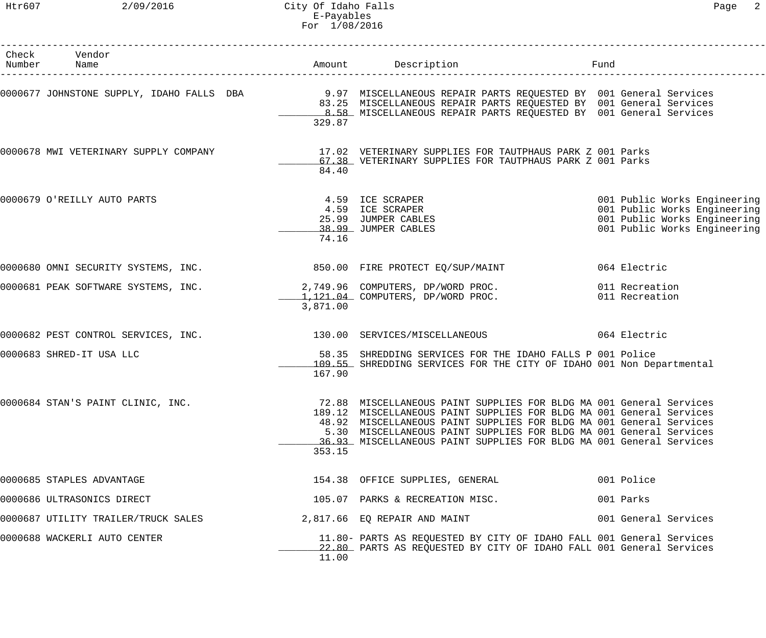Htr607 2/09/2016 City Of Idaho Falls Page 2 E-Payables For 1/08/2016

| Check Vendor<br>Number Name                                                |          | Amount Description                                                                                                                                                                                                                                                                                                                                              | Fund                                                                                                                         |
|----------------------------------------------------------------------------|----------|-----------------------------------------------------------------------------------------------------------------------------------------------------------------------------------------------------------------------------------------------------------------------------------------------------------------------------------------------------------------|------------------------------------------------------------------------------------------------------------------------------|
|                                                                            | 329.87   | 0000677 JOHNSTONE SUPPLY, IDAHO FALLS DBA           9.97 MISCELLANEOUS REPAIR PARTS REQUESTED BY 001 General Services<br>83.25 MISCELLANEOUS REPAIR PARTS REQUESTED BY 001 General Services<br>8.58 MISCELLANEOUS REPAIR PARTS REQUESTED BY 001 General Services                                                                                                |                                                                                                                              |
|                                                                            | 84.40    | 0000678 MWI VETERINARY SUPPLY COMPANY 17.02 VETERINARY SUPPLIES FOR TAUTPHAUS PARK Z 001 Parks<br>67.38 VETERINARY SUPPLIES FOR TAUTPHAUS PARK Z 001 Parks                                                                                                                                                                                                      |                                                                                                                              |
| 0000679 O'REILLY AUTO PARTS                                                | 74.16    | 4.59 ICE SCRAPER<br>4.59 ICE SCRAPER<br>25.99 JUMPER CABLES<br>38.99 JUMPER CABLES                                                                                                                                                                                                                                                                              | 001 Public Works Engineering<br>001 Public Works Engineering<br>001 Public Works Engineering<br>001 Public Works Engineering |
| 0000680 OMNI SECURITY SYSTEMS, INC. 400 100 2000 FIRE PROTECT EQ/SUP/MAINT |          |                                                                                                                                                                                                                                                                                                                                                                 | 064 Electric                                                                                                                 |
| 0000681 PEAK SOFTWARE SYSTEMS, INC. 2,749.96 COMPUTERS, DP/WORD PROC.      | 3,871.00 | $1,121.04$ COMPUTERS, DP/WORD PROC.                                                                                                                                                                                                                                                                                                                             | 011 Recreation<br>011 Recreation                                                                                             |
| 0000682 PEST CONTROL SERVICES, INC. 430.00 SERVICES/MISCELLANEOUS          |          |                                                                                                                                                                                                                                                                                                                                                                 | 064 Electric                                                                                                                 |
| 0000683 SHRED-IT USA LLC                                                   | 167.90   | 58.35 SHREDDING SERVICES FOR THE IDAHO FALLS P 001 Police<br>109.55 SHREDDING SERVICES FOR THE CITY OF IDAHO 001 Non Departmental                                                                                                                                                                                                                               |                                                                                                                              |
| 0000684 STAN'S PAINT CLINIC, INC.                                          | 353.15   | 72.88 MISCELLANEOUS PAINT SUPPLIES FOR BLDG MA 001 General Services<br>189.12 MISCELLANEOUS PAINT SUPPLIES FOR BLDG MA 001 General Services<br>48.92 MISCELLANEOUS PAINT SUPPLIES FOR BLDG MA 001 General Services<br>5.30 MISCELLANEOUS PAINT SUPPLIES FOR BLDG MA 001 General Services<br>36.93 MISCELLANEOUS PAINT SUPPLIES FOR BLDG MA 001 General Services |                                                                                                                              |
| 0000685 STAPLES ADVANTAGE                                                  |          | 154.38 OFFICE SUPPLIES, GENERAL                                                                                                                                                                                                                                                                                                                                 | 001 Police                                                                                                                   |
| 0000686 ULTRASONICS DIRECT                                                 |          | 105.07 PARKS & RECREATION MISC.                                                                                                                                                                                                                                                                                                                                 | 001 Parks                                                                                                                    |
| 0000687 UTILITY TRAILER/TRUCK SALES                                        |          | 2,817.66 EQ REPAIR AND MAINT                                                                                                                                                                                                                                                                                                                                    | 001 General Services                                                                                                         |
| 0000688 WACKERLI AUTO CENTER                                               | 11.00    | 11.80- PARTS AS REQUESTED BY CITY OF IDAHO FALL 001 General Services<br>22.80 PARTS AS REQUESTED BY CITY OF IDAHO FALL 001 General Services                                                                                                                                                                                                                     |                                                                                                                              |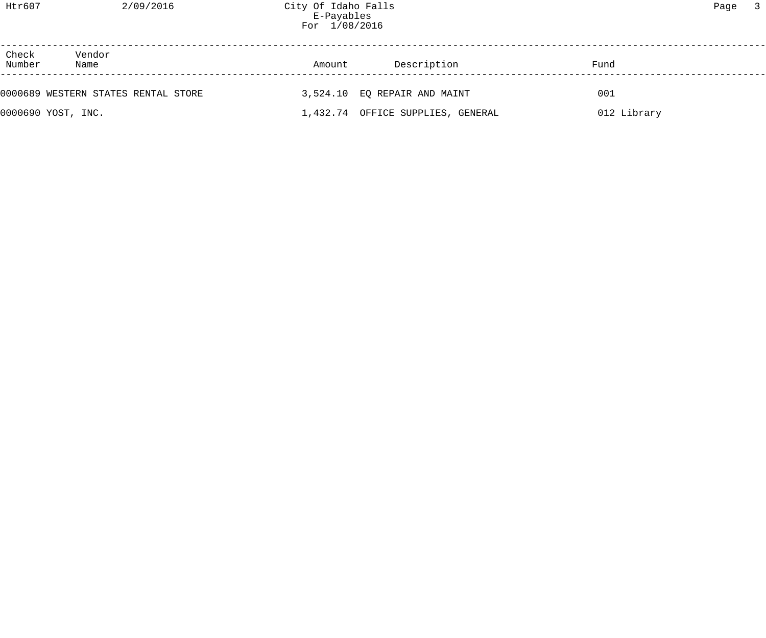| Check<br>Number | Vendor<br>Name                      | Amount | Description                       | Fund        |  |
|-----------------|-------------------------------------|--------|-----------------------------------|-------------|--|
|                 | 0000689 WESTERN STATES RENTAL STORE |        | 3,524.10 EQ REPAIR AND MAINT      | 001         |  |
|                 | 0000690 YOST, INC.                  |        | 1,432.74 OFFICE SUPPLIES, GENERAL | 012 Library |  |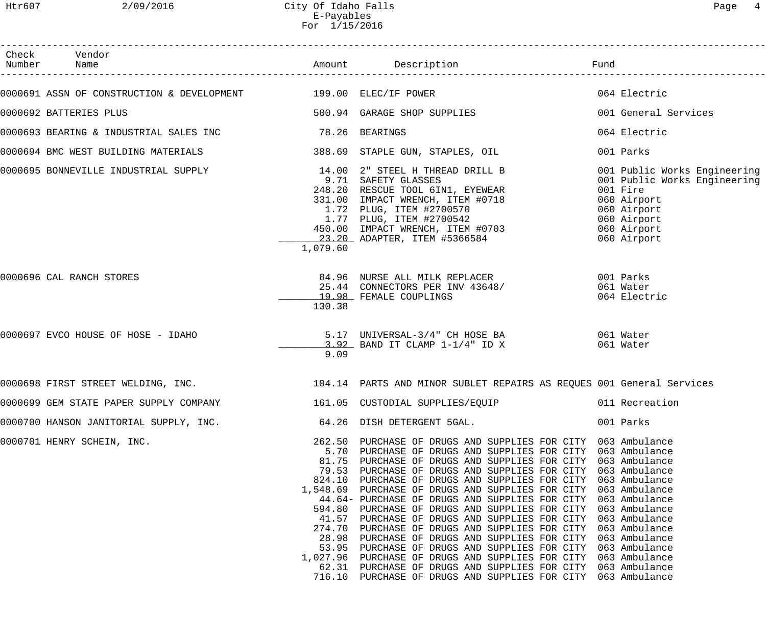Htr607 2/09/2016 City Of Idaho Falls Page 4 E-Payables For 1/15/2016

| Check Vendor<br>Number Name |                        |                                                                                                                   |                                                                                                                                                                                                                                                                                                                                                                                                                                                                                                                                                                                                                                                                                                                                                                                                                                                                                                                                                                                                                                                                                                                                                                                                                                                                                                                                                                                                                                                                                                                                                                                                                                                                                                                                                                                                                                                                                 |
|-----------------------------|------------------------|-------------------------------------------------------------------------------------------------------------------|---------------------------------------------------------------------------------------------------------------------------------------------------------------------------------------------------------------------------------------------------------------------------------------------------------------------------------------------------------------------------------------------------------------------------------------------------------------------------------------------------------------------------------------------------------------------------------------------------------------------------------------------------------------------------------------------------------------------------------------------------------------------------------------------------------------------------------------------------------------------------------------------------------------------------------------------------------------------------------------------------------------------------------------------------------------------------------------------------------------------------------------------------------------------------------------------------------------------------------------------------------------------------------------------------------------------------------------------------------------------------------------------------------------------------------------------------------------------------------------------------------------------------------------------------------------------------------------------------------------------------------------------------------------------------------------------------------------------------------------------------------------------------------------------------------------------------------------------------------------------------------|
|                             |                        |                                                                                                                   | 064 Electric                                                                                                                                                                                                                                                                                                                                                                                                                                                                                                                                                                                                                                                                                                                                                                                                                                                                                                                                                                                                                                                                                                                                                                                                                                                                                                                                                                                                                                                                                                                                                                                                                                                                                                                                                                                                                                                                    |
|                             |                        |                                                                                                                   | 001 General Services                                                                                                                                                                                                                                                                                                                                                                                                                                                                                                                                                                                                                                                                                                                                                                                                                                                                                                                                                                                                                                                                                                                                                                                                                                                                                                                                                                                                                                                                                                                                                                                                                                                                                                                                                                                                                                                            |
|                             |                        |                                                                                                                   | 064 Electric                                                                                                                                                                                                                                                                                                                                                                                                                                                                                                                                                                                                                                                                                                                                                                                                                                                                                                                                                                                                                                                                                                                                                                                                                                                                                                                                                                                                                                                                                                                                                                                                                                                                                                                                                                                                                                                                    |
|                             |                        |                                                                                                                   |                                                                                                                                                                                                                                                                                                                                                                                                                                                                                                                                                                                                                                                                                                                                                                                                                                                                                                                                                                                                                                                                                                                                                                                                                                                                                                                                                                                                                                                                                                                                                                                                                                                                                                                                                                                                                                                                                 |
|                             |                        |                                                                                                                   | 001 Parks                                                                                                                                                                                                                                                                                                                                                                                                                                                                                                                                                                                                                                                                                                                                                                                                                                                                                                                                                                                                                                                                                                                                                                                                                                                                                                                                                                                                                                                                                                                                                                                                                                                                                                                                                                                                                                                                       |
|                             | 1,079.60               |                                                                                                                   | 001 Public Works Engineering<br>001 Public Works Engineering<br>001 Fire<br>060 Airport<br>060 Airport<br>060 Airport<br>060 Airport<br>060 Airport                                                                                                                                                                                                                                                                                                                                                                                                                                                                                                                                                                                                                                                                                                                                                                                                                                                                                                                                                                                                                                                                                                                                                                                                                                                                                                                                                                                                                                                                                                                                                                                                                                                                                                                             |
| 0000696 CAL RANCH STORES    | 130.38                 |                                                                                                                   | 061 Water<br>064 Electric                                                                                                                                                                                                                                                                                                                                                                                                                                                                                                                                                                                                                                                                                                                                                                                                                                                                                                                                                                                                                                                                                                                                                                                                                                                                                                                                                                                                                                                                                                                                                                                                                                                                                                                                                                                                                                                       |
|                             | 9.09                   |                                                                                                                   | 061 Water                                                                                                                                                                                                                                                                                                                                                                                                                                                                                                                                                                                                                                                                                                                                                                                                                                                                                                                                                                                                                                                                                                                                                                                                                                                                                                                                                                                                                                                                                                                                                                                                                                                                                                                                                                                                                                                                       |
|                             |                        |                                                                                                                   |                                                                                                                                                                                                                                                                                                                                                                                                                                                                                                                                                                                                                                                                                                                                                                                                                                                                                                                                                                                                                                                                                                                                                                                                                                                                                                                                                                                                                                                                                                                                                                                                                                                                                                                                                                                                                                                                                 |
|                             |                        |                                                                                                                   | 011 Recreation                                                                                                                                                                                                                                                                                                                                                                                                                                                                                                                                                                                                                                                                                                                                                                                                                                                                                                                                                                                                                                                                                                                                                                                                                                                                                                                                                                                                                                                                                                                                                                                                                                                                                                                                                                                                                                                                  |
|                             |                        |                                                                                                                   | 001 Parks                                                                                                                                                                                                                                                                                                                                                                                                                                                                                                                                                                                                                                                                                                                                                                                                                                                                                                                                                                                                                                                                                                                                                                                                                                                                                                                                                                                                                                                                                                                                                                                                                                                                                                                                                                                                                                                                       |
| 0000701 HENRY SCHEIN, INC.  |                        | 716.10 PURCHASE OF DRUGS AND SUPPLIES FOR CITY 063 Ambulance                                                      |                                                                                                                                                                                                                                                                                                                                                                                                                                                                                                                                                                                                                                                                                                                                                                                                                                                                                                                                                                                                                                                                                                                                                                                                                                                                                                                                                                                                                                                                                                                                                                                                                                                                                                                                                                                                                                                                                 |
|                             | 0000692 BATTERIES PLUS | 0000694 BMC WEST BUILDING MATERIALS<br>0000695 BONNEVILLE INDUSTRIAL SUPPLY<br>0000697 EVCO HOUSE OF HOSE - IDAHO | 0000691 ASSN OF CONSTRUCTION & DEVELOPMENT 499.00 ELEC/IF POWER<br>500.94 GARAGE SHOP SUPPLIES<br>0000693 BEARING & INDUSTRIAL SALES INC 78.26 BEARINGS<br>388.69 STAPLE GUN, STAPLES, OIL<br>14.00 2" STEEL H THREAD DRILL B<br>9.71 SAFETY GLASSES<br>248.20 RESCUE TOOL 6IN1, EYEWEAR<br>331.00 IMPACT WRENCH, ITEM #0718<br>1.72 PLUG, ITEM #2700570<br>1.77 PLUG, ITEM #2700542<br>450.00 IMPACT WRENCH, ITEM #0703<br>23.20 ADAPTER, ITEM #5366584<br>84.96 NURSE ALL MILK REPLACER 1999 1999 1999 1999 1999<br>25.44 CONNECTORS PER INV 43648/<br>19.98 FEMALE COUPLINGS<br>19.98 FEMALE COUPLINGS<br>5.17 UNIVERSAL-3/4" CH HOSE BA 061 Water<br>1.92 BAND IT CLAMP 1-1/4" ID X<br>0000698 FIRST STREET WELDING, INC. THE SALE MARTS AND MINOR SUBLET REPAIRS AS REQUES 001 General Services<br>0000699 GEM STATE PAPER SUPPLY COMPANY 161.05 CUSTODIAL SUPPLIES/EQUIP<br>0000700 HANSON JANITORIAL SUPPLY, INC. 64.26 DISH DETERGENT 5GAL.<br>262.50 PURCHASE OF DRUGS AND SUPPLIES FOR CITY 063 Ambulance<br>5.70 PURCHASE OF DRUGS AND SUPPLIES FOR CITY 063 Ambulance<br>81.75 PURCHASE OF DRUGS AND SUPPLIES FOR CITY 063 Ambulance<br>79.53 PURCHASE OF DRUGS AND SUPPLIES FOR CITY 063 Ambulance<br>824.10 PURCHASE OF DRUGS AND SUPPLIES FOR CITY 063 Ambulance<br>1,548.69 PURCHASE OF DRUGS AND SUPPLIES FOR CITY 063 Ambulance<br>44.64- PURCHASE OF DRUGS AND SUPPLIES FOR CITY 063 Ambulance<br>594.80 PURCHASE OF DRUGS AND SUPPLIES FOR CITY 063 Ambulance<br>41.57 PURCHASE OF DRUGS AND SUPPLIES FOR CITY 063 Ambulance<br>274.70 PURCHASE OF DRUGS AND SUPPLIES FOR CITY 063 Ambulance<br>28.98 PURCHASE OF DRUGS AND SUPPLIES FOR CITY 063 Ambulance<br>53.95 PURCHASE OF DRUGS AND SUPPLIES FOR CITY 063 Ambulance<br>1,027.96 PURCHASE OF DRUGS AND SUPPLIES FOR CITY 063 Ambulance<br>62.31 PURCHASE OF DRUGS AND SUPPLIES FOR CITY 063 Ambulance |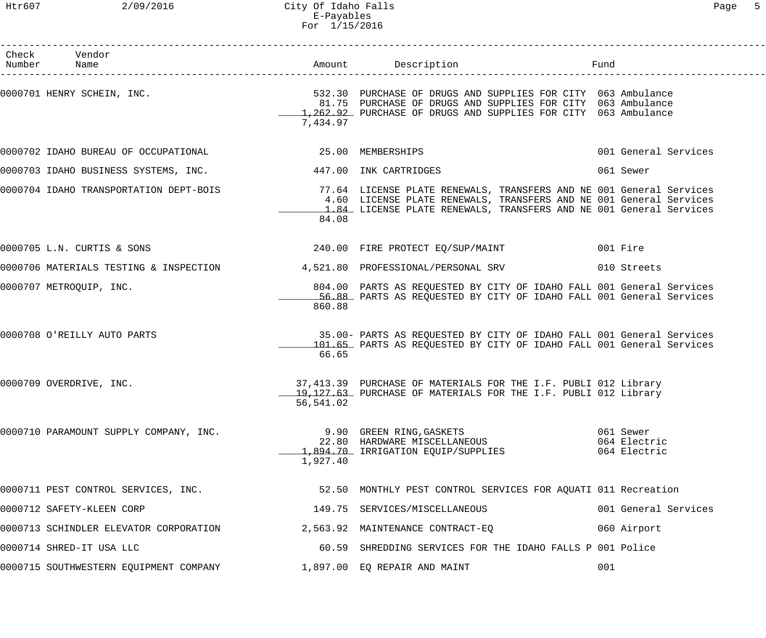| Check Vendor<br>Number Name                                               |                   | Amount Description                                                                                                                                                                                              | Fund                                      |
|---------------------------------------------------------------------------|-------------------|-----------------------------------------------------------------------------------------------------------------------------------------------------------------------------------------------------------------|-------------------------------------------|
| 0000701 HENRY SCHEIN, INC.                                                | 7,434.97          | 532.30 PURCHASE OF DRUGS AND SUPPLIES FOR CITY 063 Ambulance<br>81.75 PURCHASE OF DRUGS AND SUPPLIES FOR CITY 063 Ambulance<br>1,262.92 PURCHASE OF DRUGS AND SUPPLIES FOR CITY 063 Ambulance                   |                                           |
| 0000702 IDAHO BUREAU OF OCCUPATIONAL                                      | 25.00 MEMBERSHIPS |                                                                                                                                                                                                                 | 001 General Services                      |
| 0000703 IDAHO BUSINESS SYSTEMS, INC.                                      |                   | 447.00 INK CARTRIDGES                                                                                                                                                                                           | 061 Sewer                                 |
| 0000704 IDAHO TRANSPORTATION DEPT-BOIS                                    | 84.08             | 77.64 LICENSE PLATE RENEWALS, TRANSFERS AND NE 001 General Services<br>4.60 LICENSE PLATE RENEWALS, TRANSFERS AND NE 001 General Services<br>1.84 LICENSE PLATE RENEWALS, TRANSFERS AND NE 001 General Services |                                           |
| 0000705 L.N. CURTIS & SONS                                                |                   | 240.00 FIRE PROTECT EQ/SUP/MAINT                                                                                                                                                                                | 001 Fire                                  |
| 0000706 MATERIALS TESTING & INSPECTION 4,521.80 PROFESSIONAL/PERSONAL SRV |                   |                                                                                                                                                                                                                 | 010 Streets                               |
| 0000707 METROQUIP, INC.                                                   | 860.88            | 804.00 PARTS AS REQUESTED BY CITY OF IDAHO FALL 001 General Services<br>56.88 PARTS AS REQUESTED BY CITY OF IDAHO FALL 001 General Services                                                                     |                                           |
| 0000708 O'REILLY AUTO PARTS                                               | 66.65             | 35.00- PARTS AS REQUESTED BY CITY OF IDAHO FALL 001 General Services<br>101.65 PARTS AS REQUESTED BY CITY OF IDAHO FALL 001 General Services                                                                    |                                           |
| 0000709 OVERDRIVE, INC.                                                   | 56,541.02         | 37,413.39 PURCHASE OF MATERIALS FOR THE I.F. PUBLI 012 Library<br>19,127.63 PURCHASE OF MATERIALS FOR THE I.F. PUBLI 012 Library                                                                                |                                           |
| 0000710 PARAMOUNT SUPPLY COMPANY, INC.                                    | 1,927.40          | 9.90 GREEN RING,GASKETS<br>22.80 HARDWARE MISCELLANEOUS<br>1,894.70 IRRIGATION EQUIP/SUPPLIES                                                                                                                   | 061 Sewer<br>064 Electric<br>064 Electric |
| 0000711 PEST CONTROL SERVICES, INC.                                       |                   | 52.50 MONTHLY PEST CONTROL SERVICES FOR AQUATI 011 Recreation                                                                                                                                                   |                                           |
| 0000712 SAFETY-KLEEN CORP                                                 |                   | 149.75 SERVICES/MISCELLANEOUS                                                                                                                                                                                   | 001 General Services                      |
| 0000713 SCHINDLER ELEVATOR CORPORATION $2,563.92$ MAINTENANCE CONTRACT-EQ |                   |                                                                                                                                                                                                                 | 060 Airport                               |
| 0000714 SHRED-IT USA LLC                                                  |                   | 60.59 SHREDDING SERVICES FOR THE IDAHO FALLS P 001 Police                                                                                                                                                       |                                           |
| 0000715 SOUTHWESTERN EQUIPMENT COMPANY                                    |                   | 1,897.00 EQ REPAIR AND MAINT                                                                                                                                                                                    | 001                                       |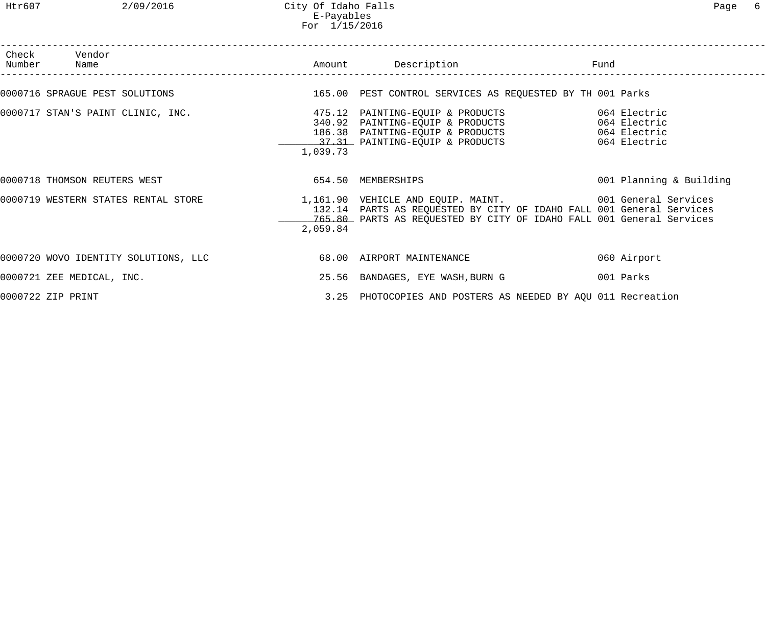## Htr607 2/09/2016 City Of Idaho Falls Page 6 E-Payables For 1/15/2016

| Check Vendor<br>Number Name                                    |          | Amount Description Description Fund                                                                                                                                                                                                          |                         |
|----------------------------------------------------------------|----------|----------------------------------------------------------------------------------------------------------------------------------------------------------------------------------------------------------------------------------------------|-------------------------|
|                                                                |          | 0000716 SPRAGUE PEST SOLUTIONS 600 165.00 PEST CONTROL SERVICES AS REQUESTED BY TH 001 Parks                                                                                                                                                 |                         |
| 0000717 STAN'S PAINT CLINIC, INC.                              | 1,039.73 | 37.31 PAINTING-EQUIP & PRODUCTS 064 Electric                                                                                                                                                                                                 |                         |
| 0000718 THOMSON REUTERS WEST                                   |          | 654.50 MEMBERSHIPS                                                                                                                                                                                                                           | 001 Planning & Building |
|                                                                | 2,059.84 | 0000719 WESTERN STATES RENTAL STORE 1,161.90 VEHICLE AND EQUIP. MAINT. 2001 General Services<br>132.14 PARTS AS REQUESTED BY CITY OF IDAHO FALL 001 General Services<br>765.80 PARTS AS REQUESTED BY CITY OF IDAHO FALL 001 General Services |                         |
| 0000720 WOVO IDENTITY SOLUTIONS, LLC 68.00 AIRPORT MAINTENANCE |          |                                                                                                                                                                                                                                              | 060 Airport             |
| 0000721 ZEE MEDICAL, INC.                                      |          | 25.56 BANDAGES, EYE WASH, BURN G                                                                                                                                                                                                             | 001 Parks               |
| 0000722 ZIP PRINT                                              |          | 3.25 PHOTOCOPIES AND POSTERS AS NEEDED BY AQU 011 Recreation                                                                                                                                                                                 |                         |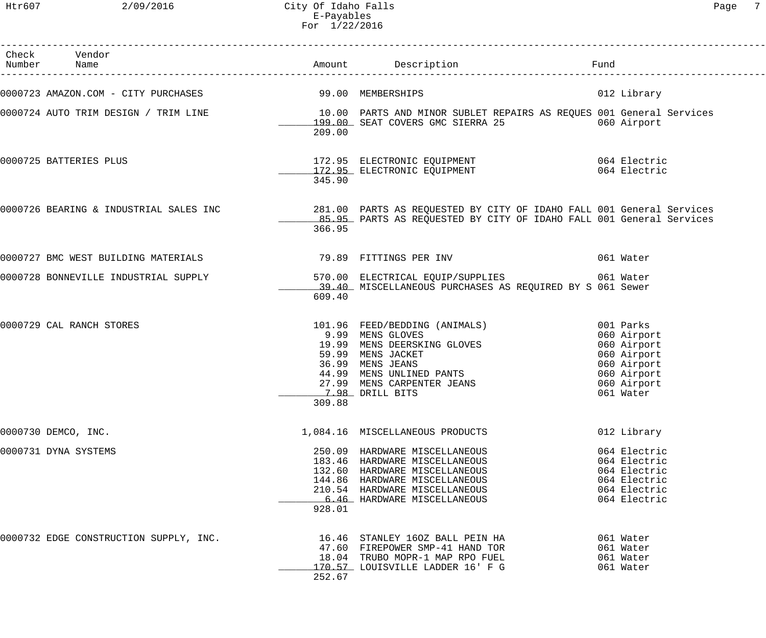Htr607 2/09/2016 City Of Idaho Falls Page 7 E-Payables For 1/22/2016

| Check Vendor<br>Number Name            |        |                                                                                                                                                                                                        | Fund |                                                                                                                  |
|----------------------------------------|--------|--------------------------------------------------------------------------------------------------------------------------------------------------------------------------------------------------------|------|------------------------------------------------------------------------------------------------------------------|
|                                        |        |                                                                                                                                                                                                        |      | 012 Library                                                                                                      |
|                                        | 209.00 | 0000724 AUTO TRIM DESIGN / TRIM LINE 10.00 PARTS AND MINOR SUBLET REPAIRS AS REQUES 001 General Services<br>199.00 SEAT COVERS GMC SIERRA 25 060 Airport                                               |      |                                                                                                                  |
| 0000725 BATTERIES PLUS                 | 345.90 |                                                                                                                                                                                                        |      | 064 Electric                                                                                                     |
|                                        | 366.95 | 0000726 BEARING & INDUSTRIAL SALES INC 281.00 PARTS AS REQUESTED BY CITY OF IDAHO FALL 001 General Services 281.00 PARTS AS REQUESTED BY CITY OF IDAHO FALL 001 General Services                       |      |                                                                                                                  |
| 0000727 BMC WEST BUILDING MATERIALS    |        | 79.89 FITTINGS PER INV                                                                                                                                                                                 |      | 061 Water                                                                                                        |
|                                        | 609.40 | 0000728 BONNEVILLE INDUSTRIAL SUPPLY 570.00 ELECTRICAL EQUIP/SUPPLIES 061 Water<br>39.40 MISCELLANEOUS PURCHASES AS REQUIRED BY S 061 Sewer                                                            |      |                                                                                                                  |
| 0000729 CAL RANCH STORES               | 309.88 | 101.96 FEED/BEDDING (ANIMALS)<br>9.99 MENS GLOVES<br>19.99 MENS DEERSKING GLOVES<br>59.99 MENS JACKET<br>36.99 MENS JEANS<br>44.99 MENS UNLINED PANTS<br>27.99 MENS CARPENTER JEANS<br>7.98 DRILL BITS |      | 001 Parks<br>060 Airport<br>060 Airport<br>060 Airport<br>060 Airport<br>060 Airport<br>060 Airport<br>061 Water |
| 0000730 DEMCO, INC.                    |        | 1,084.16 MISCELLANEOUS PRODUCTS                                                                                                                                                                        |      | 012 Library                                                                                                      |
| 0000731 DYNA SYSTEMS                   | 928.01 | 250.09 HARDWARE MISCELLANEOUS<br>183.46 HARDWARE MISCELLANEOUS<br>132.60 HARDWARE MISCELLANEOUS<br>144.86 HARDWARE MISCELLANEOUS<br>210.54 HARDWARE MISCELLANEOUS<br>6.46 HARDWARE MISCELLANEOUS       |      | 064 Electric<br>064 Electric<br>064 Electric<br>064 Electric<br>064 Electric<br>064 Electric                     |
| 0000732 EDGE CONSTRUCTION SUPPLY, INC. | 252.67 | 16.46 STANLEY 160Z BALL PEIN HA<br>47.60 FIREPOWER SMP-41 HAND TOR<br>18.04 TRUBO MOPR-1 MAP RPO FUEL<br>170.57 LOUISVILLE LADDER 16' F G                                                              |      | 061 Water<br>061 Water<br>061 Water<br>061 Water                                                                 |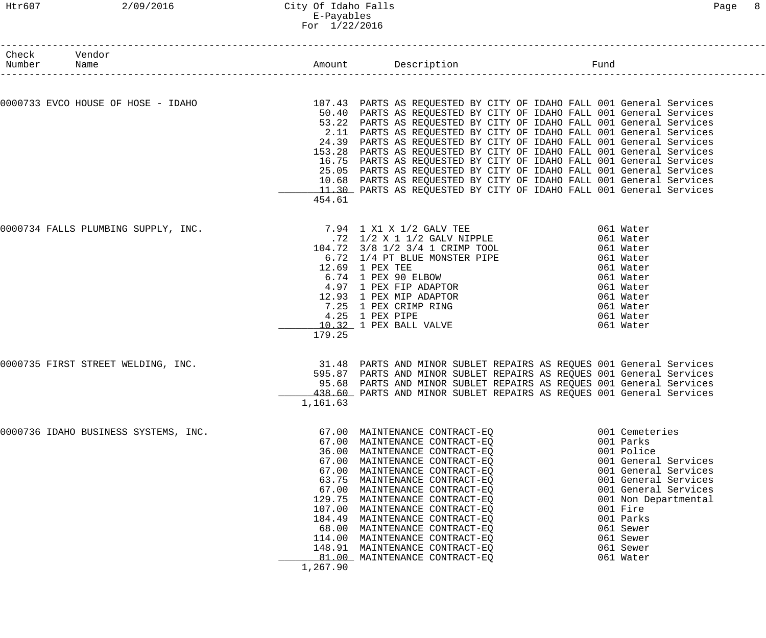| Number Name | Check Vendor                                                                                                                                                                                                                                                                                                                                                                           |                    |                                                                                                                                                                                                                                                                                                                                                                                                                                                                                                                                                                                                                                                             |                                                                                                                                                                                                                                                |
|-------------|----------------------------------------------------------------------------------------------------------------------------------------------------------------------------------------------------------------------------------------------------------------------------------------------------------------------------------------------------------------------------------------|--------------------|-------------------------------------------------------------------------------------------------------------------------------------------------------------------------------------------------------------------------------------------------------------------------------------------------------------------------------------------------------------------------------------------------------------------------------------------------------------------------------------------------------------------------------------------------------------------------------------------------------------------------------------------------------------|------------------------------------------------------------------------------------------------------------------------------------------------------------------------------------------------------------------------------------------------|
|             |                                                                                                                                                                                                                                                                                                                                                                                        |                    |                                                                                                                                                                                                                                                                                                                                                                                                                                                                                                                                                                                                                                                             |                                                                                                                                                                                                                                                |
|             | 0000733 EVCO HOUSE OF HOSE - IDAHO 107.43 PARTS AS REQUESTED BY CITY OF IDAHO FALL 001 General Services                                                                                                                                                                                                                                                                                | 454.61             | 50.40 PARTS AS REQUESTED BY CITY OF IDAHO FALL 001 General Services<br>53.22 PARTS AS REQUESTED BY CITY OF IDAHO FALL 001 General Services<br>2.11 PARTS AS REQUESTED BY CITY OF IDAHO FALL 001 General Services<br>24.39 PARTS AS REQUESTED BY CITY OF IDAHO FALL 001 General Services<br>153.28 PARTS AS REQUESTED BY CITY OF IDAHO FALL 001 General Services<br>16.75 PARTS AS REQUESTED BY CITY OF IDAHO FALL 001 General Services<br>25.05 PARTS AS REQUESTED BY CITY OF IDAHO FALL 001 General Services<br>10.68 PARTS AS REQUESTED BY CITY OF IDAHO FALL 001 General Services<br>11.30 PARTS AS REQUESTED BY CITY OF IDAHO FALL 001 General Services |                                                                                                                                                                                                                                                |
|             | $\begin{tabular}{c c c c} \texttt{0000734 FALLS PLUMBING SUPPLY, INC.} & \begin{tabular}{c} 7.94 & 1 X1 X 1/2 GALV TFE & 061 Water \\ .72 & 1/2 X 1 1/2 GALV NIPPLE & 061 Water \\ 104.72 & 3/8 & 1/2 & 3/4 & 1 CRIMP TOOL & 061 Water \\ 6.72 & 1/4 & PT BLLUS MOMSTER PIPE & 061 Water \\ 6.74 & 1 PEEUS MOMSTER PIPE & 061 Water \\ 6.74 & 1 PEEUS NOMSTR PIPE & 061 Water \\ 6.74$ | 179.25             |                                                                                                                                                                                                                                                                                                                                                                                                                                                                                                                                                                                                                                                             |                                                                                                                                                                                                                                                |
|             | 0000735 FIRST STREET WELDING, INC.                                                                                                                                                                                                                                                                                                                                                     | 1,161.63           | 31.48 PARTS AND MINOR SUBLET REPAIRS AS REQUES 001 General Services<br>595.87 PARTS AND MINOR SUBLET REPAIRS AS REQUES 001 General Services<br>95.68 PARTS AND MINOR SUBLET REPAIRS AS REQUES 001 General Services<br>438.60 PARTS AND MINOR SUBLET REPAIRS AS REQUES 001 General Services                                                                                                                                                                                                                                                                                                                                                                  |                                                                                                                                                                                                                                                |
|             | 0000736 IDAHO BUSINESS SYSTEMS, INC.                                                                                                                                                                                                                                                                                                                                                   | 129.75<br>1,267.90 | 67.00 MAINTENANCE CONTRACT-EQ<br>67.00 MAINTENANCE CONTRACT-EO<br>36.00 MAINTENANCE CONTRACT-EO<br>67.00 MAINTENANCE CONTRACT-EQ<br>67.00 MAINTENANCE CONTRACT-EQ<br>63.75 MAINTENANCE CONTRACT-EQ<br>67.00 MAINTENANCE CONTRACT-EQ<br>MAINTENANCE CONTRACT-EQ<br>107.00 MAINTENANCE CONTRACT-EQ<br>184.49 MAINTENANCE CONTRACT-EQ<br>68.00 MAINTENANCE CONTRACT-EQ<br>114.00 MAINTENANCE CONTRACT-EQ<br>148.91 MAINTENANCE CONTRACT-EQ<br>81.00 MAINTENANCE CONTRACT-EQ                                                                                                                                                                                    | 001 Cemeteries<br>001 Parks<br>001 Police<br>001 General Services<br>001 General Services<br>001 General Services<br>001 General Services<br>001 Non Departmental<br>001 Fire<br>001 Parks<br>061 Sewer<br>061 Sewer<br>061 Sewer<br>061 Water |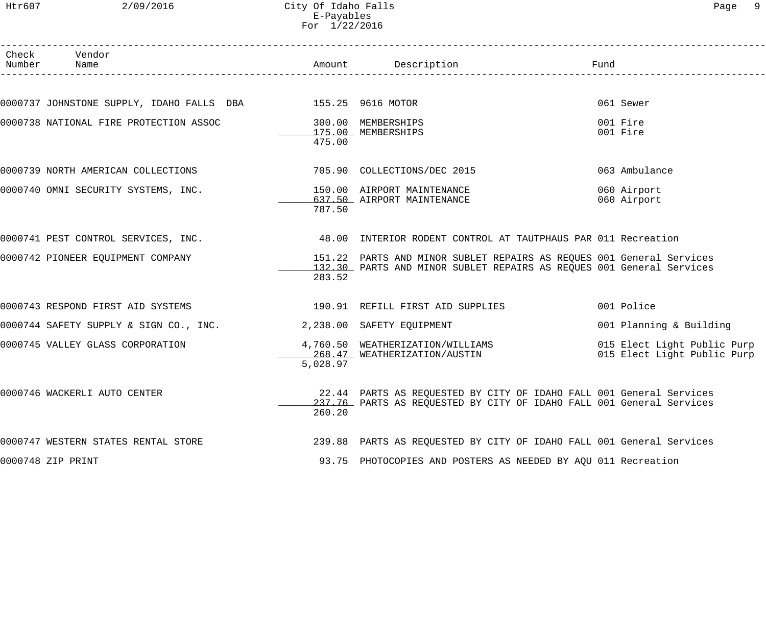Htr607 2/09/2016 City Of Idaho Falls Page 9 E-Payables For 1/22/2016

| Check Vendor<br>Number Name                                                                       |          | Amount Description                                                                                                                           | Fund                                                       |
|---------------------------------------------------------------------------------------------------|----------|----------------------------------------------------------------------------------------------------------------------------------------------|------------------------------------------------------------|
|                                                                                                   |          |                                                                                                                                              |                                                            |
| 0000737 JOHNSTONE SUPPLY, IDAHO FALLS DBA 155.25 9616 MOTOR                                       |          |                                                                                                                                              | 061 Sewer                                                  |
| 0000738 NATIONAL FIRE PROTECTION ASSOC                                                            | 475.00   | 300.00 MEMBERSHIPS<br>175.00 MEMBERSHIPS                                                                                                     | 001 Fire<br>001 Fire                                       |
| 0000739 NORTH AMERICAN COLLECTIONS                                                                |          | 705.90 COLLECTIONS/DEC 2015                                                                                                                  | 063 Ambulance                                              |
| 0000740 OMNI SECURITY SYSTEMS, INC.                                                               | 787.50   | 150.00 AIRPORT MAINTENANCE<br>637.50 AIRPORT MAINTENANCE                                                                                     | 060 Airport<br>060 Airport                                 |
| 0000741 PEST CONTROL SERVICES, INC. 48.00 INTERIOR RODENT CONTROL AT TAUTPHAUS PAR 011 Recreation |          |                                                                                                                                              |                                                            |
| 0000742 PIONEER EQUIPMENT COMPANY                                                                 | 283.52   | 151.22 PARTS AND MINOR SUBLET REPAIRS AS REQUES 001 General Services<br>132.30 PARTS AND MINOR SUBLET REPAIRS AS REQUES 001 General Services |                                                            |
|                                                                                                   |          |                                                                                                                                              | 001 Police                                                 |
| 0000744 SAFETY SUPPLY & SIGN CO., INC. 2,238.00 SAFETY EQUIPMENT                                  |          |                                                                                                                                              | 001 Planning & Building                                    |
| 0000745 VALLEY GLASS CORPORATION                                                                  | 5,028.97 | 4,760.50 WEATHERIZATION/WILLIAMS<br>268.47 WEATHERIZATION/AUSTIN                                                                             | 015 Elect Light Public Purp<br>015 Elect Light Public Purp |
| 0000746 WACKERLI AUTO CENTER                                                                      | 260.20   | 22.44 PARTS AS REQUESTED BY CITY OF IDAHO FALL 001 General Services<br>237.76 PARTS AS REQUESTED BY CITY OF IDAHO FALL 001 General Services  |                                                            |
| 0000747 WESTERN STATES RENTAL STORE                                                               |          | 239.88 PARTS AS REQUESTED BY CITY OF IDAHO FALL 001 General Services                                                                         |                                                            |
| 0000748 ZIP PRINT                                                                                 |          | 93.75 PHOTOCOPIES AND POSTERS AS NEEDED BY AQU 011 Recreation                                                                                |                                                            |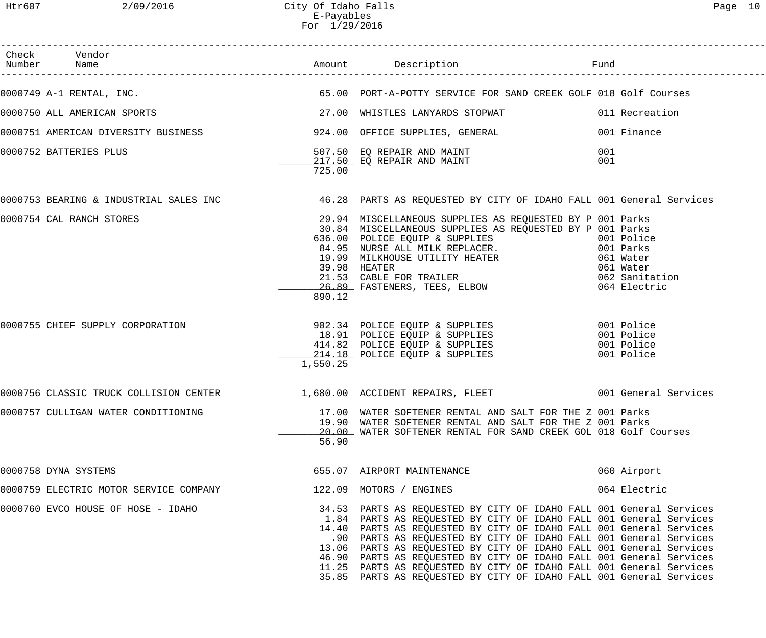| Check Vendor<br>Number Name                                                                                                                                                                           |          |                                                                                                                                                                                                                                                                                                                                                                                                                                                                                                                                                                                   |            |              |
|-------------------------------------------------------------------------------------------------------------------------------------------------------------------------------------------------------|----------|-----------------------------------------------------------------------------------------------------------------------------------------------------------------------------------------------------------------------------------------------------------------------------------------------------------------------------------------------------------------------------------------------------------------------------------------------------------------------------------------------------------------------------------------------------------------------------------|------------|--------------|
| 0000749 A-1 RENTAL, INC. THE SALE SERIES AND TORT-A-POTTY SERVICE FOR SAND CREEK GOLF 018 Golf Courses                                                                                                |          |                                                                                                                                                                                                                                                                                                                                                                                                                                                                                                                                                                                   |            |              |
| 0000750 ALL AMERICAN SPORTS 30 10 27.00 WHISTLES LANYARDS STOPWAT 6 27.00 11 Recreation                                                                                                               |          |                                                                                                                                                                                                                                                                                                                                                                                                                                                                                                                                                                                   |            |              |
| 0000751 AMERICAN DIVERSITY BUSINESS 600 924.00 OFFICE SUPPLIES, GENERAL 601 Finance                                                                                                                   |          |                                                                                                                                                                                                                                                                                                                                                                                                                                                                                                                                                                                   |            |              |
| 0000752 BATTERIES PLUS                                                                                                                                                                                | 725.00   | 507.50 EQ REPAIR AND MAINT<br>217.50 EQ REPAIR AND MAINT                                                                                                                                                                                                                                                                                                                                                                                                                                                                                                                          | 001<br>001 |              |
| 0000753 BEARING & INDUSTRIAL SALES INC 46.28 PARTS AS REQUESTED BY CITY OF IDAHO FALL 001 General Services                                                                                            |          |                                                                                                                                                                                                                                                                                                                                                                                                                                                                                                                                                                                   |            |              |
| 0000754 CAL RANCH STORES                                                                                                                                                                              | 890.12   | 29.94 MISCELLANEOUS SUPPLIES AS REQUESTED BY P 001 Parks<br>30.84 MISCELLANEOUS SUPPLIES AS REQUESTED BY P 001 Parks<br>636.00 POLICE EQUIP & SUPPLIES 636.00 Police<br>84.95 NURSE ALL MILK REPLACER. 601 Parks<br>19.99 MILKHOUSE UTILITY HEATER 061 Water<br>39.98 HEATER 061 Water<br>21.53 CABLE FOR TRAILER 062 Sanitation<br>26.89 FASTENERS, TEES, ELBOW 064 Electric                                                                                                                                                                                                     |            |              |
| 0000755 CHIEF SUPPLY CORPORATION 902.34 POLICE EQUIP & SUPPLIES<br>001 Police 18.91 POLICE EQUIP & SUPPLIES<br>414.82 POLICE EQUIP & SUPPLIES 001 Police<br>214.18 POLICE EQUIP & SUPPLIES 001 Police | 1,550.25 |                                                                                                                                                                                                                                                                                                                                                                                                                                                                                                                                                                                   |            |              |
| 0000756 CLASSIC TRUCK COLLISION CENTER 1,680.00 ACCIDENT REPAIRS, FLEET 001 General Services                                                                                                          |          |                                                                                                                                                                                                                                                                                                                                                                                                                                                                                                                                                                                   |            |              |
| 0000757 CULLIGAN WATER CONDITIONING                                                                                                                                                                   | 56.90    | 17.00 WATER SOFTENER RENTAL AND SALT FOR THE Z 001 Parks<br>19.90 WATER SOFTENER RENTAL AND SALT FOR THE Z 001 Parks<br>20.00 WATER SOFTENER RENTAL FOR SAND CREEK GOL 018 Golf Courses                                                                                                                                                                                                                                                                                                                                                                                           |            |              |
| 0000758 DYNA SYSTEMS                                                                                                                                                                                  |          | 655.07 AIRPORT MAINTENANCE                                                                                                                                                                                                                                                                                                                                                                                                                                                                                                                                                        |            | 060 Airport  |
| 0000759 ELECTRIC MOTOR SERVICE COMPANY                                                                                                                                                                |          | 122.09 MOTORS / ENGINES                                                                                                                                                                                                                                                                                                                                                                                                                                                                                                                                                           |            | 064 Electric |
| 0000760 EVCO HOUSE OF HOSE - IDAHO                                                                                                                                                                    |          | 34.53 PARTS AS REQUESTED BY CITY OF IDAHO FALL 001 General Services<br>1.84 PARTS AS REQUESTED BY CITY OF IDAHO FALL 001 General Services<br>14.40 PARTS AS REQUESTED BY CITY OF IDAHO FALL 001 General Services<br>.90 PARTS AS REQUESTED BY CITY OF IDAHO FALL 001 General Services<br>13.06 PARTS AS REQUESTED BY CITY OF IDAHO FALL 001 General Services<br>46.90 PARTS AS REQUESTED BY CITY OF IDAHO FALL 001 General Services<br>11.25 PARTS AS REQUESTED BY CITY OF IDAHO FALL 001 General Services<br>35.85 PARTS AS REQUESTED BY CITY OF IDAHO FALL 001 General Services |            |              |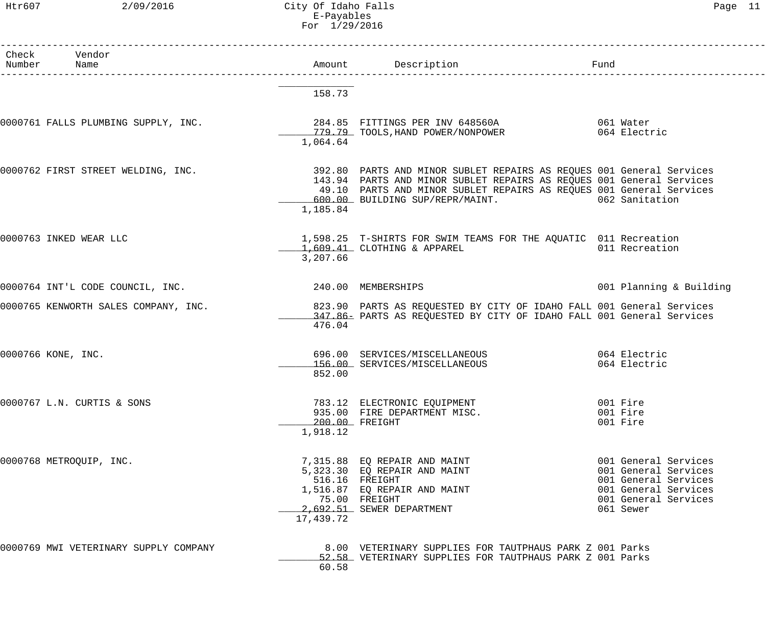Htr607 2/09/2016 City Of Idaho Falls Page 11 E-Payables For 1/29/2016

| Check Vendor<br>Number Name                         |           | Amount Description                                                                                                                                                                                                                                                       | Fund                                                                                                                              |
|-----------------------------------------------------|-----------|--------------------------------------------------------------------------------------------------------------------------------------------------------------------------------------------------------------------------------------------------------------------------|-----------------------------------------------------------------------------------------------------------------------------------|
|                                                     | 158.73    |                                                                                                                                                                                                                                                                          |                                                                                                                                   |
|                                                     | 1,064.64  |                                                                                                                                                                                                                                                                          |                                                                                                                                   |
| 0000762 FIRST STREET WELDING, INC.                  | 1,185.84  | 392.80 PARTS AND MINOR SUBLET REPAIRS AS REQUES 001 General Services<br>143.94 PARTS AND MINOR SUBLET REPAIRS AS REQUES 001 General Services<br>49.10 PARTS AND MINOR SUBLET REPAIRS AS REQUES 001 General Services<br>600.00 BUILDING SUP/REPR/MAINT. 600.00 Sanitation |                                                                                                                                   |
| 0000763 INKED WEAR LLC                              | 3,207.66  | 1,598.25 T-SHIRTS FOR SWIM TEAMS FOR THE AQUATIC 011 Recreation<br>1,609.41 CLOTHING & APPAREL 011 Recreation                                                                                                                                                            |                                                                                                                                   |
| 0000764 INT'L CODE COUNCIL, INC. 240.00 MEMBERSHIPS |           |                                                                                                                                                                                                                                                                          | 001 Planning & Building                                                                                                           |
| 0000765 KENWORTH SALES COMPANY, INC.                | 476.04    | 823.90 PARTS AS REQUESTED BY CITY OF IDAHO FALL 001 General Services<br>347.86- PARTS AS REQUESTED BY CITY OF IDAHO FALL 001 General Services                                                                                                                            |                                                                                                                                   |
| 0000766 KONE, INC.                                  | 852.00    | 696.00 SERVICES/MISCELLANEOUS 696.00 2064 Electric<br>156.00 SERVICES/MISCELLANEOUS                                                                                                                                                                                      | 064 Electric                                                                                                                      |
| 0000767 L.N. CURTIS & SONS                          | 1,918.12  | 783.12 ELECTRONIC EQUIPMENT<br>935.00 FIRE DEPARTMENT MISC.<br>200.00 FREIGHT                                                                                                                                                                                            | 001 Fire<br>001 Fire<br>001 Fire                                                                                                  |
| 0000768 METROQUIP, INC.                             | 17,439.72 | 7,315.88 EQ REPAIR AND MAINT<br>5,323.30 EQ REPAIR AND MAINT<br>516.16 FREIGHT<br>1,516.87 EQ REPAIR AND MAINT<br>75.00 FREIGHT<br>2,692.51 SEWER DEPARTMENT                                                                                                             | 001 General Services<br>001 General Services<br>001 General Services<br>001 General Services<br>001 General Services<br>061 Sewer |
| 0000769 MWI VETERINARY SUPPLY COMPANY               | 60.58     | 8.00 VETERINARY SUPPLIES FOR TAUTPHAUS PARK Z 001 Parks<br>52.58 VETERINARY SUPPLIES FOR TAUTPHAUS PARK Z 001 Parks                                                                                                                                                      |                                                                                                                                   |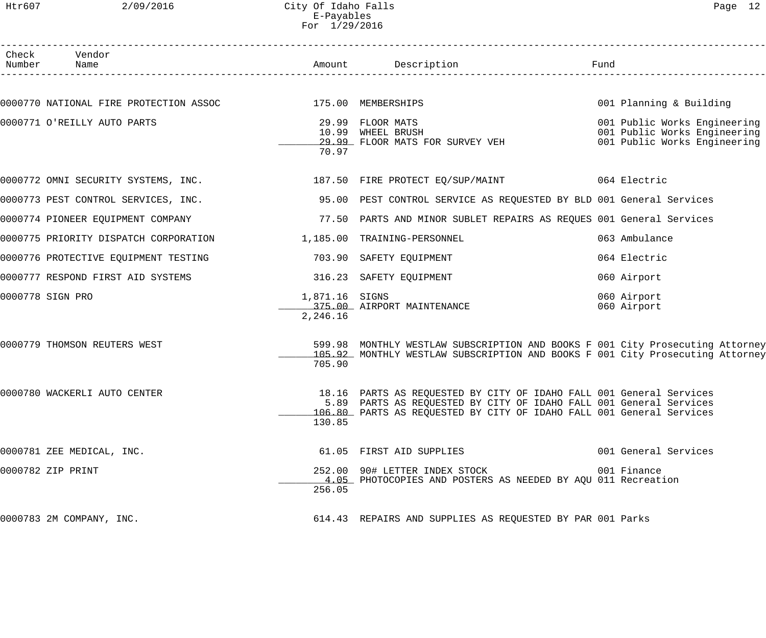Htr607 2/09/2016 City Of Idaho Falls Page 12 E-Payables For 1/29/2016

| Check Vendor<br>Number Name                                       |                            | Amount Description                                                                                                                                                                                                | Fund                                                                                         |
|-------------------------------------------------------------------|----------------------------|-------------------------------------------------------------------------------------------------------------------------------------------------------------------------------------------------------------------|----------------------------------------------------------------------------------------------|
|                                                                   |                            |                                                                                                                                                                                                                   |                                                                                              |
| 0000770 NATIONAL FIRE PROTECTION ASSOC 175.00 MEMBERSHIPS         |                            |                                                                                                                                                                                                                   | 001 Planning & Building                                                                      |
| 0000771 O'REILLY AUTO PARTS                                       | 70.97                      | 29.99 FLOOR MATS<br>10.99 WHEEL BRUSH<br>29.99 FLOOR MATS FOR SURVEY VEH                                                                                                                                          | 001 Public Works Engineering<br>001 Public Works Engineering<br>001 Public Works Engineering |
|                                                                   |                            | 0000772 OMNI SECURITY SYSTEMS, INC. 187.50 FIRE PROTECT EQ/SUP/MAINT 664 Electric                                                                                                                                 |                                                                                              |
| 0000773 PEST CONTROL SERVICES, INC.                               |                            | 95.00 PEST CONTROL SERVICE AS REQUESTED BY BLD 001 General Services                                                                                                                                               |                                                                                              |
| 0000774 PIONEER EQUIPMENT COMPANY                                 |                            | 77.50 PARTS AND MINOR SUBLET REPAIRS AS REQUES 001 General Services                                                                                                                                               |                                                                                              |
| 0000775 PRIORITY DISPATCH CORPORATION 1,185.00 TRAINING-PERSONNEL |                            |                                                                                                                                                                                                                   | 063 Ambulance                                                                                |
| 0000776 PROTECTIVE EQUIPMENT TESTING                              |                            | 703.90 SAFETY EQUIPMENT                                                                                                                                                                                           | 064 Electric                                                                                 |
| 0000777 RESPOND FIRST AID SYSTEMS                                 |                            | 316.23 SAFETY EQUIPMENT                                                                                                                                                                                           | 060 Airport                                                                                  |
| 0000778 SIGN PRO                                                  | 1,871.16 SIGNS<br>2,246.16 | 375.00 AIRPORT MAINTENANCE                                                                                                                                                                                        | 060 Airport<br>060 Airport                                                                   |
| 0000779 THOMSON REUTERS WEST                                      | 705.90                     | 599.98 MONTHLY WESTLAW SUBSCRIPTION AND BOOKS F 001 City Prosecuting Attorney<br>105.92 MONTHLY WESTLAW SUBSCRIPTION AND BOOKS F 001 City Prosecuting Attorney                                                    |                                                                                              |
| 0000780 WACKERLI AUTO CENTER                                      | 130.85                     | 18.16 PARTS AS REQUESTED BY CITY OF IDAHO FALL 001 General Services<br>5.89 PARTS AS REQUESTED BY CITY OF IDAHO FALL 001 General Services<br>106.80 PARTS AS REQUESTED BY CITY OF IDAHO FALL 001 General Services |                                                                                              |
| 0000781 ZEE MEDICAL, INC.                                         |                            | 61.05 FIRST AID SUPPLIES                                                                                                                                                                                          | 001 General Services                                                                         |
| 0000782 ZIP PRINT                                                 | 256.05                     | 252.00 90# LETTER INDEX STOCK<br>4.05 PHOTOCOPIES AND POSTERS AS NEEDED BY AQU 011 Recreation                                                                                                                     | 001 Finance                                                                                  |
| 0000783 2M COMPANY, INC.                                          |                            | 614.43 REPAIRS AND SUPPLIES AS REQUESTED BY PAR 001 Parks                                                                                                                                                         |                                                                                              |